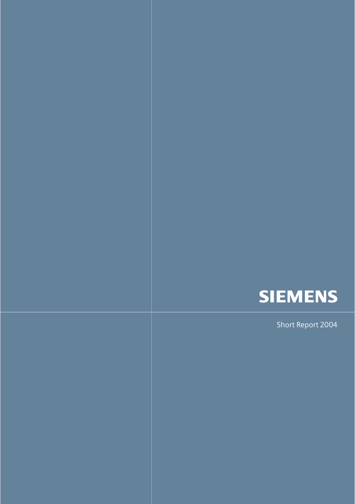

Short Report 2004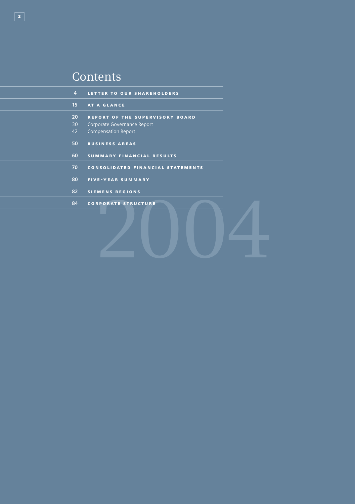# **Contents**

|  |  | <b>LETTER TO OUR SHAREHOLDERS</b> |  |
|--|--|-----------------------------------|--|
|  |  |                                   |  |

- at a g lance
- REPORT OF THE SUPERVISORY BOARD
- 
- 
- busines s areas
- **60 SUMMARY FINANCIAL RESULTS**
- **CONSOLIDATED FINANCIAL STATEMENTS**
- 80 FIVE-YEAR SUMMARY
- siemens regions
- **CORPORATE STRUCTURE**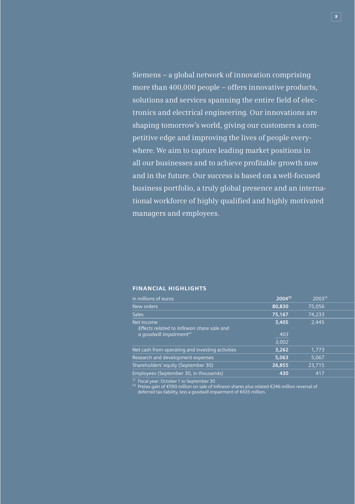Siemens – a global network of innovation comprising more than 400,000 people – offers innovative products, solutions and services spanning the entire field of electronics and electrical engineering. Our innovations are shaping tomorrow's world, giving our customers a competitive edge and improving the lives of people everywhere. We aim to capture leading market positions in all our businesses and to achieve profitable growth now and in the future. Our success is based on a well-focused business portfolio, a truly global presence and an international workforce of highly qualified and highly motivated managers and employees.

## **financial highlights**

| in millions of euros                                     | $2004^{(1)}$ | $2003^{(1)}$ |
|----------------------------------------------------------|--------------|--------------|
| New orders                                               | 80,830       | 75,056       |
| <b>Sales</b>                                             | 75,167       | 74,233       |
| Net income<br>Effects related to Infineon share sale and | 3,405        | 2,445        |
| $a$ goodwill impairment <sup>(2)</sup>                   | 403          |              |
|                                                          | 3,002        |              |
| Net cash from operating and investing activities         | 3,262        | 1.773        |
| Research and development expenses                        | 5,063        | 5,067        |
| Shareholders' equity (September 30)                      | 26,855       | 23,715       |
| Employees (September 30, in thousands)                   | 430          | 417          |

® Fiscal year: October 1 to September 30<br>☞ Pretax gain of €590 million on sale of Infineon shares plus related €246 million reversal of<br>□ deferred tax liability, less a goodwill impairment of €433 million.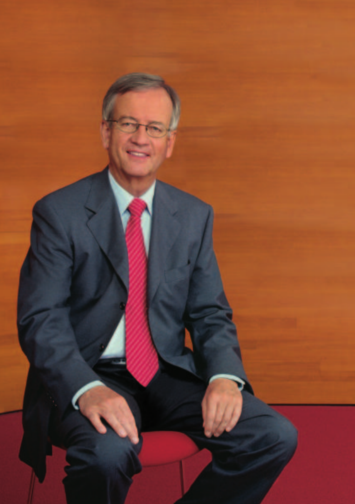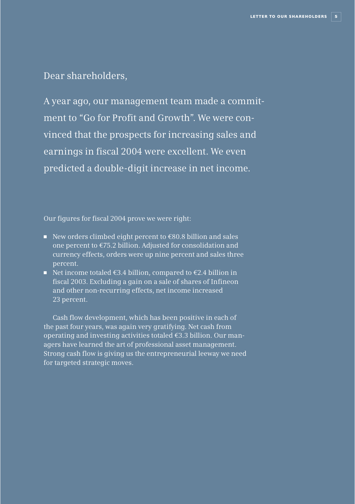# Dear shareholders,

A year ago, our management team made a commitment to "Go for Profit and Growth". We were convinced that the prospects for increasing sales and earnings in fiscal 2004 were excellent. We even predicted a double-digit increase in net income.

Our figures for fiscal 2004 prove we were right:

- New orders climbed eight percent to  $€80.8$  billion and sales one percent to €75.2 billion. Adjusted for consolidation and currency effects, orders were up nine percent and sales three percent.
- Net income totaled  $€3.4$  billion, compared to  $€2.4$  billion in fiscal 2003. Excluding a gain on a sale of shares of Infineon and other non-recurring effects, net income increased 23 percent.

Cash flow development, which has been positive in each of the past four years, was again very gratifying. Net cash from operating and investing activities totaled €3.3 billion. Our managers have learned the art of professional asset management. Strong cash flow is giving us the entrepreneurial leeway we need for targeted strategic moves.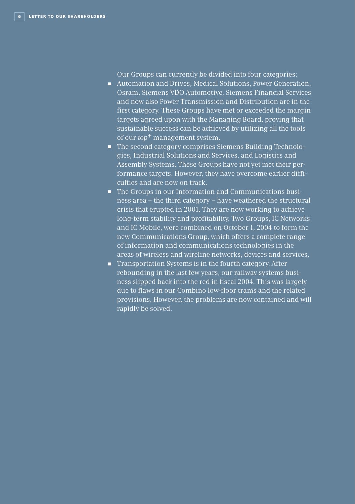Our Groups can currently be divided into four categories:

- Automation and Drives, Medical Solutions, Power Generation, Osram, Siemens VDO Automotive, Siemens Financial Services and now also Power Transmission and Distribution are in the first category. These Groups have met or exceeded the margin targets agreed upon with the Managing Board, proving that sustainable success can be achieved by utilizing all the tools of our *top*+ management system.
- The second category comprises Siemens Building Technologies, Industrial Solutions and Services, and Logistics and Assembly Systems. These Groups have not yet met their performance targets. However, they have overcome earlier difficulties and are now on track.
- The Groups in our Information and Communications business area – the third category – have weathered the structural crisis that erupted in 2001. They are now working to achieve long-term stability and profitability. Two Groups, IC Networks and IC Mobile, were combined on October 1, 2004 to form the new Communications Group, which offers a complete range of information and communications technologies in the areas of wireless and wireline networks, devices and services.
- Transportation Systems is in the fourth category. After rebounding in the last few years, our railway systems business slipped back into the red in fiscal 2004. This was largely due to flaws in our Combino low-floor trams and the related provisions. However, the problems are now contained and will rapidly be solved.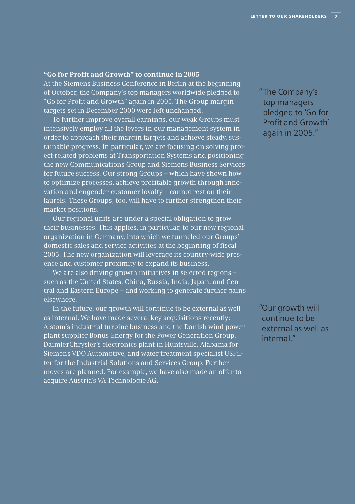# **"Go for Profit and Growth" to continue in 2005**

At the Siemens Business Conference in Berlin at the beginning of October, the Company's top managers worldwide pledged to "Go for Profit and Growth" again in 2005. The Group margin targets set in December 2000 were left unchanged.

To further improve overall earnings, our weak Groups must intensively employ all the levers in our management system in order to approach their margin targets and achieve steady, sustainable progress. In particular, we are focusing on solving project-related problems at Transportation Systems and positioning the new Communications Group and Siemens Business Services for future success. Our strong Groups – which have shown how to optimize processes, achieve profitable growth through innovation and engender customer loyalty – cannot rest on their laurels. These Groups, too, will have to further strengthen their market positions.

Our regional units are under a special obligation to grow their businesses. This applies, in particular, to our new regional organization in Germany, into which we funneled our Groups' domestic sales and service activities at the beginning of fiscal 2005. The new organization will leverage its country-wide presence and customer proximity to expand its business.

We are also driving growth initiatives in selected regions – such as the United States, China, Russia, India, Japan, and Central and Eastern Europe – and working to generate further gains elsewhere.

In the future, our growth will continue to be external as well as internal. We have made several key acquisitions recently: Alstom's industrial turbine business and the Danish wind power plant supplier Bonus Energy for the Power Generation Group, DaimlerChrysler's electronics plant in Huntsville, Alabama for Siemens VDO Automotive, and water treatment specialist USFilter for the Industrial Solutions and Services Group. Further moves are planned. For example, we have also made an offer to acquire Austria's VA Technologie AG.

"The Company's top managers pledged to 'Go for Profit and Growth' again in 2005."

"Our growth will continue to be external as well as internal."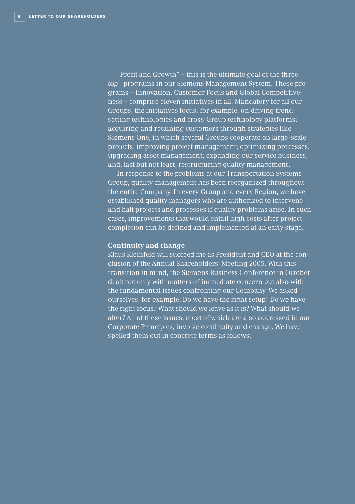"Profit and Growth" – this is the ultimate goal of the three *top*+ programs in our Siemens Management System. These programs – Innovation, Customer Focus and Global Competitiveness – comprise eleven initiatives in all. Mandatory for all our Groups, the initiatives focus, for example, on driving trendsetting technologies and cross-Group technology platforms; acquiring and retaining customers through strategies like Siemens One, in which several Groups cooperate on large-scale projects; improving project management; optimizing processes; upgrading asset management; expanding our service business; and, last but not least, restructuring quality management.

In response to the problems at our Transportation Systems Group, quality management has been reorganized throughout the entire Company. In every Group and every Region, we have established quality managers who are authorized to intervene and halt projects and processes if quality problems arise. In such cases, improvements that would entail high costs after project completion can be defined and implemented at an early stage.

#### **Continuity and change**

Klaus Kleinfeld will succeed me as President and CEO at the conclusion of the Annual Shareholders' Meeting 2005. With this transition in mind, the Siemens Business Conference in October dealt not only with matters of immediate concern but also with the fundamental issues confronting our Company. We asked ourselves, for example: Do we have the right setup? Do we have the right focus? What should we leave as it is? What should we alter? All of these issues, most of which are also addressed in our Corporate Principles, involve continuity and change. We have spelled them out in concrete terms as follows: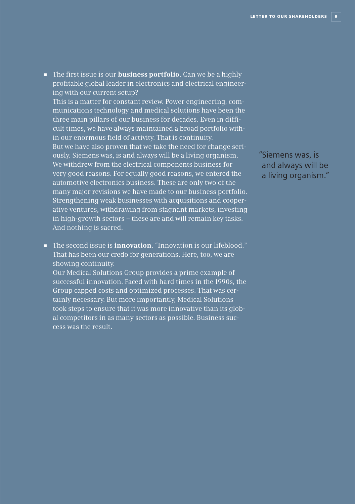- The first issue is our **business portfolio**. Can we be a highly profitable global leader in electronics and electrical engineering with our current setup? This is a matter for constant review. Power engineering, communications technology and medical solutions have been the three main pillars of our business for decades. Even in difficult times, we have always maintained a broad portfolio within our enormous field of activity. That is continuity. But we have also proven that we take the need for change seriously. Siemens was, is and always will be a living organism. We withdrew from the electrical components business for very good reasons. For equally good reasons, we entered the automotive electronics business. These are only two of the many major revisions we have made to our business portfolio. Strengthening weak businesses with acquisitions and cooperative ventures, withdrawing from stagnant markets, investing in high-growth sectors – these are and will remain key tasks. And nothing is sacred.
- The second issue is **innovation**. "Innovation is our lifeblood." That has been our credo for generations. Here, too, we are showing continuity.

Our Medical Solutions Group provides a prime example of successful innovation. Faced with hard times in the 1990s, the Group capped costs and optimized processes. That was certainly necessary. But more importantly, Medical Solutions took steps to ensure that it was more innovative than its global competitors in as many sectors as possible. Business success was the result.

"Siemens was, is and always will be a living organism."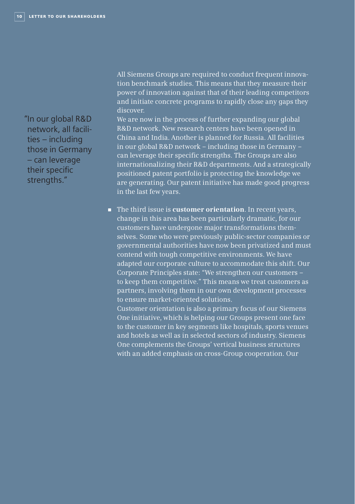"In our global R&D network, all facilities – including those in Germany – can leverage their specific strengths."

All Siemens Groups are required to conduct frequent innovation benchmark studies. This means that they measure their power of innovation against that of their leading competitors and initiate concrete programs to rapidly close any gaps they discover.

We are now in the process of further expanding our global R&D network. New research centers have been opened in China and India. Another is planned for Russia. All facilities in our global R&D network – including those in Germany – can leverage their specific strengths. The Groups are also internationalizing their R&D departments. And a strategically positioned patent portfolio is protecting the knowledge we are generating. Our patent initiative has made good progress in the last few years.

■ The third issue is **customer orientation**. In recent years, change in this area has been particularly dramatic, for our customers have undergone major transformations themselves. Some who were previously public-sector companies or governmental authorities have now been privatized and must contend with tough competitive environments. We have adapted our corporate culture to accommodate this shift. Our Corporate Principles state: "We strengthen our customers – to keep them competitive." This means we treat customers as partners, involving them in our own development processes to ensure market-oriented solutions.

Customer orientation is also a primary focus of our Siemens One initiative, which is helping our Groups present one face to the customer in key segments like hospitals, sports venues and hotels as well as in selected sectors of industry. Siemens One complements the Groups' vertical business structures with an added emphasis on cross-Group cooperation. Our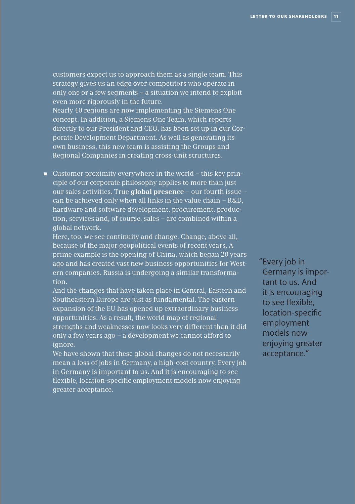customers expect us to approach them as a single team. This strategy gives us an edge over competitors who operate in only one or a few segments – a situation we intend to exploit even more rigorously in the future.

Nearly 40 regions are now implementing the Siemens One concept. In addition, a Siemens One Team, which reports directly to our President and CEO, has been set up in our Corporate Development Department. As well as generating its own business, this new team is assisting the Groups and Regional Companies in creating cross-unit structures.

■ Customer proximity everywhere in the world – this key principle of our corporate philosophy applies to more than just our sales activities. True **global presence** – our fourth issue – can be achieved only when all links in the value chain – R&D, hardware and software development, procurement, production, services and, of course, sales – are combined within a global network.

Here, too, we see continuity and change. Change, above all, because of the major geopolitical events of recent years. A prime example is the opening of China, which began 20 years ago and has created vast new business opportunities for Western companies. Russia is undergoing a similar transformation.

And the changes that have taken place in Central, Eastern and Southeastern Europe are just as fundamental. The eastern expansion of the EU has opened up extraordinary business opportunities. As a result, the world map of regional strengths and weaknesses now looks very different than it did only a few years ago – a development we cannot afford to ignore.

We have shown that these global changes do not necessarily mean a loss of jobs in Germany, a high-cost country. Every job in Germany is important to us. And it is encouraging to see flexible, location-specific employment models now enjoying greater acceptance.

"Every job in Germany is important to us. And it is encouraging to see flexible, location-specific employment models now enjoying greater acceptance."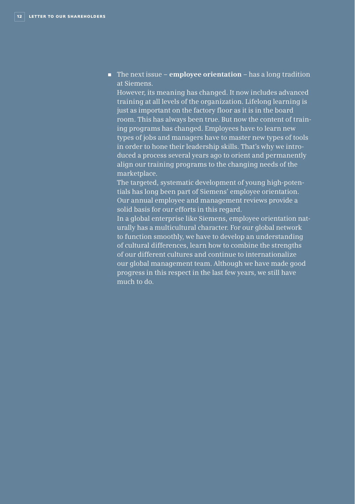■ The next issue – **employee orientation** – has a long tradition at Siemens.

However, its meaning has changed. It now includes advanced training at all levels of the organization. Lifelong learning is just as important on the factory floor as it is in the board room. This has always been true. But now the content of training programs has changed. Employees have to learn new types of jobs and managers have to master new types of tools in order to hone their leadership skills. That's why we introduced a process several years ago to orient and permanently align our training programs to the changing needs of the marketplace.

The targeted, systematic development of young high-potentials has long been part of Siemens' employee orientation. Our annual employee and management reviews provide a solid basis for our efforts in this regard.

In a global enterprise like Siemens, employee orientation naturally has a multicultural character. For our global network to function smoothly, we have to develop an understanding of cultural differences, learn how to combine the strengths of our different cultures and continue to internationalize our global management team. Although we have made good progress in this respect in the last few years, we still have much to do.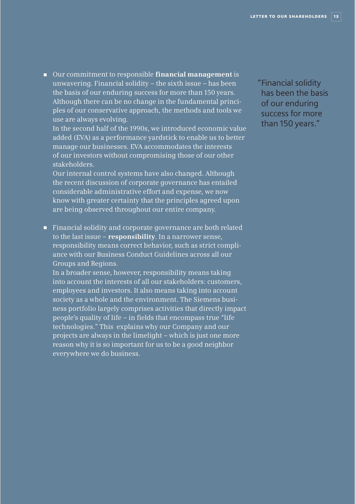■ Our commitment to responsible **financial management** is unwavering. Financial solidity – the sixth issue – has been the basis of our enduring success for more than 150 years. Although there can be no change in the fundamental principles of our conservative approach, the methods and tools we use are always evolving.

In the second half of the 1990s, we introduced economic value added (EVA) as a performance yardstick to enable us to better manage our businesses. EVA accommodates the interests of our investors without compromising those of our other stakeholders.

Our internal control systems have also changed. Although the recent discussion of corporate governance has entailed considerable administrative effort and expense, we now know with greater certainty that the principles agreed upon are being observed throughout our entire company.

■ Financial solidity and corporate governance are both related to the last issue – **responsibility**. In a narrower sense, responsibility means correct behavior, such as strict compliance with our Business Conduct Guidelines across all our Groups and Regions.

In a broader sense, however, responsibility means taking into account the interests of all our stakeholders: customers, employees and investors. It also means taking into account society as a whole and the environment. The Siemens business portfolio largely comprises activities that directly impact people's quality of life – in fields that encompass true "life technologies." This explains why our Company and our projects are always in the limelight – which is just one more reason why it is so important for us to be a good neighbor everywhere we do business.

"Financial solidity has been the basis of our enduring success for more than 150 years."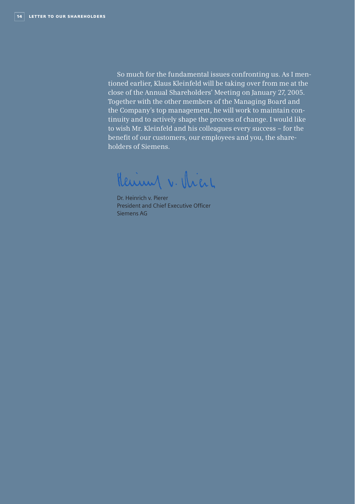So much for the fundamental issues confronting us. As I mentioned earlier, Klaus Kleinfeld will be taking over from me at the close of the Annual Shareholders' Meeting on January 27, 2005. Together with the other members of the Managing Board and the Company's top management, he will work to maintain continuity and to actively shape the process of change. I would like to wish Mr. Kleinfeld and his colleagues every success – for the benefit of our customers, our employees and you, the shareholders of Siemens.

Henry v. thiers

Dr. Heinrich v. Pierer President and Chief Executive Officer Siemens AG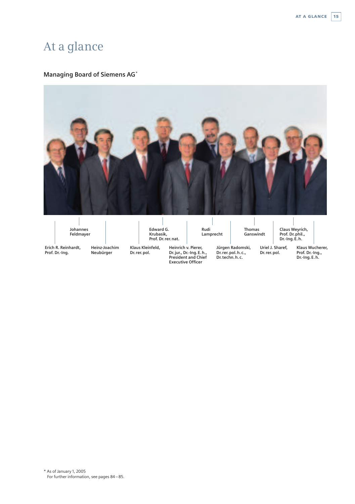# At a glance

# **Managing Board of Siemens AG**\*



**Johannes Feldmayer**

**Erich R. Reinhardt, Prof. Dr.-Ing.**

**Heinz-Joachim Neubürger**

**Klaus Kleinfeld, Dr.rer.pol.**

**Edward G. Krubasik, Prof. Dr.rer.nat.** **Rudi Lamprecht**

**Thomas Ganswindt**

**Claus Weyrich, Prof. Dr.phil., Dr.-Ing.E.h. Uriel J. Sharef, Dr.rer.pol.** 

**Klaus Wucherer, Prof. Dr.-Ing., Dr.-Ing.E.h.** 

**Jürgen Radomski, Dr.rer.pol.h.c., Dr.techn.h.c. Heinrich v. Pierer, Dr.jur., Dr.-Ing.E.h., President and Chief Executive Officer**

\* As of January 1, 2005 For further information, see pages 84–85.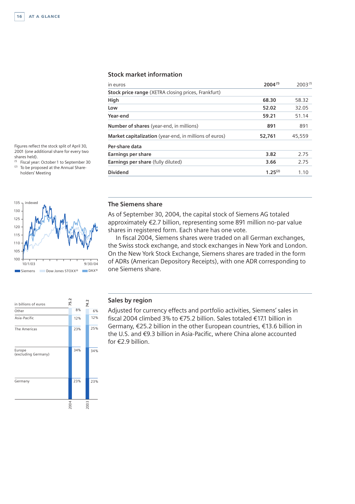#### **Stock market information**

| in euros                                               | $2004^{(1)}$ | $2003^{(1)}$ |
|--------------------------------------------------------|--------------|--------------|
| Stock price range (XETRA closing prices, Frankfurt)    |              |              |
| High                                                   | 68.30        | 58.32        |
| Low                                                    | 52.02        | 32.05        |
| Year-end                                               | 59.21        | 51.14        |
| Number of shares (year-end, in millions)               | 891          | 891          |
| Market capitalization (year-end, in millions of euros) | 52,761       | 45,559       |
| Per-share data                                         |              |              |
| Earnings per share                                     | 3.82         | 2.75         |
| Earnings per share (fully diluted)                     | 3.66         | 2.75         |
| <b>Dividend</b>                                        | $1.25^{(2)}$ | 1.10         |

Figures reflect the stock split of April 30, 2001 (one additional share for every two shares held). Fiscal year: October 1 to September 30

(2) To be proposed at the Annual Shareholders' Meeting



#### **The Siemens share**

As of September 30, 2004, the capital stock of Siemens AG totaled approximately €2.7 billion, representing some 891 million no-par value shares in registered form. Each share has one vote.

In fiscal 2004, Siemens shares were traded on all German exchanges, the Swiss stock exchange, and stock exchanges in New York and London. On the New York Stock Exchange, Siemens shares are traded in the form of ADRs (American Depository Receipts), with one ADR corresponding to one Siemens share.



#### **Sales by region**

Adjusted for currency effects and portfolio activities, Siemens' sales in fiscal 2004 climbed 3% to €75.2 billion. Sales totaled €17.1 billion in Germany, €25.2 billion in the other European countries, €13.6 billion in the U.S. and €9.3 billion in Asia-Pacific, where China alone accounted for €2.9 billion.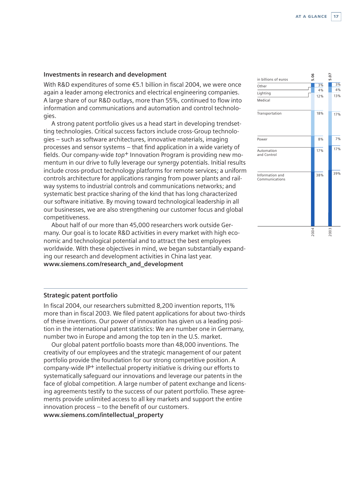#### **Investments in research and development**

With R&D expenditures of some €5.1 billion in fiscal 2004, we were once again a leader among electronics and electrical engineering companies. A large share of our R&D outlays, more than 55%, continued to flow into information and communications and automation and control technologies.

A strong patent portfolio gives us a head start in developing trendsetting technologies. Critical success factors include cross-Group technologies – such as software architectures, innovative materials, imaging processes and sensor systems – that find application in a wide variety of fields. Our company-wide *top*+ Innovation Program is providing new momentum in our drive to fully leverage our synergy potentials. Initial results include cross-product technology platforms for remote services; a uniform controls architecture for applications ranging from power plants and railway systems to industrial controls and communications networks; and systematic best practice sharing of the kind that has long characterized our software initiative. By moving toward technological leadership in all our businesses, we are also strengthening our customer focus and global competitiveness.

About half of our more than 45,000 researchers work outside Germany. Our goal is to locate R&D activities in every market with high economic and technological potential and to attract the best employees worldwide. With these objectives in mind, we began substantially expanding our research and development activities in China last year. **www.siemens.com/research\_and\_development**



#### **Strategic patent portfolio**

In fiscal 2004, our researchers submitted 8,200 invention reports, 11% more than in fiscal 2003. We filed patent applications for about two-thirds of these inventions. Our power of innovation has given us a leading position in the international patent statistics: We are number one in Germany, number two in Europe and among the top ten in the U.S. market.

Our global patent portfolio boasts more than 48,000 inventions. The creativity of our employees and the strategic management of our patent portfolio provide the foundation for our strong competitive position. A  $company-wide IP<sup>+</sup> intellectual property initiative is driving our efforts to$ systematically safeguard our innovations and leverage our patents in the face of global competition. A large number of patent exchange and licensing agreements testify to the success of our patent portfolio. These agreements provide unlimited access to all key markets and support the entire innovation process – to the benefit of our customers. **www.siemens.com/intellectual\_property**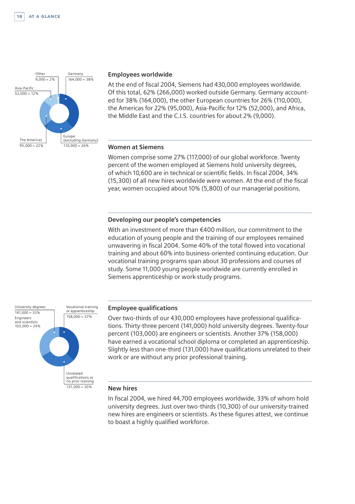

#### **Employees worldwide**

At the end of fiscal 2004, Siemens had 430,000 employees worldwide. Of this total, 62% (266,000) worked outside Germany. Germany accounted for 38% (164,000), the other European countries for 26% (110,000), the Americas for 22% (95,000), Asia-Pacific for 12% (52,000), and Africa, the Middle East and the C.I.S. countries for about 2% (9,000).

#### **Women at Siemens**

Women comprise some 27% (117,000) of our global workforce. Twenty percent of the women employed at Siemens hold university degrees, of which 10,600 are in technical or scientific fields. In fiscal 2004, 34% (15,300) of all new hires worldwide were women. At the end of the fiscal year, women occupied about 10% (5,800) of our managerial positions.

#### **Developing our people's competencies**

With an investment of more than €400 million, our commitment to the education of young people and the training of our employees remained unwavering in fiscal 2004. Some 40% of the total flowed into vocational training and about 60% into business-oriented continuing education. Our vocational training programs span about 30 professions and courses of study. Some 11,000 young people worldwide are currently enrolled in Siemens apprenticeship or work-study programs.



#### **Employee qualifications**

Over two-thirds of our 430,000 employees have professional qualifications. Thirty-three percent (141,000) hold university degrees. Twenty-four percent (103,000) are engineers or scientists. Another 37% (158,000) have earned a vocational school diploma or completed an apprenticeship. Slightly less than one-third (131,000) have qualifications unrelated to their work or are without any prior professional training.

#### **New hires**

In fiscal 2004, we hired 44,700 employees worldwide, 33% of whom hold university degrees. Just over two-thirds (10,300) of our university-trained new hires are engineers or scientists. As these figures attest, we continue to boast a highly qualified workforce.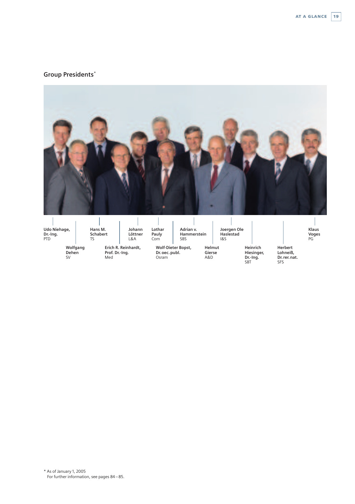# **Group Presidents**\*



**Udo Niehage, Dr.-Ing.**  PTD

**Wolfgang<br>Dehen<br>**SV

**Hans M. Schabert** TS

**Erich R. Reinhardt, Prof. Dr.-Ing.**  Med

**Lothar Pauly** Com **Johann Löttner**

L&A

Osram

**Adrian v. Hammerstein** SBS

**Wolf-Dieter Bopst, Dr.oec.publ.** 

**Helmut Gierse** A&D  $185$ 

**Heinrich Hiesinger, Dr.-Ing.**<br>SBT **Joergen Ole Haslestad** 

**Klaus Voges**  PG

**Herbert Lohneiß, Dr.rer.nat.**  SFS

\* As of January 1, 2005 For further information, see pages 84–85.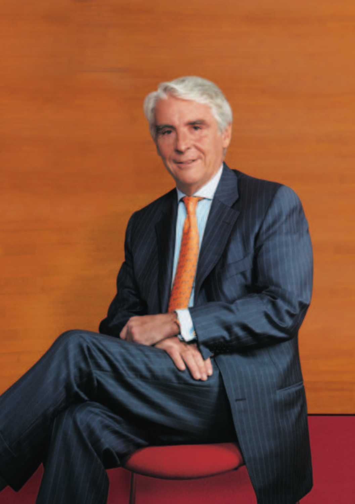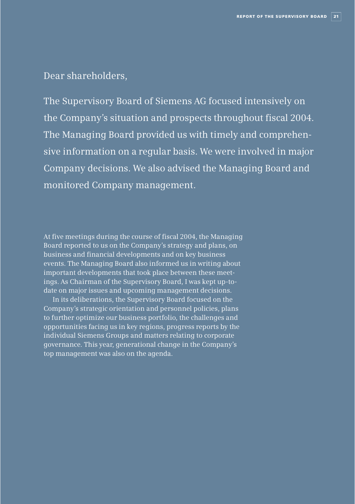# Dear shareholders,

The Supervisory Board of Siemens AG focused intensively on the Company's situation and prospects throughout fiscal 2004. The Managing Board provided us with timely and comprehensive information on a regular basis. We were involved in major Company decisions. We also advised the Managing Board and monitored Company management.

At five meetings during the course of fiscal 2004, the Managing Board reported to us on the Company's strategy and plans, on business and financial developments and on key business events. The Managing Board also informed us in writing about important developments that took place between these meetings. As Chairman of the Supervisory Board, I was kept up-todate on major issues and upcoming management decisions.

In its deliberations, the Supervisory Board focused on the Company's strategic orientation and personnel policies, plans to further optimize our business portfolio, the challenges and opportunities facing us in key regions, progress reports by the individual Siemens Groups and matters relating to corporate governance. This year, generational change in the Company's top management was also on the agenda.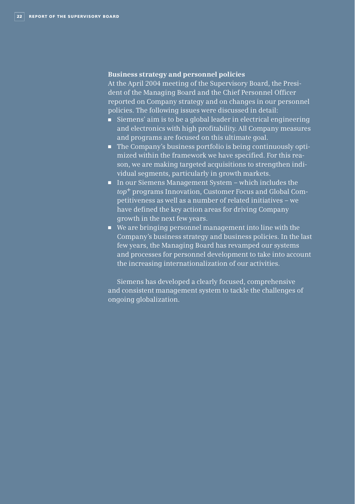#### **Business strategy and personnel policies**

At the April 2004 meeting of the Supervisory Board, the President of the Managing Board and the Chief Personnel Officer reported on Company strategy and on changes in our personnel policies. The following issues were discussed in detail:

- Siemens' aim is to be a global leader in electrical engineering and electronics with high profitability. All Company measures and programs are focused on this ultimate goal.
- The Company's business portfolio is being continuously optimized within the framework we have specified. For this reason, we are making targeted acquisitions to strengthen individual segments, particularly in growth markets.
- In our Siemens Management System which includes the *top*+ programs Innovation, Customer Focus and Global Competitiveness as well as a number of related initiatives – we have defined the key action areas for driving Company growth in the next few years.
- We are bringing personnel management into line with the Company's business strategy and business policies. In the last few years, the Managing Board has revamped our systems and processes for personnel development to take into account the increasing internationalization of our activities.

Siemens has developed a clearly focused, comprehensive and consistent management system to tackle the challenges of ongoing globalization.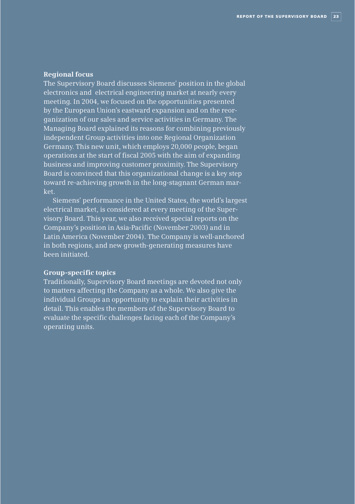## **Regional focus**

The Supervisory Board discusses Siemens' position in the global electronics and electrical engineering market at nearly every meeting. In 2004, we focused on the opportunities presented by the European Union's eastward expansion and on the reorganization of our sales and service activities in Germany. The Managing Board explained its reasons for combining previously independent Group activities into one Regional Organization Germany. This new unit, which employs 20,000 people, began operations at the start of fiscal 2005 with the aim of expanding business and improving customer proximity. The Supervisory Board is convinced that this organizational change is a key step toward re-achieving growth in the long-stagnant German market.

Siemens' performance in the United States, the world's largest electrical market, is considered at every meeting of the Supervisory Board. This year, we also received special reports on the Company's position in Asia-Pacific (November 2003) and in Latin America (November 2004). The Company is well-anchored in both regions, and new growth-generating measures have been initiated.

## **Group-specific topics**

Traditionally, Supervisory Board meetings are devoted not only to matters affecting the Company as a whole. We also give the individual Groups an opportunity to explain their activities in detail. This enables the members of the Supervisory Board to evaluate the specific challenges facing each of the Company's operating units.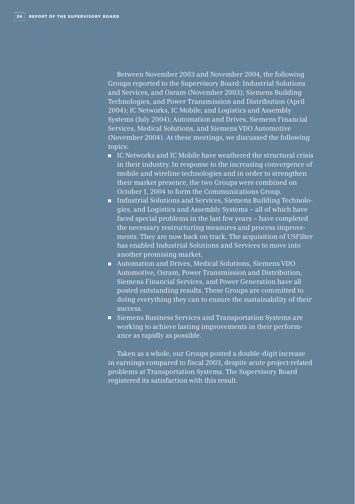Between November 2003 and November 2004, the following Groups reported to the Supervisory Board: Industrial Solutions and Services, and Osram (November 2003); Siemens Building Technologies, and Power Transmission and Distribution (April 2004); IC Networks, IC Mobile, and Logistics and Assembly Systems (July 2004); Automation and Drives, Siemens Financial Services, Medical Solutions, and Siemens VDO Automotive (November 2004). At these meetings, we discussed the following topics:

- IC Networks and IC Mobile have weathered the structural crisis in their industry. In response to the increasing convergence of mobile and wireline technologies and in order to strengthen their market presence, the two Groups were combined on October 1, 2004 to form the Communications Group.
- Industrial Solutions and Services, Siemens Building Technologies, and Logistics and Assembly Systems – all of which have faced special problems in the last few years – have completed the necessary restructuring measures and process improvements. They are now back on track. The acquisition of USFilter has enabled Industrial Solutions and Services to move into another promising market.
- Automation and Drives, Medical Solutions, Siemens VDO Automotive, Osram, Power Transmission and Distribution, Siemens Financial Services, and Power Generation have all posted outstanding results. These Groups are committed to doing everything they can to ensure the sustainability of their success.
- Siemens Business Services and Transportation Systems are working to achieve lasting improvements in their performance as rapidly as possible.

Taken as a whole, our Groups posted a double-digit increase in earnings compared to fiscal 2003, despite acute project-related problems at Transportation Systems. The Supervisory Board registered its satisfaction with this result.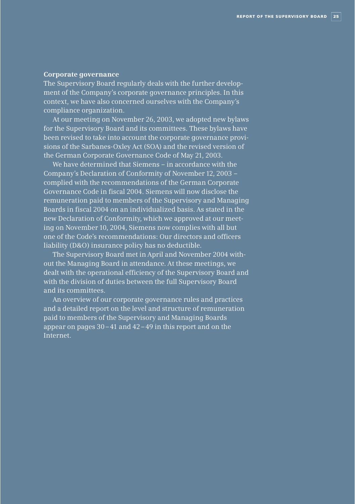#### **Corporate governance**

The Supervisory Board regularly deals with the further development of the Company's corporate governance principles. In this context, we have also concerned ourselves with the Company's compliance organization.

At our meeting on November 26, 2003, we adopted new bylaws for the Supervisory Board and its committees. These bylaws have been revised to take into account the corporate governance provisions of the Sarbanes-Oxley Act (SOA) and the revised version of the German Corporate Governance Code of May 21, 2003.

We have determined that Siemens – in accordance with the Company's Declaration of Conformity of November 12, 2003 – complied with the recommendations of the German Corporate Governance Code in fiscal 2004. Siemens will now disclose the remuneration paid to members of the Supervisory and Managing Boards in fiscal 2004 on an individualized basis. As stated in the new Declaration of Conformity, which we approved at our meeting on November 10, 2004, Siemens now complies with all but one of the Code's recommendations: Our directors and officers liability (D&O) insurance policy has no deductible.

The Supervisory Board met in April and November 2004 without the Managing Board in attendance. At these meetings, we dealt with the operational efficiency of the Supervisory Board and with the division of duties between the full Supervisory Board and its committees.

An overview of our corporate governance rules and practices and a detailed report on the level and structure of remuneration paid to members of the Supervisory and Managing Boards appear on pages 30–41 and 42–49 in this report and on the Internet.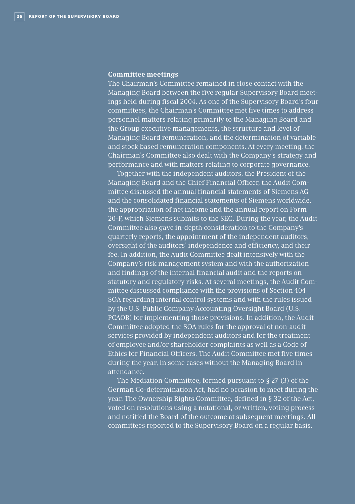#### **Committee meetings**

The Chairman's Committee remained in close contact with the Managing Board between the five regular Supervisory Board meetings held during fiscal 2004. As one of the Supervisory Board's four committees, the Chairman's Committee met five times to address personnel matters relating primarily to the Managing Board and the Group executive managements, the structure and level of Managing Board remuneration, and the determination of variable and stock-based remuneration components. At every meeting, the Chairman's Committee also dealt with the Company's strategy and performance and with matters relating to corporate governance.

Together with the independent auditors, the President of the Managing Board and the Chief Financial Officer, the Audit Committee discussed the annual financial statements of Siemens AG and the consolidated financial statements of Siemens worldwide, the appropriation of net income and the annual report on Form 20-F, which Siemens submits to the SEC. During the year, the Audit Committee also gave in-depth consideration to the Company's quarterly reports, the appointment of the independent auditors, oversight of the auditors' independence and efficiency, and their fee. In addition, the Audit Committee dealt intensively with the Company's risk management system and with the authorization and findings of the internal financial audit and the reports on statutory and regulatory risks. At several meetings, the Audit Committee discussed compliance with the provisions of Section 404 SOA regarding internal control systems and with the rules issued by the U.S. Public Company Accounting Oversight Board (U.S. PCAOB) for implementing those provisions. In addition, the Audit Committee adopted the SOA rules for the approval of non-audit services provided by independent auditors and for the treatment of employee and/or shareholder complaints as well as a Code of Ethics for Financial Officers. The Audit Committee met five times during the year, in some cases without the Managing Board in attendance.

The Mediation Committee, formed pursuant to § 27 (3) of the German Co-determination Act, had no occasion to meet during the year. The Ownership Rights Committee, defined in § 32 of the Act, voted on resolutions using a notational, or written, voting process and notified the Board of the outcome at subsequent meetings. All committees reported to the Supervisory Board on a regular basis.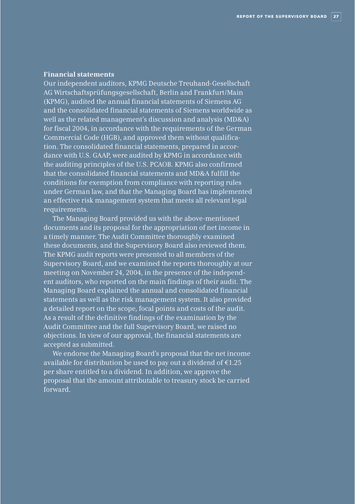#### **Financial statements**

Our independent auditors, KPMG Deutsche Treuhand-Gesellschaft AG Wirtschaftsprüfungsgesellschaft, Berlin and Frankfurt/Main (KPMG), audited the annual financial statements of Siemens AG and the consolidated financial statements of Siemens worldwide as well as the related management's discussion and analysis (MD&A) for fiscal 2004, in accordance with the requirements of the German Commercial Code (HGB), and approved them without qualification. The consolidated financial statements, prepared in accordance with U.S. GAAP, were audited by KPMG in accordance with the auditing principles of the U.S. PCAOB. KPMG also confirmed that the consolidated financial statements and MD&A fulfill the conditions for exemption from compliance with reporting rules under German law, and that the Managing Board has implemented an effective risk management system that meets all relevant legal requirements.

The Managing Board provided us with the above-mentioned documents and its proposal for the appropriation of net income in a timely manner. The Audit Committee thoroughly examined these documents, and the Supervisory Board also reviewed them. The KPMG audit reports were presented to all members of the Supervisory Board, and we examined the reports thoroughly at our meeting on November 24, 2004, in the presence of the independent auditors, who reported on the main findings of their audit. The Managing Board explained the annual and consolidated financial statements as well as the risk management system. It also provided a detailed report on the scope, focal points and costs of the audit. As a result of the definitive findings of the examination by the Audit Committee and the full Supervisory Board, we raised no objections. In view of our approval, the financial statements are accepted as submitted.

We endorse the Managing Board's proposal that the net income available for distribution be used to pay out a dividend of  $E1.25$ per share entitled to a dividend. In addition, we approve the proposal that the amount attributable to treasury stock be carried forward.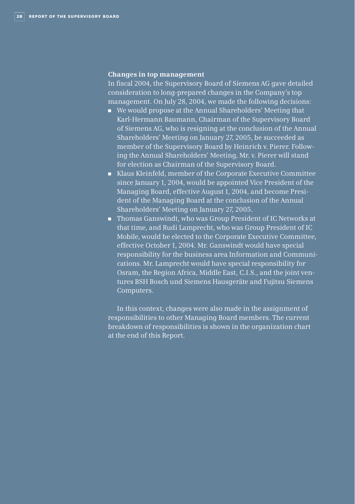#### **Changes in top management**

In fiscal 2004, the Supervisory Board of Siemens AG gave detailed consideration to long-prepared changes in the Company's top management. On July 28, 2004, we made the following decisions:

- We would propose at the Annual Shareholders' Meeting that Karl-Hermann Baumann, Chairman of the Supervisory Board of Siemens AG, who is resigning at the conclusion of the Annual Shareholders' Meeting on January 27, 2005, be succeeded as member of the Supervisory Board by Heinrich v. Pierer. Following the Annual Shareholders' Meeting, Mr. v. Pierer will stand for election as Chairman of the Supervisory Board.
- Klaus Kleinfeld, member of the Corporate Executive Committee since January 1, 2004, would be appointed Vice President of the Managing Board, effective August 1, 2004, and become President of the Managing Board at the conclusion of the Annual Shareholders' Meeting on January 27, 2005.
- Thomas Ganswindt, who was Group President of IC Networks at that time, and Rudi Lamprecht, who was Group President of IC Mobile, would be elected to the Corporate Executive Committee, effective October 1, 2004. Mr. Ganswindt would have special responsibility for the business area Information and Communications. Mr. Lamprecht would have special responsibility for Osram, the Region Africa, Middle East, C.I.S., and the joint ventures BSH Bosch und Siemens Hausgeräte and Fujitsu Siemens Computers.

In this context, changes were also made in the assignment of responsibilities to other Managing Board members. The current breakdown of responsibilities is shown in the organization chart at the end of this Report.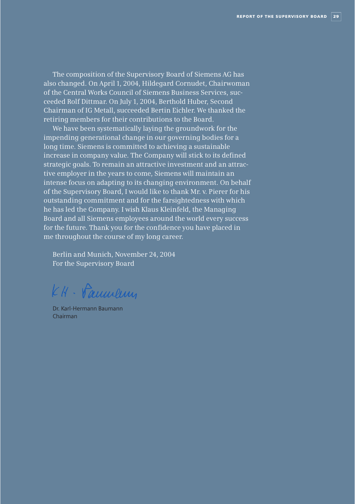The composition of the Supervisory Board of Siemens AG has also changed. On April 1, 2004, Hildegard Cornudet, Chairwoman of the Central Works Council of Siemens Business Services, succeeded Rolf Dittmar. On July 1, 2004, Berthold Huber, Second Chairman of IG Metall, succeeded Bertin Eichler. We thanked the retiring members for their contributions to the Board.

We have been systematically laying the groundwork for the impending generational change in our governing bodies for a long time. Siemens is committed to achieving a sustainable increase in company value. The Company will stick to its defined strategic goals. To remain an attractive investment and an attractive employer in the years to come, Siemens will maintain an intense focus on adapting to its changing environment. On behalf of the Supervisory Board, I would like to thank Mr. v. Pierer for his outstanding commitment and for the farsightedness with which he has led the Company. I wish Klaus Kleinfeld, the Managing Board and all Siemens employees around the world every success for the future. Thank you for the confidence you have placed in me throughout the course of my long career.

Berlin and Munich, November 24, 2004 For the Supervisory Board

KH - Panmerm

Dr. Karl-Hermann Baumann Chairman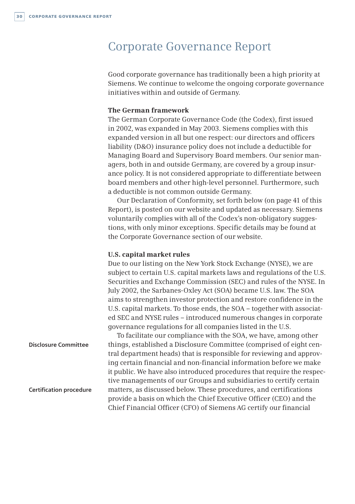# Corporate Governance Report

Good corporate governance has traditionally been a high priority at Siemens. We continue to welcome the ongoing corporate governance initiatives within and outside of Germany.

#### **The German framework**

The German Corporate Governance Code (the Codex), first issued in 2002, was expanded in May 2003. Siemens complies with this expanded version in all but one respect: our directors and officers liability (D&O) insurance policy does not include a deductible for Managing Board and Supervisory Board members. Our senior managers, both in and outside Germany, are covered by a group insurance policy. It is not considered appropriate to differentiate between board members and other high-level personnel. Furthermore, such a deductible is not common outside Germany.

Our Declaration of Conformity, set forth below (on page 41 of this Report), is posted on our website and updated as necessary. Siemens voluntarily complies with all of the Codex's non-obligatory suggestions, with only minor exceptions. Specific details may be found at the Corporate Governance section of our website.

#### **U.S. capital market rules**

Due to our listing on the New York Stock Exchange (NYSE), we are subject to certain U.S. capital markets laws and regulations of the U.S. Securities and Exchange Commission (SEC) and rules of the NYSE. In July 2002, the Sarbanes-Oxley Act (SOA) became U.S. law. The SOA aims to strengthen investor protection and restore confidence in the U.S. capital markets. To those ends, the SOA – together with associated SEC and NYSE rules – introduced numerous changes in corporate governance regulations for all companies listed in the U.S.

To facilitate our compliance with the SOA, we have, among other things, established a Disclosure Committee (comprised of eight central department heads) that is responsible for reviewing and approving certain financial and non-financial information before we make it public. We have also introduced procedures that require the respective managements of our Groups and subsidiaries to certify certain matters, as discussed below. These procedures, and certifications provide a basis on which the Chief Executive Officer (CEO) and the Chief Financial Officer (CFO) of Siemens AG certify our financial **Disclosure Committee Certification procedure**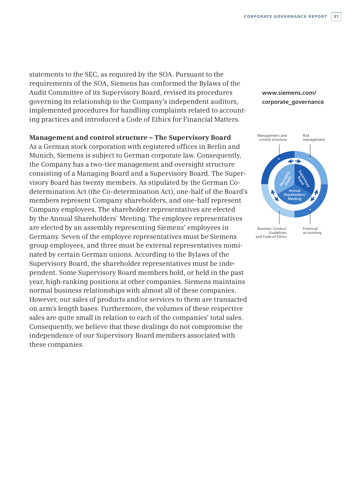statements to the SEC, as required by the SOA. Pursuant to the requirements of the SOA, Siemens has conformed the Bylaws of the Audit Committee of its Supervisory Board, revised its procedures governing its relationship to the Company's independent auditors, implemented procedures for handling complaints related to accounting practices and introduced a Code of Ethics for Financial Matters.

**Management and control structure – The Supervisory Board**

As a German stock corporation with registered offices in Berlin and Munich, Siemens is subject to German corporate law. Consequently, the Company has a two-tier management and oversight structure consisting of a Managing Board and a Supervisory Board. The Supervisory Board has twenty members. As stipulated by the German Codetermination Act (the Co-determination Act), one-half of the Board's members represent Company shareholders, and one-half represent Company employees. The shareholder representatives are elected by the Annual Shareholders' Meeting. The employee representatives are elected by an assembly representing Siemens' employees in Germany. Seven of the employee representatives must be Siemens group employees, and three must be external representatives nominated by certain German unions. According to the Bylaws of the Supervisory Board, the shareholder representatives must be independent. Some Supervisory Board members hold, or held in the past year, high-ranking positions at other companies. Siemens maintains normal business relationships with almost all of these companies. However, our sales of products and/or services to them are transacted on arm's length bases. Furthermore, the volumes of these respective sales are quite small in relation to each of the companies' total sales. Consequently, we believe that these dealings do not compromise the independence of our Supervisory Board members associated with these companies.

**www.siemens.com/ corporate\_governance**

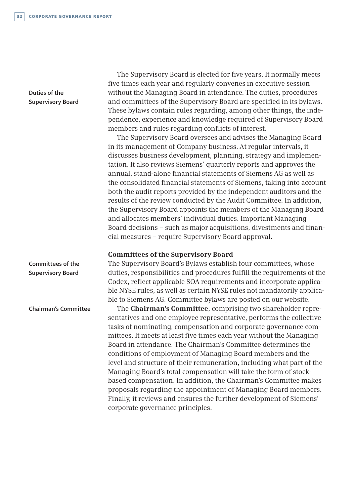# **Duties of the Supervisory Board**

The Supervisory Board is elected for five years. It normally meets five times each year and regularly convenes in executive session without the Managing Board in attendance. The duties, procedures and committees of the Supervisory Board are specified in its bylaws. These bylaws contain rules regarding, among other things, the independence, experience and knowledge required of Supervisory Board members and rules regarding conflicts of interest.

The Supervisory Board oversees and advises the Managing Board in its management of Company business. At regular intervals, it discusses business development, planning, strategy and implementation. It also reviews Siemens' quarterly reports and approves the annual, stand-alone financial statements of Siemens AG as well as the consolidated financial statements of Siemens, taking into account both the audit reports provided by the independent auditors and the results of the review conducted by the Audit Committee. In addition, the Supervisory Board appoints the members of the Managing Board and allocates members' individual duties. Important Managing Board decisions – such as major acquisitions, divestments and financial measures – require Supervisory Board approval.

#### **Committees of the Supervisory Board**

The Supervisory Board's Bylaws establish four committees, whose duties, responsibilities and procedures fulfill the requirements of the Codex, reflect applicable SOA requirements and incorporate applicable NYSE rules, as well as certain NYSE rules not mandatorily applicable to Siemens AG. Committee bylaws are posted on our website.

The **Chairman's Committee**, comprising two shareholder representatives and one employee representative, performs the collective tasks of nominating, compensation and corporate governance committees. It meets at least five times each year without the Managing Board in attendance. The Chairman's Committee determines the conditions of employment of Managing Board members and the level and structure of their remuneration, including what part of the Managing Board's total compensation will take the form of stockbased compensation. In addition, the Chairman's Committee makes proposals regarding the appointment of Managing Board members. Finally, it reviews and ensures the further development of Siemens' corporate governance principles.

**Committees of the Supervisory Board**

**Chairman's Committee**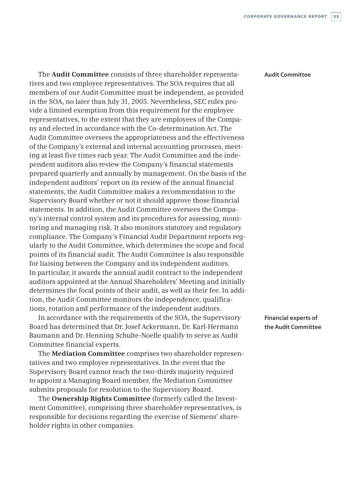The **Audit Committee** consists of three shareholder representatives and two employee representatives. The SOA requires that all members of our Audit Committee must be independent, as provided in the SOA, no later than July 31, 2005. Nevertheless, SEC rules provide a limited exemption from this requirement for the employee representatives, to the extent that they are employees of the Company and elected in accordance with the Co-determination Act. The Audit Committee oversees the appropriateness and the effectiveness of the Company's external and internal accounting processes, meeting at least five times each year. The Audit Committee and the independent auditors also review the Company's financial statements prepared quarterly and annually by management. On the basis of the independent auditors' report on its review of the annual financial statements, the Audit Committee makes a recommendation to the Supervisory Board whether or not it should approve those financial statements. In addition, the Audit Committee oversees the Company's internal control system and its procedures for assessing, monitoring and managing risk. It also monitors statutory and regulatory compliance. The Company's Financial Audit Department reports regularly to the Audit Committee, which determines the scope and focal points of its financial audit. The Audit Committee is also responsible for liaising between the Company and its independent auditors. In particular, it awards the annual audit contract to the independent auditors appointed at the Annual Shareholders' Meeting and initially determines the focal points of their audit, as well as their fee. In addition, the Audit Committee monitors the independence, qualifications, rotation and performance of the independent auditors.

In accordance with the requirements of the SOA, the Supervisory Board has determined that Dr. Josef Ackermann, Dr. Karl-Hermann Baumann and Dr. Henning Schulte-Noelle qualify to serve as Audit Committee financial experts.

The **Mediation Committee** comprises two shareholder representatives and two employee representatives. In the event that the Supervisory Board cannot reach the two-thirds majority required to appoint a Managing Board member, the Mediation Committee submits proposals for resolution to the Supervisory Board.

The **Ownership Rights Committee** (formerly called the Investment Committee), comprising three shareholder representatives, is responsible for decisions regarding the exercise of Siemens' shareholder rights in other companies.

**Audit Committee**

**Financial experts of the Audit Committee**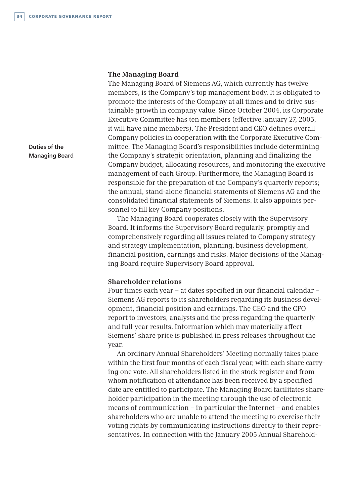#### **The Managing Board**

The Managing Board of Siemens AG, which currently has twelve members, is the Company's top management body. It is obligated to promote the interests of the Company at all times and to drive sustainable growth in company value. Since October 2004, its Corporate Executive Committee has ten members (effective January 27, 2005, it will have nine members). The President and CEO defines overall Company policies in cooperation with the Corporate Executive Committee. The Managing Board's responsibilities include determining the Company's strategic orientation, planning and finalizing the Company budget, allocating resources, and monitoring the executive management of each Group. Furthermore, the Managing Board is responsible for the preparation of the Company's quarterly reports; the annual, stand-alone financial statements of Siemens AG and the consolidated financial statements of Siemens. It also appoints personnel to fill key Company positions.

The Managing Board cooperates closely with the Supervisory Board. It informs the Supervisory Board regularly, promptly and comprehensively regarding all issues related to Company strategy and strategy implementation, planning, business development, financial position, earnings and risks. Major decisions of the Managing Board require Supervisory Board approval.

### **Shareholder relations**

Four times each year – at dates specified in our financial calendar – Siemens AG reports to its shareholders regarding its business development, financial position and earnings. The CEO and the CFO report to investors, analysts and the press regarding the quarterly and full-year results. Information which may materially affect Siemens' share price is published in press releases throughout the year.

An ordinary Annual Shareholders' Meeting normally takes place within the first four months of each fiscal year, with each share carrying one vote. All shareholders listed in the stock register and from whom notification of attendance has been received by a specified date are entitled to participate. The Managing Board facilitates shareholder participation in the meeting through the use of electronic means of communication – in particular the Internet – and enables shareholders who are unable to attend the meeting to exercise their voting rights by communicating instructions directly to their representatives. In connection with the January 2005 Annual Sharehold-

**Duties of the Managing Board**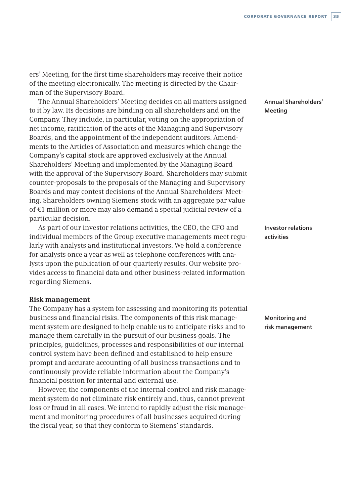ers' Meeting, for the first time shareholders may receive their notice of the meeting electronically. The meeting is directed by the Chairman of the Supervisory Board.

The Annual Shareholders' Meeting decides on all matters assigned to it by law. Its decisions are binding on all shareholders and on the Company. They include, in particular, voting on the appropriation of net income, ratification of the acts of the Managing and Supervisory Boards, and the appointment of the independent auditors. Amendments to the Articles of Association and measures which change the Company's capital stock are approved exclusively at the Annual Shareholders' Meeting and implemented by the Managing Board with the approval of the Supervisory Board. Shareholders may submit counter-proposals to the proposals of the Managing and Supervisory Boards and may contest decisions of the Annual Shareholders' Meeting. Shareholders owning Siemens stock with an aggregate par value of €1 million or more may also demand a special judicial review of a particular decision.

As part of our investor relations activities, the CEO, the CFO and individual members of the Group executive managements meet regularly with analysts and institutional investors. We hold a conference for analysts once a year as well as telephone conferences with analysts upon the publication of our quarterly results. Our website provides access to financial data and other business-related information regarding Siemens.

### **Risk management**

The Company has a system for assessing and monitoring its potential business and financial risks. The components of this risk management system are designed to help enable us to anticipate risks and to manage them carefully in the pursuit of our business goals. The principles, guidelines, processes and responsibilities of our internal control system have been defined and established to help ensure prompt and accurate accounting of all business transactions and to continuously provide reliable information about the Company's financial position for internal and external use.

However, the components of the internal control and risk management system do not eliminate risk entirely and, thus, cannot prevent loss or fraud in all cases. We intend to rapidly adjust the risk management and monitoring procedures of all businesses acquired during the fiscal year, so that they conform to Siemens' standards.

**Annual Shareholders' Meeting**

**Investor relations activities**

**Monitoring and risk management**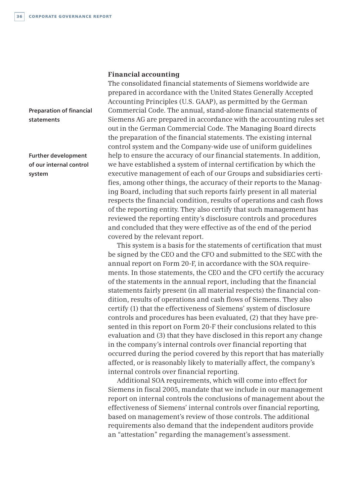#### **Financial accounting**

The consolidated financial statements of Siemens worldwide are prepared in accordance with the United States Generally Accepted Accounting Principles (U.S. GAAP), as permitted by the German Commercial Code. The annual, stand-alone financial statements of Siemens AG are prepared in accordance with the accounting rules set out in the German Commercial Code. The Managing Board directs the preparation of the financial statements. The existing internal control system and the Company-wide use of uniform guidelines help to ensure the accuracy of our financial statements. In addition, we have established a system of internal certification by which the executive management of each of our Groups and subsidiaries certifies, among other things, the accuracy of their reports to the Managing Board, including that such reports fairly present in all material respects the financial condition, results of operations and cash flows of the reporting entity. They also certify that such management has reviewed the reporting entity's disclosure controls and procedures and concluded that they were effective as of the end of the period covered by the relevant report.

This system is a basis for the statements of certification that must be signed by the CEO and the CFO and submitted to the SEC with the annual report on Form 20-F, in accordance with the SOA requirements. In those statements, the CEO and the CFO certify the accuracy of the statements in the annual report, including that the financial statements fairly present (in all material respects) the financial condition, results of operations and cash flows of Siemens. They also certify (1) that the effectiveness of Siemens' system of disclosure controls and procedures has been evaluated, (2) that they have presented in this report on Form 20-F their conclusions related to this evaluation and (3) that they have disclosed in this report any change in the company's internal controls over financial reporting that occurred during the period covered by this report that has materially affected, or is reasonably likely to materially affect, the company's internal controls over financial reporting.

Additional SOA requirements, which will come into effect for Siemens in fiscal 2005, mandate that we include in our management report on internal controls the conclusions of management about the effectiveness of Siemens' internal controls over financial reporting, based on management's review of those controls. The additional requirements also demand that the independent auditors provide an "attestation" regarding the management's assessment.

**Preparation of financial statements**

**Further development of our internal control system**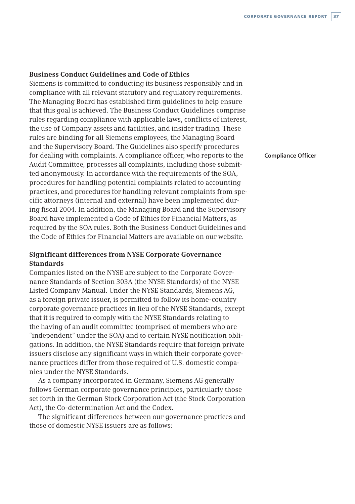# **Business Conduct Guidelines and Code of Ethics**

Siemens is committed to conducting its business responsibly and in compliance with all relevant statutory and regulatory requirements. The Managing Board has established firm guidelines to help ensure that this goal is achieved. The Business Conduct Guidelines comprise rules regarding compliance with applicable laws, conflicts of interest, the use of Company assets and facilities, and insider trading. These rules are binding for all Siemens employees, the Managing Board and the Supervisory Board. The Guidelines also specify procedures for dealing with complaints. A compliance officer, who reports to the Audit Committee, processes all complaints, including those submitted anonymously. In accordance with the requirements of the SOA, procedures for handling potential complaints related to accounting practices, and procedures for handling relevant complaints from specific attorneys (internal and external) have been implemented during fiscal 2004. In addition, the Managing Board and the Supervisory Board have implemented a Code of Ethics for Financial Matters, as required by the SOA rules. Both the Business Conduct Guidelines and the Code of Ethics for Financial Matters are available on our website.

# **Significant differences from NYSE Corporate Governance Standards**

Companies listed on the NYSE are subject to the Corporate Governance Standards of Section 303A (the NYSE Standards) of the NYSE Listed Company Manual. Under the NYSE Standards, Siemens AG, as a foreign private issuer, is permitted to follow its home-country corporate governance practices in lieu of the NYSE Standards, except that it is required to comply with the NYSE Standards relating to the having of an audit committee (comprised of members who are "independent" under the SOA) and to certain NYSE notification obligations. In addition, the NYSE Standards require that foreign private issuers disclose any significant ways in which their corporate governance practices differ from those required of U.S. domestic companies under the NYSE Standards.

As a company incorporated in Germany, Siemens AG generally follows German corporate governance principles, particularly those set forth in the German Stock Corporation Act (the Stock Corporation Act), the Co-determination Act and the Codex.

The significant differences between our governance practices and those of domestic NYSE issuers are as follows:

**Compliance Officer**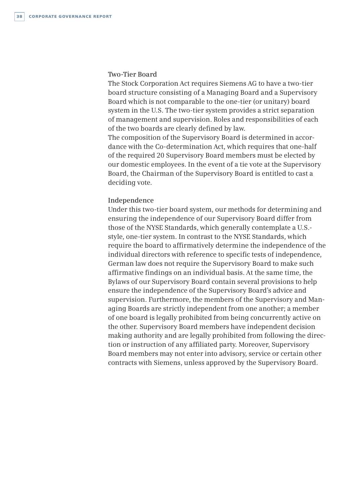### **Two-Tier Board**

The Stock Corporation Act requires Siemens AG to have a two-tier board structure consisting of a Managing Board and a Supervisory Board which is not comparable to the one-tier (or unitary) board system in the U.S. The two-tier system provides a strict separation of management and supervision. Roles and responsibilities of each of the two boards are clearly defined by law.

The composition of the Supervisory Board is determined in accordance with the Co-determination Act, which requires that one-half of the required 20 Supervisory Board members must be elected by our domestic employees. In the event of a tie vote at the Supervisory Board, the Chairman of the Supervisory Board is entitled to cast a deciding vote.

### **Independence**

Under this two-tier board system, our methods for determining and ensuring the independence of our Supervisory Board differ from those of the NYSE Standards, which generally contemplate a U.S. style, one-tier system. In contrast to the NYSE Standards, which require the board to affirmatively determine the independence of the individual directors with reference to specific tests of independence, German law does not require the Supervisory Board to make such affirmative findings on an individual basis. At the same time, the Bylaws of our Supervisory Board contain several provisions to help ensure the independence of the Supervisory Board's advice and supervision. Furthermore, the members of the Supervisory and Managing Boards are strictly independent from one another; a member of one board is legally prohibited from being concurrently active on the other. Supervisory Board members have independent decision making authority and are legally prohibited from following the direction or instruction of any affiliated party. Moreover, Supervisory Board members may not enter into advisory, service or certain other contracts with Siemens, unless approved by the Supervisory Board.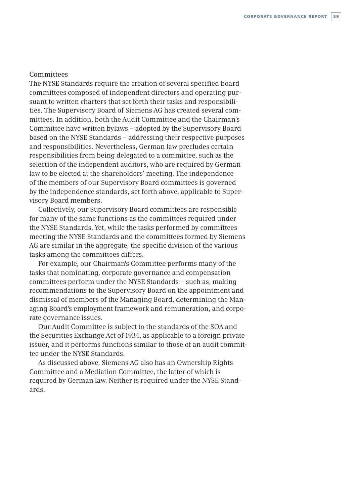# **Committees**

The NYSE Standards require the creation of several specified board committees composed of independent directors and operating pursuant to written charters that set forth their tasks and responsibilities. The Supervisory Board of Siemens AG has created several committees. In addition, both the Audit Committee and the Chairman's Committee have written bylaws – adopted by the Supervisory Board based on the NYSE Standards – addressing their respective purposes and responsibilities. Nevertheless, German law precludes certain responsibilities from being delegated to a committee, such as the selection of the independent auditors, who are required by German law to be elected at the shareholders' meeting. The independence of the members of our Supervisory Board committees is governed by the independence standards, set forth above, applicable to Supervisory Board members.

Collectively, our Supervisory Board committees are responsible for many of the same functions as the committees required under the NYSE Standards. Yet, while the tasks performed by committees meeting the NYSE Standards and the committees formed by Siemens AG are similar in the aggregate, the specific division of the various tasks among the committees differs.

For example, our Chairman's Committee performs many of the tasks that nominating, corporate governance and compensation committees perform under the NYSE Standards – such as, making recommendations to the Supervisory Board on the appointment and dismissal of members of the Managing Board, determining the Managing Board's employment framework and remuneration, and corporate governance issues.

Our Audit Committee is subject to the standards of the SOA and the Securities Exchange Act of 1934, as applicable to a foreign private issuer, and it performs functions similar to those of an audit committee under the NYSE Standards.

As discussed above, Siemens AG also has an Ownership Rights Committee and a Mediation Committee, the latter of which is required by German law. Neither is required under the NYSE Standards.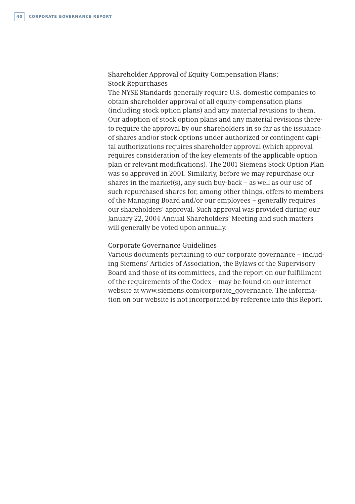**Shareholder Approval of Equity Compensation Plans; Stock Repurchases**

The NYSE Standards generally require U.S. domestic companies to obtain shareholder approval of all equity-compensation plans (including stock option plans) and any material revisions to them. Our adoption of stock option plans and any material revisions thereto require the approval by our shareholders in so far as the issuance of shares and/or stock options under authorized or contingent capital authorizations requires shareholder approval (which approval requires consideration of the key elements of the applicable option plan or relevant modifications). The 2001 Siemens Stock Option Plan was so approved in 2001. Similarly, before we may repurchase our shares in the market(s), any such buy-back – as well as our use of such repurchased shares for, among other things, offers to members of the Managing Board and/or our employees – generally requires our shareholders' approval. Such approval was provided during our January 22, 2004 Annual Shareholders' Meeting and such matters will generally be voted upon annually.

# **Corporate Governance Guidelines**

Various documents pertaining to our corporate governance – including Siemens' Articles of Association, the Bylaws of the Supervisory Board and those of its committees, and the report on our fulfillment of the requirements of the Codex – may be found on our internet website at www.siemens.com/corporate\_governance. The information on our website is not incorporated by reference into this Report.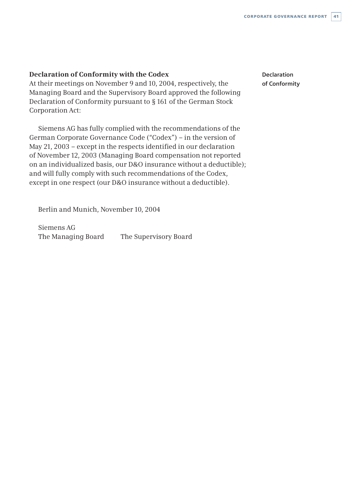### **Declaration of Conformity with the Codex**

At their meetings on November 9 and 10, 2004, respectively, the Managing Board and the Supervisory Board approved the following Declaration of Conformity pursuant to § 161 of the German Stock Corporation Act:

Siemens AG has fully complied with the recommendations of the German Corporate Governance Code ("Codex") – in the version of May 21, 2003 – except in the respects identified in our declaration of November 12, 2003 (Managing Board compensation not reported on an individualized basis, our D&O insurance without a deductible); and will fully comply with such recommendations of the Codex, except in one respect (our D&O insurance without a deductible).

Berlin and Munich, November 10, 2004

Siemens AG The Managing Board The Supervisory Board **Declaration of Conformity**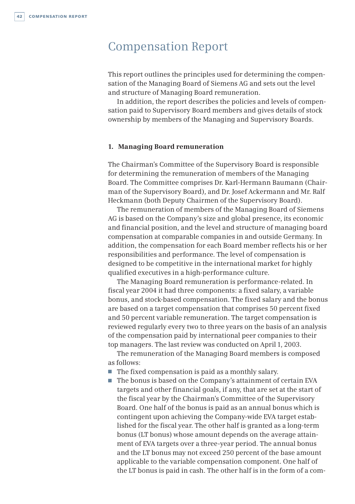# Compensation Report

This report outlines the principles used for determining the compensation of the Managing Board of Siemens AG and sets out the level and structure of Managing Board remuneration.

In addition, the report describes the policies and levels of compensation paid to Supervisory Board members and gives details of stock ownership by members of the Managing and Supervisory Boards.

# **1. Managing Board remuneration**

The Chairman's Committee of the Supervisory Board is responsible for determining the remuneration of members of the Managing Board. The Committee comprises Dr. Karl-Hermann Baumann (Chairman of the Supervisory Board), and Dr. Josef Ackermann and Mr. Ralf Heckmann (both Deputy Chairmen of the Supervisory Board).

The remuneration of members of the Managing Board of Siemens AG is based on the Company's size and global presence, its economic and financial position, and the level and structure of managing board compensation at comparable companies in and outside Germany. In addition, the compensation for each Board member reflects his or her responsibilities and performance. The level of compensation is designed to be competitive in the international market for highly qualified executives in a high-performance culture.

The Managing Board remuneration is performance-related. In fiscal year 2004 it had three components: a fixed salary, a variable bonus, and stock-based compensation. The fixed salary and the bonus are based on a target compensation that comprises 50 percent fixed and 50 percent variable remuneration. The target compensation is reviewed regularly every two to three years on the basis of an analysis of the compensation paid by international peer companies to their top managers. The last review was conducted on April 1, 2003.

The remuneration of the Managing Board members is composed as follows:

- The fixed compensation is paid as a monthly salary.
- The bonus is based on the Company's attainment of certain EVA targets and other financial goals, if any, that are set at the start of the fiscal year by the Chairman's Committee of the Supervisory Board. One half of the bonus is paid as an annual bonus which is contingent upon achieving the Company-wide EVA target established for the fiscal year. The other half is granted as a long-term bonus (LT bonus) whose amount depends on the average attainment of EVA targets over a three-year period. The annual bonus and the LT bonus may not exceed 250 percent of the base amount applicable to the variable compensation component. One half of the LT bonus is paid in cash. The other half is in the form of a com-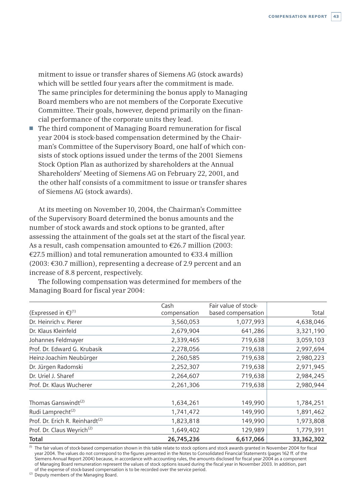mitment to issue or transfer shares of Siemens AG (stock awards) which will be settled four years after the commitment is made. The same principles for determining the bonus apply to Managing Board members who are not members of the Corporate Executive Committee. Their goals, however, depend primarily on the financial performance of the corporate units they lead.

■ The third component of Managing Board remuneration for fiscal year 2004 is stock-based compensation determined by the Chairman's Committee of the Supervisory Board, one half of which consists of stock options issued under the terms of the 2001 Siemens Stock Option Plan as authorized by shareholders at the Annual Shareholders' Meeting of Siemens AG on February 22, 2001, and the other half consists of a commitment to issue or transfer shares of Siemens AG (stock awards).

At its meeting on November 10, 2004, the Chairman's Committee of the Supervisory Board determined the bonus amounts and the number of stock awards and stock options to be granted, after assessing the attainment of the goals set at the start of the fiscal year. As a result, cash compensation amounted to €26.7 million (2003: €27.5 million) and total remuneration amounted to €33.4 million (2003: €30.7 million), representing a decrease of 2.9 percent and an increase of 8.8 percent, respectively.

|                                             | Cash         | Fair value of stock- |            |
|---------------------------------------------|--------------|----------------------|------------|
| (Expressed in $\epsilon$ ) <sup>(1)</sup>   | compensation | based compensation   | Total      |
| Dr. Heinrich v. Pierer                      | 3,560,053    | 1,077,993            | 4,638,046  |
| Dr. Klaus Kleinfeld                         | 2,679,904    | 641,286              | 3,321,190  |
| Johannes Feldmayer                          | 2,339,465    | 719,638              | 3,059,103  |
| Prof. Dr. Edward G. Krubasik                | 2,278,056    | 719,638              | 2,997,694  |
| Heinz-Joachim Neubürger                     | 2,260,585    | 719,638              | 2,980,223  |
| Dr. Jürgen Radomski                         | 2,252,307    | 719,638              | 2,971,945  |
| Dr. Uriel J. Sharef                         | 2,264,607    | 719,638              | 2,984,245  |
| Prof. Dr. Klaus Wucherer                    | 2,261,306    | 719,638              | 2,980,944  |
|                                             |              |                      |            |
| Thomas Ganswindt <sup>(2)</sup>             | 1,634,261    | 149,990              | 1,784,251  |
| Rudi Lamprecht <sup>(2)</sup>               | 1,741,472    | 149,990              | 1,891,462  |
| Prof. Dr. Erich R. Reinhardt <sup>(2)</sup> | 1,823,818    | 149,990              | 1,973,808  |
| Prof. Dr. Claus Weyrich <sup>(2)</sup>      | 1,649,402    | 129,989              | 1,779,391  |
| <b>Total</b>                                | 26,745,236   | 6,617,066            | 33,362,302 |

The following compensation was determined for members of the Managing Board for fiscal year 2004:

 $^{\circ\circ}$  The fair values of stock-based compensation shown in this table relate to stock options and stock awards granted in November 2004 for fiscal year 2004. The values do not correspond to the figures presented in the Notes to Consolidated Financial Statements (pages 162 ff. of the Siemens Annual Report 2004) because, in accordance with accounting rules, the amounts disclosed for fiscal year 2004 as a component of Managing Board remuneration represent the values of stock options issued during the fiscal year in November 2003. In addition, part of the expense of stock-based compensation is to be recorded over the service period.

(2) Deputy members of the Managing Board.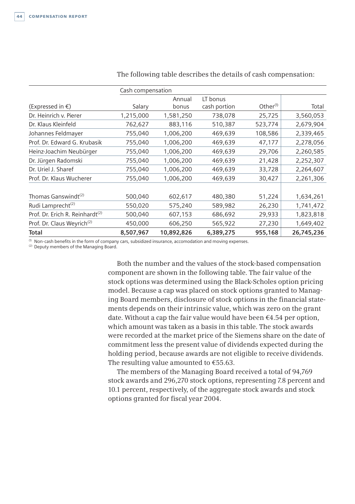|                                             | Cash compensation |            |              |             |            |
|---------------------------------------------|-------------------|------------|--------------|-------------|------------|
|                                             |                   | Annual     | LT bonus     |             |            |
| (Expressed in $\epsilon$ )                  | Salary            | bonus      | cash portion | Other $(1)$ | Total      |
| Dr. Heinrich v. Pierer                      | 1,215,000         | 1,581,250  | 738,078      | 25,725      | 3,560,053  |
| Dr. Klaus Kleinfeld                         | 762,627           | 883,116    | 510,387      | 523,774     | 2,679,904  |
| Johannes Feldmayer                          | 755,040           | 1,006,200  | 469,639      | 108,586     | 2,339,465  |
| Prof. Dr. Edward G. Krubasik                | 755,040           | 1,006,200  | 469,639      | 47,177      | 2,278,056  |
| Heinz-Joachim Neubürger                     | 755,040           | 1,006,200  | 469,639      | 29,706      | 2,260,585  |
| Dr. Jürgen Radomski                         | 755,040           | 1,006,200  | 469,639      | 21,428      | 2,252,307  |
| Dr. Uriel J. Sharef                         | 755,040           | 1,006,200  | 469,639      | 33,728      | 2,264,607  |
| Prof. Dr. Klaus Wucherer                    | 755,040           | 1,006,200  | 469.639      | 30,427      | 2,261,306  |
| Thomas Ganswindt <sup>(2)</sup>             | 500,040           | 602,617    | 480,380      | 51,224      | 1,634,261  |
| Rudi Lamprecht <sup>(2)</sup>               | 550,020           | 575,240    | 589,982      | 26,230      | 1,741,472  |
| Prof. Dr. Erich R. Reinhardt <sup>(2)</sup> | 500,040           | 607,153    | 686,692      | 29,933      | 1,823,818  |
| Prof. Dr. Claus Weyrich <sup>(2)</sup>      | 450,000           | 606.250    | 565,922      | 27,230      | 1,649,402  |
| Total                                       | 8,507,967         | 10,892,826 | 6,389,275    | 955,168     | 26,745,236 |

The following table describes the details of cash compensation:

 $<sup>(1)</sup>$  Non-cash benefits in the form of company cars, subsidized insurance, accomodation and moving expenses.</sup>

(2) Deputy members of the Managing Board.

Both the number and the values of the stock-based compensation component are shown in the following table. The fair value of the stock options was determined using the Black-Scholes option pricing model. Because a cap was placed on stock options granted to Managing Board members, disclosure of stock options in the financial statements depends on their intrinsic value, which was zero on the grant date. Without a cap the fair value would have been  $\epsilon$ 4.54 per option, which amount was taken as a basis in this table. The stock awards were recorded at the market price of the Siemens share on the date of commitment less the present value of dividends expected during the holding period, because awards are not eligible to receive dividends. The resulting value amounted to  $€55.63$ .

The members of the Managing Board received a total of 94,769 stock awards and 296,270 stock options, representing 7.8 percent and 10.1 percent, respectively, of the aggregate stock awards and stock options granted for fiscal year 2004.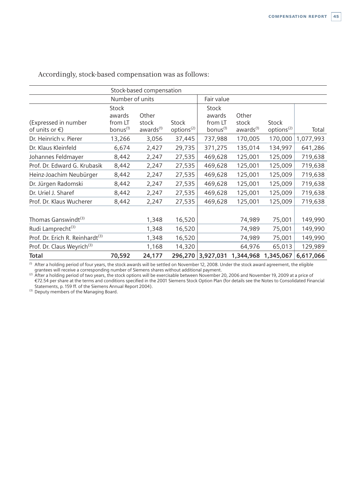|                                                  |                                 | Stock-based compensation       |                                        |                                 |                                |                                 |           |
|--------------------------------------------------|---------------------------------|--------------------------------|----------------------------------------|---------------------------------|--------------------------------|---------------------------------|-----------|
|                                                  | Number of units                 |                                |                                        | Fair value                      |                                |                                 |           |
|                                                  | Stock<br>awards                 | Other                          |                                        | <b>Stock</b><br>awards          | Other                          |                                 |           |
| (Expressed in number<br>of units or $\epsilon$ ) | from LT<br>bonus <sup>(1)</sup> | stock<br>awards <sup>(1)</sup> | <b>Stock</b><br>options <sup>(2)</sup> | from LT<br>bonus <sup>(1)</sup> | stock<br>awards <sup>(1)</sup> | Stock<br>options <sup>(2)</sup> | Total     |
| Dr. Heinrich v. Pierer                           | 13,266                          | 3,056                          | 37,445                                 | 737,988                         | 170,005                        | 170,000                         | 1,077,993 |
| Dr. Klaus Kleinfeld                              | 6,674                           | 2,427                          | 29,735                                 | 371,275                         | 135,014                        | 134,997                         | 641,286   |
| Johannes Feldmayer                               | 8,442                           | 2,247                          | 27,535                                 | 469,628                         | 125,001                        | 125,009                         | 719,638   |
| Prof. Dr. Edward G. Krubasik                     | 8,442                           | 2,247                          | 27,535                                 | 469,628                         | 125,001                        | 125,009                         | 719,638   |
| Heinz-Joachim Neubürger                          | 8,442                           | 2,247                          | 27,535                                 | 469,628                         | 125,001                        | 125,009                         | 719,638   |
| Dr. Jürgen Radomski                              | 8,442                           | 2,247                          | 27,535                                 | 469,628                         | 125,001                        | 125,009                         | 719,638   |
| Dr. Uriel J. Sharef                              | 8,442                           | 2,247                          | 27,535                                 | 469,628                         | 125,001                        | 125,009                         | 719,638   |
| Prof. Dr. Klaus Wucherer                         | 8,442                           | 2,247                          | 27,535                                 | 469,628                         | 125,001                        | 125,009                         | 719,638   |
| Thomas Ganswindt <sup>(3)</sup>                  |                                 | 1,348                          | 16,520                                 |                                 | 74,989                         | 75,001                          | 149,990   |
| Rudi Lamprecht <sup>(3)</sup>                    |                                 | 1,348                          | 16,520                                 |                                 | 74,989                         | 75,001                          | 149,990   |
| Prof. Dr. Erich R. Reinhardt <sup>(3)</sup>      |                                 | 1,348                          | 16,520                                 |                                 | 74,989                         | 75,001                          | 149,990   |
| Prof. Dr. Claus Weyrich <sup>(3)</sup>           |                                 | 1,168                          | 14,320                                 |                                 | 64,976                         | 65,013                          | 129,989   |
| <b>Total</b>                                     | 70,592                          | 24,177                         | 296,270                                | 3,927,031                       | 1,344,968                      | 1,345,067                       | 6,617,066 |

Accordingly, stock-based compensation was as follows:

 $^{(0)}$  After a holding period of four years, the stock awards will be settled on November 12, 2008. Under the stock award agreement, the eligible grantees will receive a corresponding number of Siemens shares without additional payment.

<sup>(2)</sup> After a holding period of two years, the stock options will be exercisable between November 20, 2006 and November 19, 2009 at a price of<br>€72.54 per share at the terms and conditions specified in the 2001 Siemens Sto Statements, p. 159 ff. of the Siemens Annual Report 2004). (3) Deputy members of the Managing Board.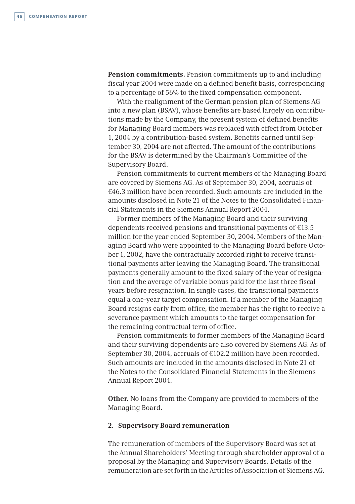**Pension commitments.** Pension commitments up to and including fiscal year 2004 were made on a defined benefit basis, corresponding to a percentage of 56% to the fixed compensation component.

With the realignment of the German pension plan of Siemens AG into a new plan (BSAV), whose benefits are based largely on contributions made by the Company, the present system of defined benefits for Managing Board members was replaced with effect from October 1, 2004 by a contribution-based system. Benefits earned until September 30, 2004 are not affected. The amount of the contributions for the BSAV is determined by the Chairman's Committee of the Supervisory Board.

Pension commitments to current members of the Managing Board are covered by Siemens AG. As of September 30, 2004, accruals of €46.3 million have been recorded. Such amounts are included in the amounts disclosed in Note 21 of the Notes to the Consolidated Financial Statements in the Siemens Annual Report 2004.

Former members of the Managing Board and their surviving dependents received pensions and transitional payments of  $E$ 13.5 million for the year ended September 30, 2004. Members of the Managing Board who were appointed to the Managing Board before October 1, 2002, have the contractually accorded right to receive transitional payments after leaving the Managing Board. The transitional payments generally amount to the fixed salary of the year of resignation and the average of variable bonus paid for the last three fiscal years before resignation. In single cases, the transitional payments equal a one-year target compensation. If a member of the Managing Board resigns early from office, the member has the right to receive a severance payment which amounts to the target compensation for the remaining contractual term of office.

Pension commitments to former members of the Managing Board and their surviving dependents are also covered by Siemens AG. As of September 30, 2004, accruals of €102.2 million have been recorded. Such amounts are included in the amounts disclosed in Note 21 of the Notes to the Consolidated Financial Statements in the Siemens Annual Report 2004.

**Other.** No loans from the Company are provided to members of the Managing Board.

# **2. Supervisory Board remuneration**

The remuneration of members of the Supervisory Board was set at the Annual Shareholders' Meeting through shareholder approval of a proposal by the Managing and Supervisory Boards. Details of the remuneration are set forth in the Articles of Association of Siemens AG.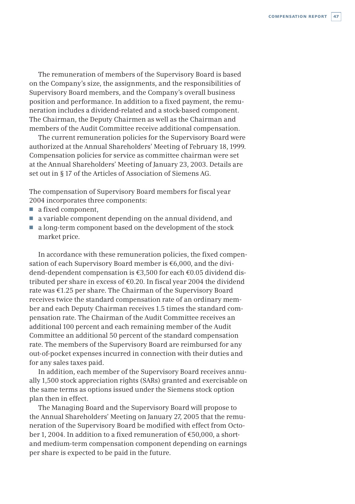The remuneration of members of the Supervisory Board is based on the Company's size, the assignments, and the responsibilities of Supervisory Board members, and the Company's overall business position and performance. In addition to a fixed payment, the remuneration includes a dividend-related and a stock-based component. The Chairman, the Deputy Chairmen as well as the Chairman and members of the Audit Committee receive additional compensation.

The current remuneration policies for the Supervisory Board were authorized at the Annual Shareholders' Meeting of February 18, 1999. Compensation policies for service as committee chairman were set at the Annual Shareholders' Meeting of January 23, 2003. Details are set out in § 17 of the Articles of Association of Siemens AG.

The compensation of Supervisory Board members for fiscal year 2004 incorporates three components:

- a fixed component.
- a variable component depending on the annual dividend, and
- a long-term component based on the development of the stock market price.

In accordance with these remuneration policies, the fixed compensation of each Supervisory Board member is €6,000, and the dividend-dependent compensation is €3,500 for each €0.05 dividend distributed per share in excess of  $\epsilon$ 0.20. In fiscal year 2004 the dividend rate was €1.25 per share. The Chairman of the Supervisory Board receives twice the standard compensation rate of an ordinary member and each Deputy Chairman receives 1.5 times the standard compensation rate. The Chairman of the Audit Committee receives an additional 100 percent and each remaining member of the Audit Committee an additional 50 percent of the standard compensation rate. The members of the Supervisory Board are reimbursed for any out-of-pocket expenses incurred in connection with their duties and for any sales taxes paid.

In addition, each member of the Supervisory Board receives annually 1,500 stock appreciation rights (SARs) granted and exercisable on the same terms as options issued under the Siemens stock option plan then in effect.

The Managing Board and the Supervisory Board will propose to the Annual Shareholders' Meeting on January 27, 2005 that the remuneration of the Supervisory Board be modified with effect from October 1, 2004. In addition to a fixed remuneration of €50,000, a shortand medium-term compensation component depending on earnings per share is expected to be paid in the future.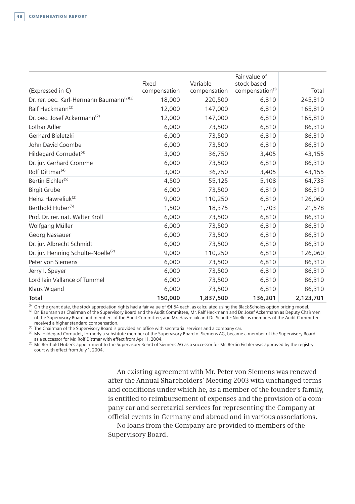|                                                      |              |              | Fair value of               |           |
|------------------------------------------------------|--------------|--------------|-----------------------------|-----------|
|                                                      | Fixed        | Variable     | stock-based                 | Total     |
| (Expressed in $\epsilon$ )                           | compensation | compensation | compensation <sup>(1)</sup> |           |
| Dr. rer. oec. Karl-Hermann Baumann <sup>(2)(3)</sup> | 18,000       | 220,500      | 6,810                       | 245,310   |
| Ralf Heckmann <sup>(2)</sup>                         | 12,000       | 147,000      | 6,810                       | 165,810   |
| Dr. oec. Josef Ackermann <sup>(2)</sup>              | 12,000       | 147,000      | 6,810                       | 165,810   |
| Lothar Adler                                         | 6,000        | 73,500       | 6,810                       | 86,310    |
| Gerhard Bieletzki                                    | 6,000        | 73,500       | 6,810                       | 86,310    |
| John David Coombe                                    | 6.000        | 73,500       | 6,810                       | 86,310    |
| Hildegard Cornudet <sup>(4)</sup>                    | 3,000        | 36,750       | 3,405                       | 43,155    |
| Dr. jur. Gerhard Cromme                              | 6,000        | 73,500       | 6,810                       | 86,310    |
| Rolf Dittmar <sup>(4)</sup>                          | 3,000        | 36,750       | 3,405                       | 43,155    |
| Bertin Eichler <sup>(5)</sup>                        | 4,500        | 55,125       | 5,108                       | 64,733    |
| <b>Birgit Grube</b>                                  | 6,000        | 73,500       | 6,810                       | 86,310    |
| Heinz Hawreliuk <sup>(2)</sup>                       | 9.000        | 110,250      | 6,810                       | 126,060   |
| Berthold Huber <sup>(5)</sup>                        | 1.500        | 18.375       | 1,703                       | 21,578    |
| Prof. Dr. rer. nat. Walter Kröll                     | 6,000        | 73,500       | 6,810                       | 86,310    |
| Wolfgang Müller                                      | 6,000        | 73,500       | 6,810                       | 86,310    |
| Georg Nassauer                                       | 6,000        | 73,500       | 6,810                       | 86,310    |
| Dr. jur. Albrecht Schmidt                            | 6,000        | 73,500       | 6,810                       | 86,310    |
| Dr. jur. Henning Schulte-Noelle <sup>(2)</sup>       | 9,000        | 110,250      | 6,810                       | 126,060   |
| Peter von Siemens                                    | 6,000        | 73,500       | 6,810                       | 86,310    |
| Jerry I. Speyer                                      | 6,000        | 73,500       | 6,810                       | 86,310    |
| Lord Jain Vallance of Tummel                         | 6,000        | 73,500       | 6,810                       | 86,310    |
| Klaus Wigand                                         | 6,000        | 73,500       | 6,810                       | 86,310    |
| <b>Total</b>                                         | 150,000      | 1,837,500    | 136,201                     | 2,123,701 |

(1) On the grant date, the stock appreciation rights had a fair value of €4.54 each, as calculated using the Black-Scholes option pricing model.

(2) Dr. Baumann as Chairman of the Supervisory Board and the Audit Committee, Mr. Ralf Heckmann and Dr. Josef Ackermann as Deputy Chairmen of the Supervisory Board and members of the Audit Committee, and Mr. Hawreliuk and Dr. Schulte-Noelle as members of the Audit Committee received a higher standard compensation.

(3) The Chairman of the Supervisory Board is provided an office with secretarial services and a company car.

(4) Ms. Hildegard Cornudet, formerly a substitute member of the Supervisory Board of Siemens AG, became a member of the Supervisory Board as a successor for Mr. Rolf Dittmar with effect from April 1, 2004.

<sup>(5)</sup> Mr. Berthold Huber's appointment to the Supervisory Board of Siemens AG as a successor for Mr. Bertin Eichler was approved by the registry court with effect from July 1, 2004.

> An existing agreement with Mr. Peter von Siemens was renewed after the Annual Shareholders' Meeting 2003 with unchanged terms and conditions under which he, as a member of the founder's family, is entitled to reimbursement of expenses and the provision of a company car and secretarial services for representing the Company at official events in Germany and abroad and in various associations.

No loans from the Company are provided to members of the Supervisory Board.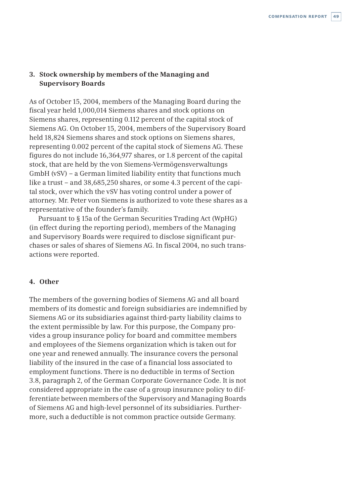# **3. Stock ownership by members of the Managing and Supervisory Boards**

As of October 15, 2004, members of the Managing Board during the fiscal year held 1,000,014 Siemens shares and stock options on Siemens shares, representing 0.112 percent of the capital stock of Siemens AG. On October 15, 2004, members of the Supervisory Board held 18,824 Siemens shares and stock options on Siemens shares, representing 0.002 percent of the capital stock of Siemens AG. These figures do not include 16,364,977 shares, or 1.8 percent of the capital stock, that are held by the von Siemens-Vermögensverwaltungs GmbH (vSV) – a German limited liability entity that functions much like a trust – and 38,685,250 shares, or some 4.3 percent of the capital stock, over which the vSV has voting control under a power of attorney. Mr. Peter von Siemens is authorized to vote these shares as a representative of the founder's family.

Pursuant to § 15a of the German Securities Trading Act (WpHG) (in effect during the reporting period), members of the Managing and Supervisory Boards were required to disclose significant purchases or sales of shares of Siemens AG. In fiscal 2004, no such transactions were reported.

# **4. Other**

The members of the governing bodies of Siemens AG and all board members of its domestic and foreign subsidiaries are indemnified by Siemens AG or its subsidiaries against third-party liability claims to the extent permissible by law. For this purpose, the Company provides a group insurance policy for board and committee members and employees of the Siemens organization which is taken out for one year and renewed annually. The insurance covers the personal liability of the insured in the case of a financial loss associated to employment functions. There is no deductible in terms of Section 3.8, paragraph 2, of the German Corporate Governance Code. It is not considered appropriate in the case of a group insurance policy to differentiate between members of the Supervisory and Managing Boards of Siemens AG and high-level personnel of its subsidiaries. Furthermore, such a deductible is not common practice outside Germany.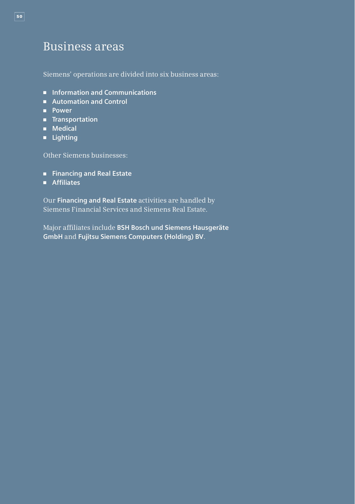# Business areas

Siemens' operations are divided into six business areas:

- **Information and Communications**
- **Automation and Control**
- **Power**
- **Transportation**
- **Medical**
- **Lighting**

Other Siemens businesses:

- **Financing and Real Estate**
- **Affiliates**

Our **Financing and Real Estate** activities are handled by Siemens Financial Services and Siemens Real Estate.

Major affiliates include **BSH Bosch und Siemens Hausgeräte GmbH** and **Fujitsu Siemens Computers (Holding) BV**.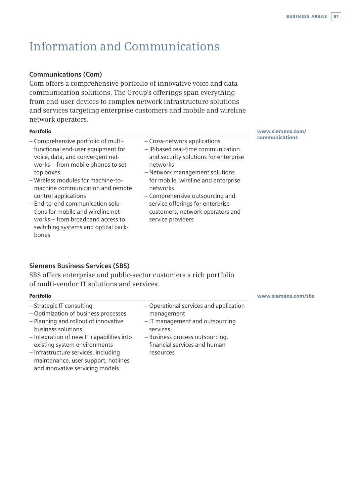# Information and Communications

# **Communications (Com)**

Com offers a comprehensive portfolio of innovative voice and data communication solutions. The Group's offerings span everything from end-user devices to complex network infrastructure solutions and services targeting enterprise customers and mobile and wireline network operators.

### Portfolio

- Comprehensive portfolio of multifunctional end-user equipment for voice, data, and convergent networks – from mobile phones to settop boxes
- Wireless modules for machine-tomachine communication and remote control applications
- End-to-end communication solutions for mobile and wireline networks – from broadband access to switching systems and optical backbones
- Cross-network applications
- IP-based real-time communication and security solutions for enterprise networks
- Network management solutions for mobile, wireline and enterprise networks
- Comprehensive outsourcing and service offerings for enterprise customers, network operators and service providers

#### www.siemens.com/ communications

www.siemens.com/shs

# **Siemens Business Services (SBS)**

SBS offers enterprise and public-sector customers a rich portfolio of multi-vendor IT solutions and services.

| Portfolio |  |
|-----------|--|
|-----------|--|

- Strategic IT consulting
- Optimization of business processes
- Planning and rollout of innovative
- business solutions
- Integration of new IT capabilities into existing system environments
- Infrastructure services, including maintenance, user support, hotlines and innovative servicing models
- Operational services and application management
- IT management and outsourcing services
- Business process outsourcing, financial services and human resources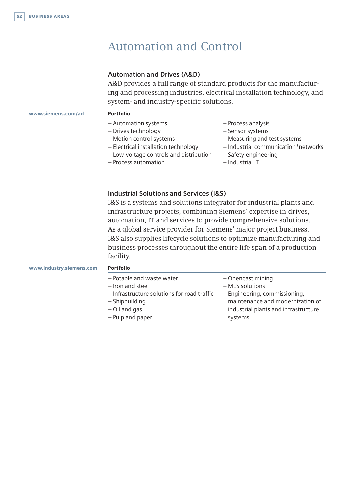# Automation and Control

### **Automation and Drives (A&D)**

A&D provides a full range of standard products for the manufacturing and processing industries, electrical installation technology, and system- and industry-specific solutions.

| www.siemens.com/ad | Portfolio            |                    |  |  |
|--------------------|----------------------|--------------------|--|--|
|                    | - Automation systems | - Process analysis |  |  |
|                    | – Drives technology  | – Sensor systems   |  |  |

- Motion control systems
- Electrical installation technology
- Low-voltage controls and distribution
- Process automation
- Measuring and test systems
- Industrial communication/networks
- Safety engineering
- 
- Industrial IT

# **Industrial Solutions and Services (I&S)**

I&S is a systems and solutions integrator for industrial plants and infrastructure projects, combining Siemens' expertise in drives, automation, IT and services to provide comprehensive solutions. As a global service provider for Siemens' major project business, I&S also supplies lifecycle solutions to optimize manufacturing and business processes throughout the entire life span of a production facility.

| www.industry.siemens.com | Portfolio                                   |                                      |  |  |
|--------------------------|---------------------------------------------|--------------------------------------|--|--|
|                          | - Potable and waste water                   | - Opencast mining                    |  |  |
|                          | - Iron and steel                            | – MES solutions                      |  |  |
|                          | - Infrastructure solutions for road traffic | - Engineering, commissioning,        |  |  |
|                          | – Shipbuilding                              | maintenance and modernization of     |  |  |
|                          | $-$ Oil and gas                             | industrial plants and infrastructure |  |  |
|                          | - Pulp and paper                            | systems                              |  |  |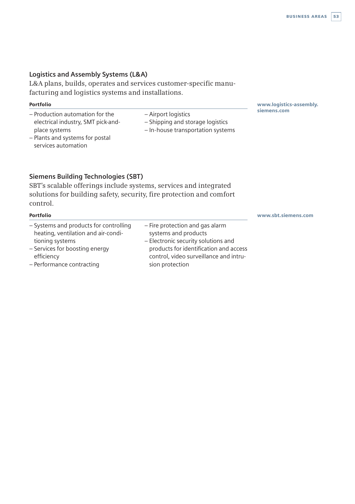### **Logistics and Assembly Systems (L&A)**

L&A plans, builds, operates and services customer-specific manufacturing and logistics systems and installations.

#### Portfolio

- $-$  Production automation for the electrical industry, SMT pick-andplace systems
- Plants and systems for postal services automation
- Airport logistics
- Shipping and storage logistics
- In-house transportation systems

www.logistics-assembly.

# **Siemens Building Technologies (SBT)**

SBT's scalable offerings include systems, services and integrated solutions for building safety, security, fire protection and comfort control.

|                                                                                                                                                                                    | www.sbt.siemens.com |
|------------------------------------------------------------------------------------------------------------------------------------------------------------------------------------|---------------------|
| - Fire protection and gas alarm<br>systems and products<br>- Electronic security solutions and<br>products for identification and access<br>control, video surveillance and intru- |                     |
| sion protection                                                                                                                                                                    |                     |
|                                                                                                                                                                                    |                     |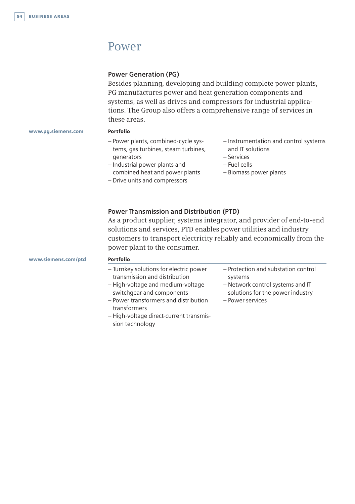# Power

# **Power Generation (PG)**

Besides planning, developing and building complete power plants, PG manufactures power and heat generation components and systems, as well as drives and compressors for industrial applications. The Group also offers a comprehensive range of services in these areas.

| www.pg.siemens.com |  |  |
|--------------------|--|--|
|                    |  |  |

#### Portfolio

- Power plants, combined-cycle systems, gas turbines, steam turbines, generators
- Industrial power plants and combined heat and power plants
- Drive units and compressors
- Instrumentation and control systems and IT solutions
- Services
- Fuel cells
- Biomass power plants

## **Power Transmission and Distribution (PTD)**

As a product supplier, systems integrator, and provider of end-to-end solutions and services, PTD enables power utilities and industry customers to transport electricity reliably and economically from the power plant to the consumer.

| www.siemens.com/ptd | Portfolio                                                                                                                                                                                                                                                        |                                                                                                                                            |  |  |
|---------------------|------------------------------------------------------------------------------------------------------------------------------------------------------------------------------------------------------------------------------------------------------------------|--------------------------------------------------------------------------------------------------------------------------------------------|--|--|
|                     | - Turnkey solutions for electric power<br>transmission and distribution<br>- High-voltage and medium-voltage<br>switchgear and components<br>- Power transformers and distribution<br>transformers<br>- High-voltage direct-current transmis-<br>sion technology | - Protection and substation control<br>systems<br>- Network control systems and IT<br>solutions for the power industry<br>- Power services |  |  |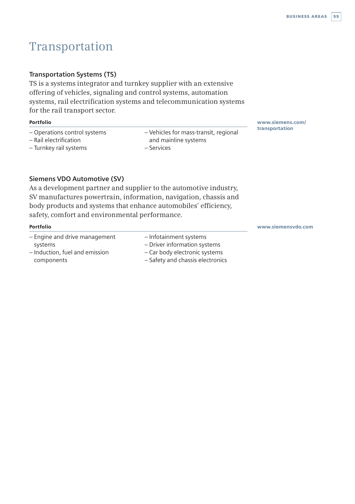# Transportation

# **Transportation Systems (TS)**

TS is a systems integrator and turnkey supplier with an extensive offering of vehicles, signaling and control systems, automation systems, rail electrification systems and telecommunication systems for the rail transport sector.

#### Portfolio

- transportation Operations control systems Vehicles for mass-transit, regional
- Rail electrification
- Turnkey rail systems

and mainline systems – Services

www.siemens.com/

# **Siemens VDO Automotive (SV)**

As a development partner and supplier to the automotive industry, SV manufactures powertrain, information, navigation, chassis and body products and systems that enhance automobiles' efficiency, safety, comfort and environmental performance.

| Portfolio                      |                                  | www.siemensydo.com |
|--------------------------------|----------------------------------|--------------------|
| - Engine and drive management  | - Infotainment systems           |                    |
| systems                        | - Driver information systems     |                    |
| - Induction, fuel and emission | - Car body electronic systems    |                    |
| components                     | - Safety and chassis electronics |                    |
|                                |                                  |                    |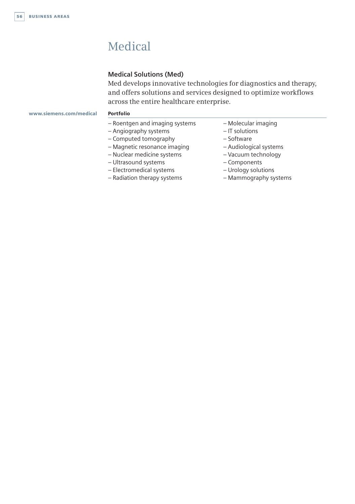# Medical

# **Medical Solutions (Med)**

Med develops innovative technologies for diagnostics and therapy, and offers solutions and services designed to optimize workflows across the entire healthcare enterprise.

www.siemens.com/medical

# Portfolio

- Roentgen and imaging systems
- Angiography systems
- Computed tomography
- Magnetic resonance imaging
- Nuclear medicine systems
- Ultrasound systems
- Electromedical systems
- Radiation therapy systems
- Molecular imaging
- IT solutions
- Software
- Audiological systems
- Vacuum technology
- Components
- Urology solutions
- Mammography systems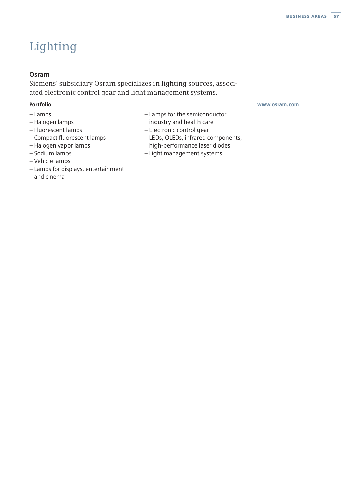# Lighting

# **Osram**

Siemens' subsidiary Osram specializes in lighting sources, associated electronic control gear and light management systems.

Portfolio www.osram.com

- Lamps
- Halogen lamps
- Fluorescent lamps
- Compact fluorescent lamps
- Halogen vapor lamps
- Sodium lamps
- Vehicle lamps
- Lamps for displays, entertainment
- and cinema
- Lamps for the semiconductor
- industry and health care
- Electronic control gear
- LEDs, OLEDs, infrared components,
- high-performance laser diodes
- Light management systems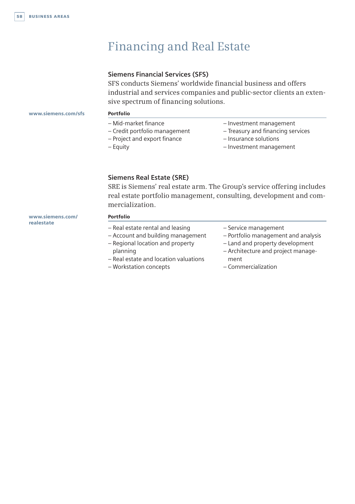# Financing and Real Estate

# **Siemens Financial Services (SFS)**

SFS conducts Siemens' worldwide financial business and offers industrial and services companies and public-sector clients an extensive spectrum of financing solutions.

www.siemens.com/sfs

# Portfolio

– Equity

- Mid-market finance
- Credit portfolio management – Project and export finance
- Investment management – Treasury and financing services
- Insurance solutions
- Investment management

# **Siemens Real Estate (SRE)**

SRE is Siemens' real estate arm. The Group's service offering includes real estate portfolio management, consulting, development and commercialization.

| Portfolio                             |                                     |
|---------------------------------------|-------------------------------------|
| - Real estate rental and leasing      | - Service management                |
| - Account and building management     | - Portfolio management and analysis |
| - Regional location and property      | - Land and property development     |
| planning                              | - Architecture and project manage-  |
| - Real estate and location valuations | ment                                |
| - Workstation concepts                | - Commercialization                 |

www.siemens.com/ realestate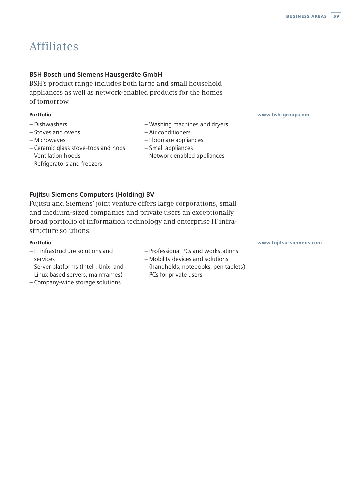# Affiliates

### **BSH Bosch und Siemens Hausgeräte GmbH**

BSH's product range includes both large and small household appliances as well as network-enabled products for the homes of tomorrow.

#### Portfolio

- Dishwashers
- Stoves and ovens
- Microwaves
- Ceramic glass stove-tops and hobs
- Ventilation hoods
- Refrigerators and freezers
- Air conditioners
- Floorcare appliances
- Small appliances
	- Network-enabled appliances

– Washing machines and dryers

- 
- **Fujitsu Siemens Computers (Holding) BV**

Fujitsu and Siemens' joint venture offers large corporations, small and medium-sized companies and private users an exceptionally broad portfolio of information technology and enterprise IT infrastructure solutions.

### Portfolio

– IT infrastructure solutions and services – Server platforms (Intel-, Unix- and

Linux-based servers, mainframes) – Company-wide storage solutions

- Professional PCs and workstations
- Mobility devices and solutions
	- (handhelds, notebooks, pen tablets)
- PCs for private users

www.fujitsu-siemens.com

www.bsh-group.com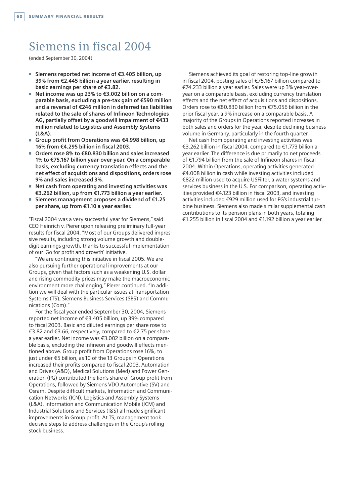# Siemens in fiscal 2004

(ended September 30, 2004)

- **Siemens reported net income of €3.405 billion, up 39% from €2.445 billion a year earlier, resulting in basic earnings per share of €3.82.**
- Net income was up 23% to €3.002 billion on a com**parable basis, excluding a pre-tax gain of €590 million and a reversal of €246 million in deferred tax liabilities related to the sale of shares of Infineon Technologies AG, partially offset by a goodwill impairment of €433 million related to Logistics and Assembly Systems (L&A).**
- **Group profit from Operations was €4.998 billion, up 16% from €4.295 billion in fiscal 2003.**
- **Orders rose 8% to €80.830 billion and sales increased 1% to €75.167 billion year-over-year. On a comparable basis, excluding currency translation effects and the net effect of acquisitions and dispositions, orders rose 9% and sales increased 3%.**
- **Net cash from operating and investing activities was €3.262 billion, up from €1.773 billion a year earlier.**
- Siemens management proposes a dividend of €1.25 **per share, up from €1.10 a year earlier.**

"Fiscal 2004 was a very successful year for Siemens," said CEO Heinrich v. Pierer upon releasing preliminary full-year results for fiscal 2004. "Most of our Groups delivered impressive results, including strong volume growth and doubledigit earnings growth, thanks to successful implementation of our 'Go for profit and growth' initiative.

"We are continuing this initiative in fiscal 2005. We are also pursuing further operational improvements at our Groups, given that factors such as a weakening U.S. dollar and rising commodity prices may make the macroeconomic environment more challenging," Pierer continued. "In addition we will deal with the particular issues at Transportation Systems (TS), Siemens Business Services (SBS) and Communications (Com)."

For the fiscal year ended September 30, 2004, Siemens reported net income of €3.405 billion, up 39% compared to fiscal 2003. Basic and diluted earnings per share rose to €3.82 and €3.66, respectively, compared to €2.75 per share a year earlier. Net income was €3.002 billion on a comparable basis, excluding the Infineon and goodwill effects mentioned above. Group profit from Operations rose 16%, to just under €5 billion, as 10 of the 13 Groups in Operations increased their profits compared to fiscal 2003. Automation and Drives (A&D), Medical Solutions (Med) and Power Generation (PG) contributed the lion's share of Group profit from Operations, followed by Siemens VDO Automotive (SV) and Osram. Despite difficult markets, Information and Communication Networks (ICN), Logistics and Assembly Systems (L&A), Information and Communication Mobile (ICM) and Industrial Solutions and Services (I&S) all made significant improvements in Group profit. At TS, management took decisive steps to address challenges in the Group's rolling stock business.

Siemens achieved its goal of restoring top-line growth in fiscal 2004, posting sales of €75.167 billion compared to €74.233 billion a year earlier. Sales were up 3% year-overyear on a comparable basis, excluding currency translation effects and the net effect of acquisitions and dispositions. Orders rose to €80.830 billion from €75.056 billion in the prior fiscal year, a 9% increase on a comparable basis. A majority of the Groups in Operations reported increases in both sales and orders for the year, despite declining business volume in Germany, particularly in the fourth quarter.

Net cash from operating and investing activities was €3.262 billion in fiscal 2004, compared to €1.773 billion a year earlier. The difference is due primarily to net proceeds of €1.794 billion from the sale of Infineon shares in fiscal 2004. Within Operations, operating activities generated €4.008 billion in cash while investing activities included €822 million used to acquire USFilter, a water systems and services business in the U.S. For comparison, operating activities provided €4.123 billion in fiscal 2003, and investing activities included €929 million used for PG's industrial turbine business. Siemens also made similar supplemental cash contributions to its pension plans in both years, totaling €1.255 billion in fiscal 2004 and €1.192 billion a year earlier.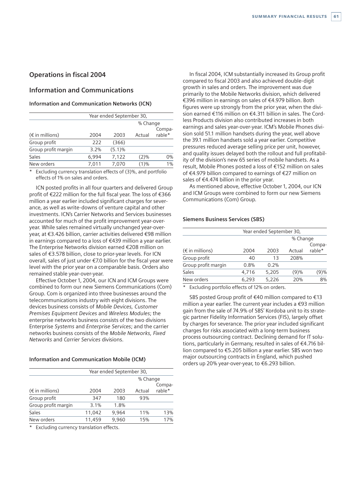# **Operations in fiscal 2004**

### **Information and Communications**

#### **Information and Communication Networks (ICN)**

|                          | Year ended September 30, |        |          |                  |
|--------------------------|--------------------------|--------|----------|------------------|
|                          |                          |        | % Change |                  |
| $(\epsilon$ in millions) | 2004                     | 2003   | Actual   | Compa-<br>rable* |
| Group profit             | 222                      | (366)  |          |                  |
| Group profit margin      | 3.2%                     | (5.1)% |          |                  |
| Sales                    | 6.994                    | 7.122  | (2)%     | 0%               |
| New orders               | 7.011                    | 7.070  | (1)%     | 1%               |

\* Excluding currency translation effects of (3)%, and portfolio effects of 1% on sales and orders.

ICN posted profits in all four quarters and delivered Group profit of €222 million for the full fiscal year. The loss of €366 million a year earlier included significant charges for severance, as well as write-downs of venture capital and other investments. ICN's Carrier Networks and Services businesses accounted for much of the profit improvement year-overyear. While sales remained virtually unchanged year-overyear, at €3.426 billion, carrier activities delivered €98 million in earnings compared to a loss of €439 million a year earlier. The Enterprise Networks division earned €208 million on sales of €3.578 billion, close to prior-year levels. For ICN overall, sales of just under €7.0 billion for the fiscal year were level with the prior year on a comparable basis. Orders also remained stable year-over-year.

Effective October 1, 2004, our ICN and ICM Groups were combined to form our new Siemens Communications (Com) Group. Com is organized into three businesses around the telecommunications industry with eight divisions. The devices business consists of *Mobile Devices, Customer Premises Equipment Devices* and *Wireless Modules*; the enterprise networks business consists of the two divisions Enterprise *Systems* and *Enterprise Services*; and the carrier networks business consists of the *Mobile Networks, Fixed Networks* and *Carrier Services* divisions.

#### **Information and Communication Mobile (ICM)**

|                          | Year ended September 30, |       |          |                  |  |
|--------------------------|--------------------------|-------|----------|------------------|--|
|                          |                          |       | % Change |                  |  |
| $(\epsilon$ in millions) | 2004                     | 2003  | Actual   | Compa-<br>rable* |  |
| Group profit             | 347                      | 180   | 93%      |                  |  |
| Group profit margin      | 3.1%                     | 1.8%  |          |                  |  |
| Sales                    | 11,042                   | 9.964 | 11%      | 13%              |  |
| New orders               | 11,459                   | 9,960 | 15%      | 17%              |  |

\* Excluding currency translation effects.

In fiscal 2004, ICM substantially increased its Group profit compared to fiscal 2003 and also achieved double-digit growth in sales and orders. The improvement was due primarily to the Mobile Networks division, which delivered €396 million in earnings on sales of €4.979 billion. Both figures were up strongly from the prior year, when the division earned €116 million on €4.311 billion in sales. The Cordless Products division also contributed increases in both earnings and sales year-over-year. ICM's Mobile Phones division sold 51.1 million handsets during the year, well above the 39.1 million handsets sold a year earlier. Competitive pressures reduced average selling price per unit, however, and quality issues delayed both the rollout and full profitability of the division's new 65 series of mobile handsets. As a result, Mobile Phones posted a loss of €152 million on sales of €4.979 billion compared to earnings of €27 million on sales of €4.474 billion in the prior year.

As mentioned above, effective October 1, 2004, our ICN and ICM Groups were combined to form our new Siemens Communications (Com) Group.

#### **Siemens Business Services (SBS)**

|                          | Year ended September 30, |       |          |                  |
|--------------------------|--------------------------|-------|----------|------------------|
|                          |                          |       | % Change |                  |
| $(\epsilon$ in millions) | 2004                     | 2003  | Actual   | Compa-<br>rable* |
| Group profit             | 40                       | 13    | 208%     |                  |
| Group profit margin      | 0.8%                     | 0.2%  |          |                  |
| Sales                    | 4.716                    | 5.205 | (9)%     | (9)%             |
| New orders               | 6.293                    | 5.226 | 20%      | 8%               |

\* Excluding portfolio effects of 12% on orders.

SBS posted Group profit of €40 million compared to €13 million a year earlier. The current year includes a €93 million gain from the sale of 74.9% of SBS' Kordoba unit to its strategic partner Fidelity Information Services (FIS), largely offset by charges for severance. The prior year included significant charges for risks associated with a long-term business process outsourcing contract. Declining demand for IT solutions, particularly in Germany, resulted in sales of €4.716 billion compared to €5.205 billion a year earlier. SBS won two major outsourcing contracts in England, which pushed orders up 20% year-over-year, to €6.293 billion.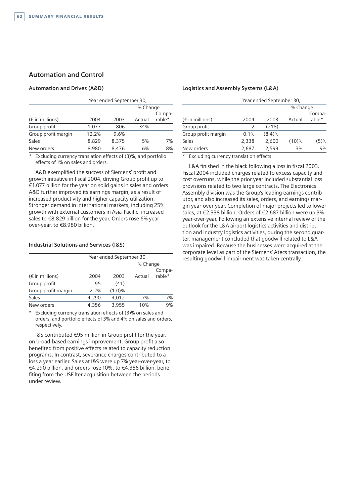# **Automation and Control**

#### **Automation and Drives (A&D)**

|                          | Year ended September 30, |       |          |                  |  |
|--------------------------|--------------------------|-------|----------|------------------|--|
|                          |                          |       | % Change |                  |  |
| $(\epsilon$ in millions) | 2004                     | 2003  | Actual   | Compa-<br>rable* |  |
| Group profit             | 1.077                    | 806   | 34%      |                  |  |
| Group profit margin      | 12.2%                    | 9.6%  |          |                  |  |
| Sales                    | 8.829                    | 8.375 | 5%       | 7%               |  |
| New orders               | 8,980                    | 8.476 | 6%       | 8%               |  |

\* Excluding currency translation effects of (3)%, and portfolio effects of 1% on sales and orders.

A&D exemplified the success of Siemens' profit and growth initiative in fiscal 2004, driving Group profit up to €1.077 billion for the year on solid gains in sales and orders. A&D further improved its earnings margin, as a result of increased productivity and higher capacity utilization. Stronger demand in international markets, including 25% growth with external customers in Asia-Pacific, increased sales to €8.829 billion for the year. Orders rose 6% yearover-year, to €8.980 billion.

#### **Industrial Solutions and Services (I&S)**

|                          | Year ended September 30, |        |          |                  |  |
|--------------------------|--------------------------|--------|----------|------------------|--|
|                          |                          |        | % Change |                  |  |
| $(\epsilon$ in millions) | 2004                     | 2003   | Actual   | Compa-<br>rable* |  |
| Group profit             | 95                       | (41)   |          |                  |  |
| Group profit margin      | 2.2%                     | (1.0)% |          |                  |  |
| Sales                    | 4,290                    | 4.012  | 7%       | 7%               |  |
| New orders               | 4.356                    | 3.955  | 10%      | 9%               |  |

\* Excluding currency translation effects of (3)% on sales and orders, and portfolio effects of 3% and 4% on sales and orders, respectively.

I&S contributed €95 million in Group profit for the year, on broad-based earnings improvement. Group profit also benefited from positive effects related to capacity reduction programs. In contrast, severance charges contributed to a loss a year earlier. Sales at I&S were up 7% year-over-year, to €4.290 billion, and orders rose 10%, to €4.356 billion, benefiting from the USFilter acquisition between the periods under review.

#### **Logistics and Assembly Systems (L&A)**

| Year ended September 30, |        |          |                  |
|--------------------------|--------|----------|------------------|
|                          |        | % Change |                  |
| 2004                     | 2003   | Actual   | Compa-<br>rable* |
| $\mathcal{P}$            | (218)  |          |                  |
| 0.1%                     | (8.4)% |          |                  |
| 2,338                    | 2.600  | (10)%    | (5)%             |
| 2.687                    | 2.599  | 3%       | 9%               |
|                          |        |          |                  |

\* Excluding currency translation effects.

L&A finished in the black following a loss in fiscal 2003. Fiscal 2004 included charges related to excess capacity and cost overruns, while the prior year included substantial loss provisions related to two large contracts. The Electronics Assembly division was the Group's leading earnings contributor, and also increased its sales, orders, and earnings margin year-over-year. Completion of major projects led to lower sales, at €2.338 billion. Orders of €2.687 billion were up 3% year-over-year. Following an extensive internal review of the outlook for the L&A airport logistics activities and distribution and industry logistics activities, during the second quarter, management concluded that goodwill related to L&A was impaired. Because the businesses were acquired at the corporate level as part of the Siemens' Atecs transaction, the resulting goodwill impairment was taken centrally.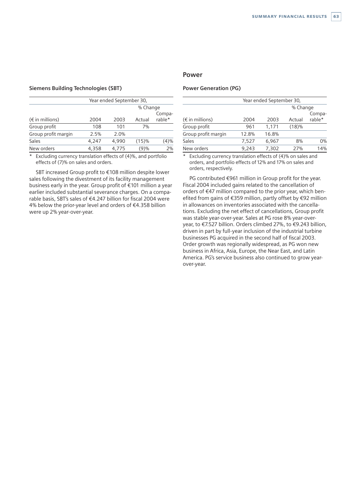#### **Siemens Building Technologies (SBT)**

|                          |       | Year ended September 30, |          |                  |
|--------------------------|-------|--------------------------|----------|------------------|
|                          |       |                          | % Change |                  |
| $(\epsilon$ in millions) | 2004  | 2003                     | Actual   | Compa-<br>rable* |
| Group profit             | 108   | 101                      | 7%       |                  |
| Group profit margin      | 2.5%  | 2.0%                     |          |                  |
| Sales                    | 4.247 | 4.990                    | (15)%    | (4)%             |
| New orders               | 4.358 | 4.775                    | (9)%     | 2%               |

\* Excluding currency translation effects of (4)%, and portfolio effects of (7)% on sales and orders.

SBT increased Group profit to €108 million despite lower sales following the divestment of its facility management business early in the year. Group profit of €101 million a year earlier included substantial severance charges. On a comparable basis, SBT's sales of €4.247 billion for fiscal 2004 were 4% below the prior-year level and orders of €4.358 billion were up 2% year-over-year.

#### **Power**

#### **Power Generation (PG)**

|                          | Year ended September 30, |       |          |                  |
|--------------------------|--------------------------|-------|----------|------------------|
|                          |                          |       | % Change |                  |
| $(\epsilon$ in millions) | 2004                     | 2003  | Actual   | Compa-<br>rable* |
| Group profit             | 961                      | 1.171 | (18)%    |                  |
| Group profit margin      | 12.8%                    | 16.8% |          |                  |
| Sales                    | 7.527                    | 6.967 | 8%       | O%               |
| New orders               | 9.243                    | 7.302 | 27%      | 14%              |

\* Excluding currency translation effects of (4)% on sales and orders, and portfolio effects of 12% and 17% on sales and orders, respectively.

PG contributed €961 million in Group profit for the year. Fiscal 2004 included gains related to the cancellation of orders of €47 million compared to the prior year, which benefited from gains of €359 million, partly offset by €92 million in allowances on inventories associated with the cancellations. Excluding the net effect of cancellations, Group profit was stable year-over-year. Sales at PG rose 8% year-overyear, to €7.527 billion. Orders climbed 27%, to €9.243 billion, driven in part by full-year inclusion of the industrial turbine businesses PG acquired in the second half of fiscal 2003. Order growth was regionally widespread, as PG won new business in Africa, Asia, Europe, the Near East, and Latin America. PG's service business also continued to grow yearover-year.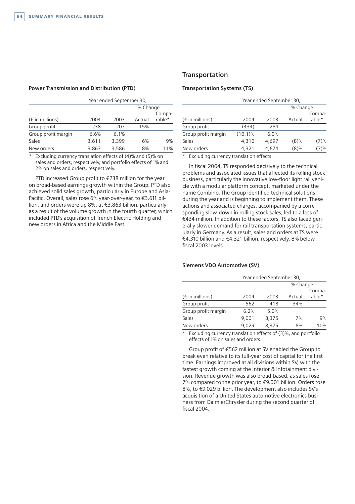#### **Power Transmission and Distribution (PTD)**

|                          | Year ended September 30, |       |          |                  |
|--------------------------|--------------------------|-------|----------|------------------|
| $(\epsilon$ in millions) |                          |       | % Change |                  |
|                          | 2004                     | 2003  | Actual   | Compa-<br>rable* |
| Group profit             | 238                      | 207   | 15%      |                  |
| Group profit margin      | 6.6%                     | 6.1%  |          |                  |
| Sales                    | 3.611                    | 3.399 | 6%       | 9%               |
| New orders               | 3.863                    | 3.586 | 8%       | 11%              |

\* Excluding currency translation effects of (4)% and (5)% on sales and orders, respectively, and portfolio effects of 1% and 2% on sales and orders, respectively.

PTD increased Group profit to €238 million for the year on broad-based earnings growth within the Group. PTD also achieved solid sales growth, particularly in Europe and Asia-Pacific. Overall, sales rose 6% year-over-year, to €3.611 billion, and orders were up 8%, at €3.863 billion, particularly as a result of the volume growth in the fourth quarter, which included PTD's acquisition of Trench Electric Holding and new orders in Africa and the Middle East.

#### **Transportation**

#### **Transportation Systems (TS)**

|                          | Year ended September 30, |       |          |                  |  |
|--------------------------|--------------------------|-------|----------|------------------|--|
|                          |                          |       | % Change |                  |  |
| $(\epsilon$ in millions) | 2004                     | 2003  | Actual   | Compa-<br>rable* |  |
| Group profit             | (434)                    | 284   |          |                  |  |
| Group profit margin      | (10.1)%                  | 6.0%  |          |                  |  |
| Sales                    | 4,310                    | 4.697 | $(8)\%$  | (7)%             |  |
| New orders               | 4.321                    | 4.674 | (8)%     | (7)%             |  |
|                          |                          |       |          |                  |  |

\* Excluding currency translation effects.

In fiscal 2004, TS responded decisively to the technical problems and associated issues that affected its rolling stock business, particularly the innovative low-floor light rail vehicle with a modular platform concept, marketed under the name Combino. The Group identified technical solutions during the year and is beginning to implement them. These actions and associated charges, accompanied by a corresponding slow-down in rolling stock sales, led to a loss of €434 million. In addition to these factors, TS also faced generally slower demand for rail transportation systems, particularly in Germany. As a result, sales and orders at TS were €4.310 billion and €4.321 billion, respectively, 8% below fiscal 2003 levels.

#### **Siemens VDO Automotive (SV)**

|                     | Year ended September 30, |          |        |                  |  |
|---------------------|--------------------------|----------|--------|------------------|--|
|                     |                          | % Change |        |                  |  |
| (€ in millions)     | 2004                     | 2003     | Actual | Compa-<br>rable* |  |
| Group profit        | 562                      | 418      | 34%    |                  |  |
| Group profit margin | 6.2%                     | 5.0%     |        |                  |  |
| Sales               | 9,001                    | 8,375    | 7%     | 9%               |  |
| New orders          | 9.029                    | 8,375    | 8%     | 10%              |  |

\* Excluding currency translation effects of (3)%, and portfolio effects of 1% on sales and orders.

Group profit of €562 million at SV enabled the Group to break even relative to its full-year cost of capital for the first time. Earnings improved at all divisions within SV, with the fastest growth coming at the Interior & Infotainment division. Revenue growth was also broad-based, as sales rose 7% compared to the prior year, to €9.001 billion. Orders rose 8%, to €9.029 billion. The development also includes SV's acquisition of a United States automotive electronics business from DaimlerChrysler during the second quarter of fiscal 2004.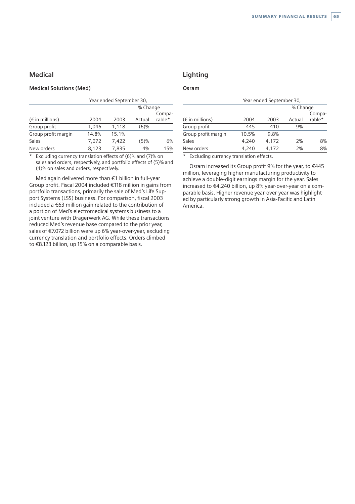# **Medical**

#### **Medical Solutions (Med)**

|                          | Year ended September 30, |       |          |                  |
|--------------------------|--------------------------|-------|----------|------------------|
|                          |                          |       | % Change |                  |
| $(\epsilon$ in millions) | 2004                     | 2003  | Actual   | Compa-<br>rable* |
| Group profit             | 1.046                    | 1.118 | (6)%     |                  |
| Group profit margin      | 14.8%                    | 15.1% |          |                  |
| Sales                    | 7.072                    | 7.422 | (5)%     | 6%               |
| New orders               | 8.123                    | 7.835 | 4%       | 15%              |

\* Excluding currency translation effects of (6)% and (7)% on sales and orders, respectively, and portfolio effects of (5)% and (4)% on sales and orders, respectively.

Med again delivered more than €1 billion in full-year Group profit. Fiscal 2004 included €118 million in gains from portfolio transactions, primarily the sale of Med's Life Support Systems (LSS) business. For comparison, fiscal 2003 included a €63 million gain related to the contribution of a portion of Med's electromedical systems business to a joint venture with Drägerwerk AG. While these transactions reduced Med's revenue base compared to the prior year, sales of €7.072 billion were up 6% year-over-year, excluding currency translation and portfolio effects. Orders climbed to €8.123 billion, up 15% on a comparable basis.

### **Lighting**

#### **Osram**

| 2003  | % Change<br>Actual | Compa-<br>rable* |
|-------|--------------------|------------------|
|       |                    |                  |
|       |                    |                  |
| 410   | 9%                 |                  |
| 9.8%  |                    |                  |
| 4.172 | 2%                 | 8%               |
| 4.172 | 2%                 | 8%               |
|       |                    |                  |

Excluding currency translation effects.

Osram increased its Group profit 9% for the year, to €445 million, leveraging higher manufacturing productivity to achieve a double-digit earnings margin for the year. Sales increased to €4.240 billion, up 8% year-over-year on a comparable basis. Higher revenue year-over-year was highlighted by particularly strong growth in Asia-Pacific and Latin America.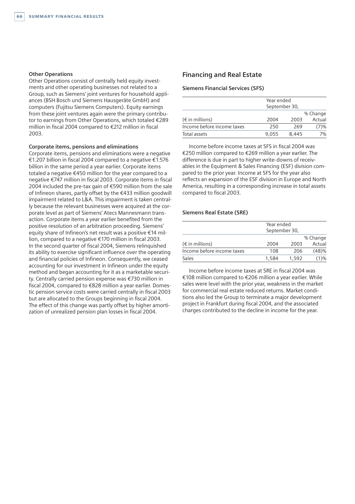#### **Other Operations**

Other Operations consist of centrally held equity investments and other operating businesses not related to a Group, such as Siemens' joint ventures for household appliances (BSH Bosch und Siemens Hausgeräte GmbH) and computers (Fujitsu Siemens Computers). Equity earnings from these joint ventures again were the primary contributor to earnings from Other Operations, which totaled €289 million in fiscal 2004 compared to €212 million in fiscal 2003.

#### **Corporate items, pensions and eliminations**

Corporate items, pensions and eliminations were a negative €1.207 billion in fiscal 2004 compared to a negative €1.576 billion in the same period a year earlier. Corporate items totaled a negative €450 million for the year compared to a negative €747 million in fiscal 2003. Corporate items in fiscal 2004 included the pre-tax gain of €590 million from the sale of Infineon shares, partly offset by the €433 million goodwill impairment related to L&A. This impairment is taken centrally because the relevant businesses were acquired at the corporate level as part of Siemens' Atecs Mannesmann transaction. Corporate items a year earlier benefited from the positive resolution of an arbitration proceeding. Siemens' equity share of Infineon's net result was a positive €14 million, compared to a negative €170 million in fiscal 2003. In the second quarter of fiscal 2004, Siemens relinquished its ability to exercise significant influence over the operating and financial policies of Infineon. Consequently, we ceased accounting for our investment in Infineon under the equity method and began accounting for it as a marketable security. Centrally carried pension expense was €730 million in fiscal 2004, compared to €828 million a year earlier. Domestic pension service costs were carried centrally in fiscal 2003 but are allocated to the Groups beginning in fiscal 2004. The effect of this change was partly offset by higher amortization of unrealized pension plan losses in fiscal 2004.

### **Financing and Real Estate**

#### **Siemens Financial Services (SFS)**

|                            | Year ended<br>September 30, |       |          |
|----------------------------|-----------------------------|-------|----------|
|                            |                             |       | % Change |
| $(\epsilon$ in millions)   | 2004                        | 2003  | Actual   |
| Income before income taxes | 250                         | 269   | (7)%     |
| Total assets               | 9.055                       | 8.445 | 7%       |

Income before income taxes at SFS in fiscal 2004 was €250 million compared to €269 million a year earlier. The difference is due in part to higher write-downs of receivables in the Equipment & Sales Financing (ESF) division compared to the prior year. Income at SFS for the year also reflects an expansion of the ESF division in Europe and North America, resulting in a corresponding increase in total assets compared to fiscal 2003.

#### **Siemens Real Estate (SRE)**

|                            |       | Year ended<br>September 30, |          |  |
|----------------------------|-------|-----------------------------|----------|--|
|                            |       |                             | % Change |  |
| $(\epsilon$ in millions)   | 2004  | 2003                        | Actual   |  |
| Income before income taxes | 108   | 206                         | (48)%    |  |
| Sales                      | 1.584 | 1.592                       | (1)%     |  |

Income before income taxes at SRE in fiscal 2004 was €108 million compared to €206 million a year earlier. While sales were level with the prior year, weakness in the market for commercial real estate reduced returns. Market conditions also led the Group to terminate a major development project in Frankfurt during fiscal 2004, and the associated charges contributed to the decline in income for the year.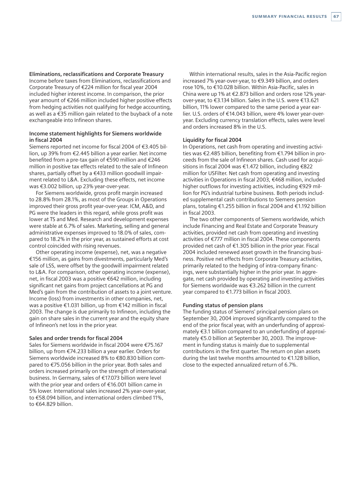**Eliminations, reclassifications and Corporate Treasury**

Income before taxes from Eliminations, reclassifications and Corporate Treasury of €224 million for fiscal year 2004 included higher interest income. In comparison, the prior year amount of €266 million included higher positive effects from hedging activities not qualifying for hedge accounting, as well as a €35 million gain related to the buyback of a note exchangeable into Infineon shares.

#### **Income statement highlights for Siemens worldwide in fiscal 2004**

Siemens reported net income for fiscal 2004 of €3.405 billion, up 39% from €2.445 billion a year earlier. Net income benefited from a pre-tax gain of €590 million and €246 million in positive tax effects related to the sale of Infineon shares, partially offset by a €433 million goodwill impairment related to L&A. Excluding these effects, net income was €3.002 billion, up 23% year-over-year.

For Siemens worldwide, gross profit margin increased to 28.8% from 28.1%, as most of the Groups in Operations improved their gross profit year-over-year. ICM, A&D, and PG were the leaders in this regard, while gross profit was lower at TS and Med. Research and development expenses were stable at 6.7% of sales. Marketing, selling and general administrative expenses improved to 18.0% of sales, compared to 18.2% in the prior year, as sustained efforts at cost control coincided with rising revenues.

Other operating income (expense), net, was a negative €156 million, as gains from divestments, particularly Med's sale of LSS, were offset by the goodwill impairment related to L&A. For comparison, other operating income (expense), net, in fiscal 2003 was a positive €642 million, including significant net gains from project cancellations at PG and Med's gain from the contribution of assets to a joint venture. Income (loss) from investments in other companies, net, was a positive €1.031 billion, up from €142 million in fiscal 2003. The change is due primarily to Infineon, including the gain on share sales in the current year and the equity share of Infineon's net loss in the prior year.

#### **Sales and order trends for fiscal 2004**

Sales for Siemens worldwide in fiscal 2004 were €75.167 billion, up from €74.233 billion a year earlier. Orders for Siemens worldwide increased 8% to €80.830 billion compared to €75.056 billion in the prior year. Both sales and orders increased primarily on the strength of international business. In Germany, sales of €17.073 billion were level with the prior year and orders of €16.001 billion came in 5% lower. International sales increased 2% year-over-year, to €58.094 billion, and international orders climbed 11%, to €64.829 billion.

Within international results, sales in the Asia-Pacific region increased 7% year-over-year, to €9.349 billion, and orders rose 10%, to €10.028 billion. Within Asia-Pacific, sales in China were up 1% at €2.873 billion and orders rose 12% yearover-year, to €3.134 billion. Sales in the U.S. were €13.621 billion, 11% lower compared to the same period a year earlier. U.S. orders of €14.043 billion, were 4% lower year-overyear. Excluding currency translation effects, sales were level and orders increased 8% in the U.S.

#### **Liquidity for fiscal 2004**

In Operations, net cash from operating and investing activities was €2.485 billion, benefiting from €1.794 billion in proceeds from the sale of Infineon shares. Cash used for acquisitions in fiscal 2004 was €1.472 billion, including €822 million for USFilter. Net cash from operating and investing activities in Operations in fiscal 2003, €468 million, included higher outflows for investing activities, including €929 million for PG's industrial turbine business. Both periods included supplemental cash contributions to Siemens pension plans, totaling €1.255 billion in fiscal 2004 and €1.192 billion in fiscal 2003.

The two other components of Siemens worldwide, which include Financing and Real Estate and Corporate Treasury activities, provided net cash from operating and investing activities of €777 million in fiscal 2004. These components provided net cash of €1.305 billion in the prior year. Fiscal 2004 included renewed asset growth in the financing business. Positive net effects from Corporate Treasury activities, primarily related to the hedging of intra-company financings, were substantially higher in the prior year. In aggregate, net cash provided by operating and investing activities for Siemens worldwide was €3.262 billion in the current year compared to €1.773 billion in fiscal 2003.

#### **Funding status of pension plans**

The funding status of Siemens' principal pension plans on September 30, 2004 improved significantly compared to the end of the prior fiscal year, with an underfunding of approximately €3.1 billion compared to an underfunding of approximately €5.0 billion at September 30, 2003. The improvement in funding status is mainly due to supplemental contributions in the first quarter. The return on plan assets during the last twelve months amounted to €1.128 billion, close to the expected annualized return of 6.7%.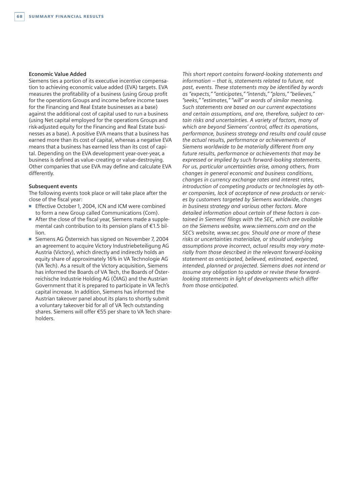#### **Economic Value Added**

Siemens ties a portion of its executive incentive compensation to achieving economic value added (EVA) targets. EVA measures the profitability of a business (using Group profit for the operations Groups and income before income taxes for the Financing and Real Estate businesses as a base) against the additional cost of capital used to run a business (using Net capital employed for the operations Groups and risk-adjusted equity for the Financing and Real Estate businesses as a base). A positive EVA means that a business has earned more than its cost of capital, whereas a negative EVA means that a business has earned less than its cost of capital. Depending on the EVA development year-over-year, a business is defined as value-creating or value-destroying. Other companies that use EVA may define and calculate EVA differently.

#### **Subsequent events**

The following events took place or will take place after the close of the fiscal year:

- Effective October 1, 2004, ICN and ICM were combined to form a new Group called Communications (Com).
- After the close of the fiscal year, Siemens made a supplemental cash contribution to its pension plans of €1.5 billion.
- Siemens AG Österreich has signed on November 7, 2004 an agreement to acquire Victory Industriebeteiligung AG Austria (Victory), which directly and indirectly holds an equity share of approximately 16% in VA Technologie AG (VA Tech). As a result of the Victory acquisition, Siemens has informed the Boards of VA Tech, the Boards of Österreichische Industrie Holding AG (ÖIAG) and the Austrian Government that it is prepared to participate in VA Tech's capital increase. In addition, Siemens has informed the Austrian takeover panel about its plans to shortly submit a voluntary takeover bid for all of VA Tech outstanding shares. Siemens will offer €55 per share to VA Tech shareholders.

*This short report contains forward-looking statements and information – that is, statements related to future, not past, events. These statements may be identified by words as "expects," "anticipates," "intends," "plans," "believes," "seeks," "estimates," "will" or words of similar meaning. Such statements are based on our current expectations and certain assumptions, and are, therefore, subject to certain risks and uncertainties. A variety of factors, many of which are beyond Siemens' control, affect its operations, performance, business strategy and results and could cause the actual results, performance or achievements of Siemens worldwide to be materially different from any future results, performance or achievements that may be expressed or implied by such forward-looking statements. For us, particular uncertainties arise, among others, from changes in general economic and business conditions, changes in currency exchange rates and interest rates, introduction of competing products or technologies by other companies, lack of acceptance of new products or services by customers targeted by Siemens worldwide, changes in business strategy and various other factors. More detailed information about certain of these factors is contained in Siemens' filings with the SEC, which are available on the Siemens website, www.siemens.com and on the SEC's website, www.sec.gov. Should one or more of these risks or uncertainties materialize, or should underlying assumptions prove incorrect, actual results may vary materially from those described in the relevant forward-looking statement as anticipated, believed, estimated, expected, intended, planned or projected. Siemens does not intend or assume any obligation to update or revise these forwardlooking statements in light of developments which differ from those anticipated.*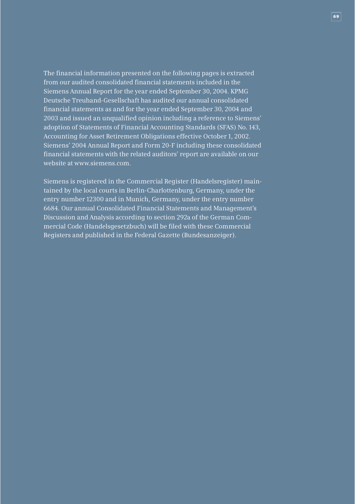The financial information presented on the following pages is extracted from our audited consolidated financial statements included in the Siemens Annual Report for the year ended September 30, 2004. KPMG Deutsche Treuhand-Gesellschaft has audited our annual consolidated financial statements as and for the year ended September 30, 2004 and 2003 and issued an unqualified opinion including a reference to Siemens' adoption of Statements of Financial Accounting Standards (SFAS) No. 143, Accounting for Asset Retirement Obligations effective October 1, 2002. Siemens' 2004 Annual Report and Form 20-F including these consolidated financial statements with the related auditors' report are available on our website at www.siemens.com.

Siemens is registered in the Commercial Register (Handelsregister) maintained by the local courts in Berlin-Charlottenburg, Germany, under the entry number 12300 and in Munich, Germany, under the entry number 6684. Our annual Consolidated Financial Statements and Management's Discussion and Analysis according to section 292a of the German Commercial Code (Handelsgesetzbuch) will be filed with these Commercial Registers and published in the Federal Gazette (Bundesanzeiger).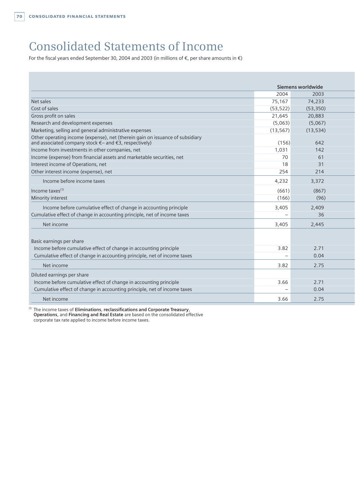# Consolidated Statements of Income

For the fiscal years ended September 30, 2004 and 2003 (in millions of €, per share amounts in €)

|                                                                                                                                        |           | Siemens worldwide |  |
|----------------------------------------------------------------------------------------------------------------------------------------|-----------|-------------------|--|
|                                                                                                                                        | 2004      | 2003              |  |
| Net sales                                                                                                                              | 75.167    | 74,233            |  |
| Cost of sales                                                                                                                          | (53, 522) | (53.350)          |  |
| Gross profit on sales                                                                                                                  | 21,645    | 20,883            |  |
| Research and development expenses                                                                                                      | (5.063)   | (5.067)           |  |
| Marketing, selling and general administrative expenses                                                                                 | (13.567)  | (13.534)          |  |
| Other operating income (expense), net (therein gain on issuance of subsidiary<br>and associated company stock €- and €3, respectively) | (156)     | 642               |  |
| Income from investments in other companies, net                                                                                        | 1.031     | 142               |  |
| Income (expense) from financial assets and marketable securities, net                                                                  | 70        | 61                |  |
| Interest income of Operations, net                                                                                                     | 18        | 31                |  |
| Other interest income (expense), net                                                                                                   | 254       | 214               |  |
| Income before income taxes                                                                                                             | 4,232     | 3,372             |  |
| Income taxes $(1)$                                                                                                                     | (661)     | (867)             |  |
| Minority interest                                                                                                                      | (166)     | (96)              |  |
| Income before cumulative effect of change in accounting principle                                                                      | 3.405     | 2.409             |  |
| Cumulative effect of change in accounting principle, net of income taxes                                                               |           | 36                |  |
| Net income                                                                                                                             | 3,405     | 2.445             |  |
| Basic earnings per share                                                                                                               |           |                   |  |
| Income before cumulative effect of change in accounting principle                                                                      | 3.82      | 2.71              |  |
| Cumulative effect of change in accounting principle, net of income taxes                                                               |           | 0.04              |  |
| Net income                                                                                                                             | 3.82      | 2.75              |  |
| Diluted earnings per share                                                                                                             |           |                   |  |
| Income before cumulative effect of change in accounting principle                                                                      | 3.66      | 2.71              |  |
| Cumulative effect of change in accounting principle, net of income taxes                                                               |           | 0.04              |  |
| Net income                                                                                                                             | 3.66      | 2.75              |  |

<sup>(0</sup> The income taxes of **Eliminations, reclassifications and Corporate Treasury,<br><b>Operations**, and Financing and Real Estate are based on the consolidated effective<br>corporate tax rate applied to income before income taxes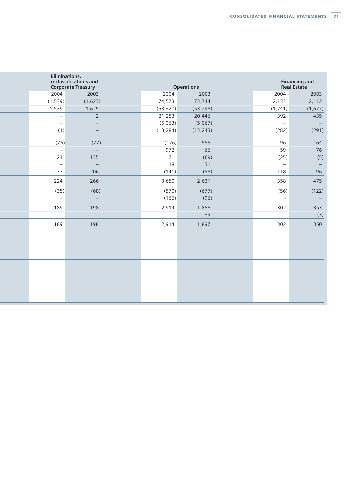| Eliminations,<br>reclassifications and<br><b>Corporate Treasury</b> |                   | <b>Operations</b> |           |           | <b>Financing and</b><br><b>Real Estate</b> |         |  |
|---------------------------------------------------------------------|-------------------|-------------------|-----------|-----------|--------------------------------------------|---------|--|
|                                                                     | 2004              | 2003              | 2004      | 2003      | 2004                                       | 2003    |  |
|                                                                     | (1, 539)          | (1,623)           | 74,573    | 73,744    | 2,133                                      | 2,112   |  |
|                                                                     | 1,539             | 1,625             | (53, 320) | (53, 298) | (1,741)                                    | (1,677) |  |
|                                                                     | $\qquad \qquad -$ | $\overline{2}$    | 21,253    | 20,446    | 392                                        | 435     |  |
|                                                                     | $\frac{1}{2}$     |                   | (5,063)   | (5,067)   | $\qquad \qquad -$                          |         |  |
|                                                                     | (1)               |                   | (13, 284) | (13, 243) | (282)                                      | (291)   |  |
|                                                                     | (76)              | (77)              | (176)     | 555       | 96                                         | 164     |  |
|                                                                     | ÷,                |                   | 972       | 66        | 59                                         | 76      |  |
|                                                                     | 24                | 135               | 71        | (69)      | (25)                                       | (5)     |  |
|                                                                     | ÷                 |                   | 18        | 31        | $\qquad \qquad -$                          |         |  |
|                                                                     | 277               | 206               | (141)     | (88)      | 118                                        | 96      |  |
|                                                                     | 224               | 266               | 3,650     | 2,631     | 358                                        | 475     |  |
|                                                                     | (35)              | (68)              | (570)     | (677)     | (56)                                       | (122)   |  |
|                                                                     | $\qquad \qquad -$ | $\qquad \qquad -$ | (166)     | (96)      | $\qquad \qquad -$                          | -       |  |
|                                                                     | 189               | 198               | 2,914     | 1,858     | 302                                        | 353     |  |
|                                                                     | $\qquad \qquad -$ |                   |           | 39        |                                            | (3)     |  |
|                                                                     | 189               | 198               | 2,914     | 1,897     | 302                                        | 350     |  |
|                                                                     |                   |                   |           |           |                                            |         |  |
|                                                                     |                   |                   |           |           |                                            |         |  |
|                                                                     |                   |                   |           |           |                                            |         |  |
|                                                                     |                   |                   |           |           |                                            |         |  |
|                                                                     |                   |                   |           |           |                                            |         |  |
|                                                                     |                   |                   |           |           |                                            |         |  |
|                                                                     |                   |                   |           |           |                                            |         |  |
|                                                                     |                   |                   |           |           |                                            |         |  |
|                                                                     |                   |                   |           |           |                                            |         |  |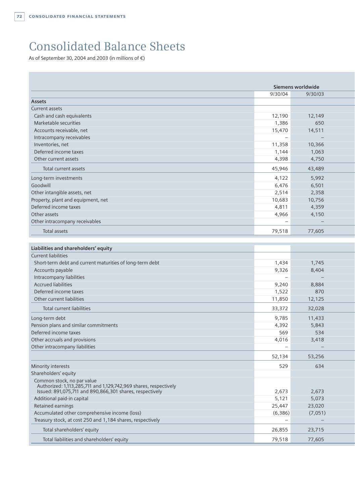# Consolidated Balance Sheets

As of September 30, 2004 and 2003 (in millions of  $\epsilon$ )

|                                                                                                                              | Siemens worldwide |         |  |
|------------------------------------------------------------------------------------------------------------------------------|-------------------|---------|--|
|                                                                                                                              | 9/30/04           | 9/30/03 |  |
| <b>Assets</b>                                                                                                                |                   |         |  |
| Current assets                                                                                                               |                   |         |  |
| Cash and cash equivalents                                                                                                    | 12,190            | 12,149  |  |
| Marketable securities                                                                                                        | 1,386             | 650     |  |
| Accounts receivable, net                                                                                                     | 15,470            | 14,511  |  |
| Intracompany receivables                                                                                                     |                   |         |  |
| Inventories, net                                                                                                             | 11,358            | 10,366  |  |
| Deferred income taxes                                                                                                        | 1,144             | 1,063   |  |
| Other current assets                                                                                                         | 4,398             | 4,750   |  |
| Total current assets                                                                                                         | 45,946            | 43,489  |  |
| Long-term investments                                                                                                        | 4.122             | 5,992   |  |
| Goodwill                                                                                                                     | 6,476             | 6,501   |  |
| Other intangible assets, net                                                                                                 | 2,514             | 2,358   |  |
| Property, plant and equipment, net                                                                                           | 10,683            | 10,756  |  |
| Deferred income taxes                                                                                                        | 4,811             | 4,359   |  |
| Other assets                                                                                                                 | 4,966             | 4,150   |  |
| Other intracompany receivables                                                                                               |                   |         |  |
| <b>Total assets</b>                                                                                                          | 79,518            | 77,605  |  |
|                                                                                                                              |                   |         |  |
| Liabilities and shareholders' equity                                                                                         |                   |         |  |
| <b>Current liabilities</b>                                                                                                   |                   |         |  |
| Short-term debt and current maturities of long-term debt                                                                     | 1,434             | 1,745   |  |
| Accounts payable                                                                                                             | 9,326             | 8,404   |  |
| Intracompany liabilities                                                                                                     | $\equiv$          |         |  |
| <b>Accrued liabilities</b>                                                                                                   | 9,240             | 8,884   |  |
| Deferred income taxes                                                                                                        | 1,522             | 870     |  |
| Other current liabilities                                                                                                    | 11,850            | 12,125  |  |
| <b>Total current liabilities</b>                                                                                             | 33,372            | 32,028  |  |
| Long-term debt                                                                                                               | 9.785             | 11,433  |  |
| Pension plans and similar commitments                                                                                        | 4,392             | 5,843   |  |
| Deferred income taxes                                                                                                        | 569               | 534     |  |
| Other accruals and provisions                                                                                                | 4,016             | 3,418   |  |
| Other intracompany liabilities                                                                                               |                   |         |  |
|                                                                                                                              | 52,134            | 53,256  |  |
| Minority interests                                                                                                           | 529               | 634     |  |
| Shareholders' equity                                                                                                         |                   |         |  |
| Common stock, no par value                                                                                                   |                   |         |  |
| Authorized: 1,113,285,711 and 1,129,742,969 shares, respectively<br>Issued: 891,075,711 and 890,866,301 shares, respectively | 2,673             | 2,673   |  |
| Additional paid-in capital                                                                                                   | 5,121             | 5,073   |  |
| Retained earnings                                                                                                            | 25,447            | 23,020  |  |
| Accumulated other comprehensive income (loss)                                                                                | (6,386)           | (7,051) |  |
| Treasury stock, at cost 250 and 1,184 shares, respectively                                                                   | $\sim$            |         |  |
| Total shareholders' equity                                                                                                   | 26,855            | 23,715  |  |
| Total liabilities and shareholders' equity                                                                                   | 79,518            | 77,605  |  |
|                                                                                                                              |                   |         |  |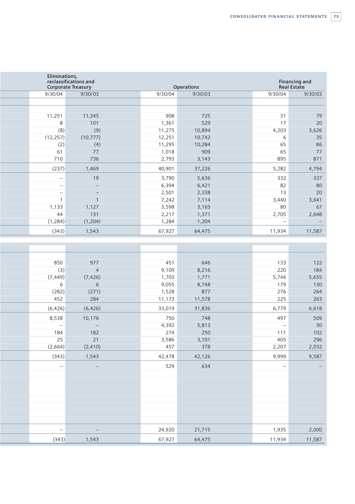| Eliminations, | reclassifications and<br><b>Corporate Treasury</b> |         | <b>Operations</b> |         | <b>Financing and</b><br><b>Real Estate</b> |
|---------------|----------------------------------------------------|---------|-------------------|---------|--------------------------------------------|
| 9/30/04       | 9/30/03                                            | 9/30/04 | 9/30/03           | 9/30/04 | 9/30/03                                    |
|               |                                                    |         |                   |         |                                            |
|               |                                                    |         |                   |         |                                            |
| 11,251        | 11,345                                             | 908     | 725               | 31      | 79                                         |
| 8             | 101                                                | 1,361   | 529               | 17      | 20                                         |
| (8)           | (9)                                                | 11,275  | 10,894            | 4,203   | 3,626                                      |
| (12, 257)     | (10, 777)                                          | 12,251  | 10,742            | 6       | 35                                         |
| (2)           | (4)                                                | 11,295  | 10,284            | 65      | 86                                         |
| 61            | 77                                                 | 1,018   | 909               | 65      | 77                                         |
| 710           | 736                                                | 2,793   | 3,143             | 895     | 871                                        |
| (237)         | 1,469                                              | 40,901  | 37,226            | 5,282   | 4,794                                      |
| $\equiv$      | 19                                                 | 3,790   | 5,636             | 332     | 337                                        |
| $\equiv$      |                                                    | 6,394   | 6,421             | 82      | 80                                         |
| $\equiv$      |                                                    | 2,501   | 2,338             | 13      | 20                                         |
| 1             | $\mathbf{1}$                                       | 7,242   | 7,114             | 3,440   | 3,641                                      |
| 1,133         | 1,127                                              | 3,598   | 3,165             | 80      | 67                                         |
| 44            | 131                                                | 2,217   | 1,371             | 2,705   | 2,648                                      |
| (1, 284)      | (1,204)                                            | 1,284   | 1,204             | -       |                                            |
| (343)         | 1,543                                              | 67,927  | 64,475            | 11,934  | 11,587                                     |

| 850                            | 977            | 451    | 646    | 133               | 122    |
|--------------------------------|----------------|--------|--------|-------------------|--------|
| (3)                            | $\overline{4}$ | 9,109  | 8,216  | 220               | 184    |
| (7, 449)                       | (7, 426)       | 1,703  | 1,771  | 5,746             | 5,655  |
| 6                              | 6              | 9,055  | 8,748  | 179               | 130    |
| (282)                          | (271)          | 1,528  | 877    | 276               | 264    |
| 452                            | 284            | 11,173 | 11,578 | 225               | 263    |
| (6,426)                        | (6,426)        | 33,019 | 31,836 | 6,779             | 6,618  |
| 8,538                          | 10,176         | 750    | 748    | 497               | 509    |
| $\qquad \qquad \longleftarrow$ |                | 4,392  | 5,813  | $\qquad \qquad -$ | 30     |
| 184                            | 182            | 274    | 250    | 111               | 102    |
| 25                             | 21             | 3,586  | 3,101  | 405               | 296    |
| (2,664)                        | (2, 410)       | 457    | 378    | 2,207             | 2,032  |
| (343)                          | 1,543          | 42,478 | 42,126 | 9,999             | 9,587  |
| -                              |                | 529    | 634    |                   |        |
|                                |                |        |        |                   |        |
|                                |                |        |        |                   |        |
|                                |                |        |        |                   |        |
|                                |                |        |        |                   |        |
|                                |                |        |        |                   |        |
|                                |                |        |        |                   |        |
|                                |                |        |        |                   |        |
| -                              |                | 24,920 | 21,715 | 1,935             | 2,000  |
| (343)                          | 1,543          | 67,927 | 64,475 | 11,934            | 11,587 |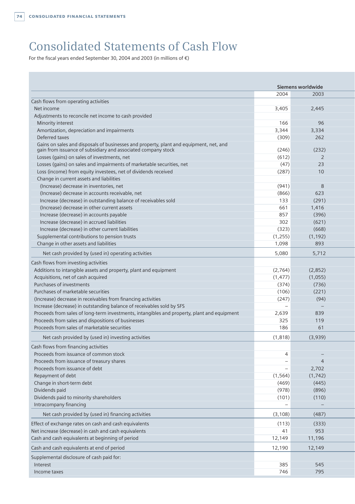п

### Consolidated Statements of Cash Flow

For the fiscal years ended September 30, 2004 and 2003 (in millions of €)

|                                                                                                                                                         |          | Siemens worldwide |  |
|---------------------------------------------------------------------------------------------------------------------------------------------------------|----------|-------------------|--|
|                                                                                                                                                         | 2004     | 2003              |  |
| Cash flows from operating activities                                                                                                                    |          |                   |  |
| Net income                                                                                                                                              | 3,405    | 2,445             |  |
| Adjustments to reconcile net income to cash provided                                                                                                    |          |                   |  |
| Minority interest                                                                                                                                       | 166      | 96                |  |
| Amortization, depreciation and impairments                                                                                                              | 3.344    | 3,334             |  |
| Deferred taxes                                                                                                                                          | (309)    | 262               |  |
| Gains on sales and disposals of businesses and property, plant and equipment, net, and<br>gain from issuance of subsidiary and associated company stock | (246)    | (232)             |  |
| Losses (gains) on sales of investments, net                                                                                                             | (612)    | $\overline{2}$    |  |
| Losses (gains) on sales and impairments of marketable securities, net                                                                                   | (47)     | 23                |  |
| Loss (income) from equity investees, net of dividends received                                                                                          | (287)    | 10                |  |
| Change in current assets and liabilities                                                                                                                |          |                   |  |
| (Increase) decrease in inventories, net                                                                                                                 | (941)    | 8                 |  |
| (Increase) decrease in accounts receivable, net                                                                                                         | (866)    | 623               |  |
| Increase (decrease) in outstanding balance of receivables sold                                                                                          | 133      | (291)             |  |
| (Increase) decrease in other current assets                                                                                                             | 661      | 1.416             |  |
| Increase (decrease) in accounts payable                                                                                                                 | 857      | (396)             |  |
| Increase (decrease) in accrued liabilities                                                                                                              | 302      | (621)             |  |
| Increase (decrease) in other current liabilities                                                                                                        | (323)    | (668)             |  |
| Supplemental contributions to pension trusts                                                                                                            | (1,255)  | (1, 192)          |  |
| Change in other assets and liabilities                                                                                                                  | 1,098    | 893               |  |
| Net cash provided by (used in) operating activities                                                                                                     | 5,080    | 5,712             |  |
| Cash flows from investing activities                                                                                                                    |          |                   |  |
| Additions to intangible assets and property, plant and equipment                                                                                        | (2,764)  | (2,852)           |  |
| Acquisitions, net of cash acquired                                                                                                                      | (1, 477) | (1,055)           |  |
| Purchases of investments                                                                                                                                | (374)    |                   |  |
| Purchases of marketable securities                                                                                                                      |          | (736)             |  |
|                                                                                                                                                         | (106)    | (221)             |  |
| (Increase) decrease in receivables from financing activities                                                                                            | (247)    | (94)              |  |
| Increase (decrease) in outstanding balance of receivables sold by SFS                                                                                   |          | 839               |  |
| Proceeds from sales of long-term investments, intangibles and property, plant and equipment                                                             | 2,639    |                   |  |
| Proceeds from sales and dispositions of businesses                                                                                                      | 325      | 119               |  |
| Proceeds from sales of marketable securities                                                                                                            | 186      | 61                |  |
| Net cash provided by (used in) investing activities                                                                                                     | (1, 818) | (3,939)           |  |
| Cash flows from financing activities                                                                                                                    |          |                   |  |
| Proceeds from issuance of common stock                                                                                                                  | 4        |                   |  |
| Proceeds from issuance of treasury shares                                                                                                               | $\equiv$ | $\overline{4}$    |  |
| Proceeds from issuance of debt                                                                                                                          |          | 2,702             |  |
| Repayment of debt                                                                                                                                       | (1, 564) | (1,742)           |  |
| Change in short-term debt                                                                                                                               | (469)    | (445)             |  |
| Dividends paid                                                                                                                                          | (978)    | (896)             |  |
| Dividends paid to minority shareholders                                                                                                                 | (101)    | (110)             |  |
| Intracompany financing                                                                                                                                  |          |                   |  |
| Net cash provided by (used in) financing activities                                                                                                     | (3, 108) | (487)             |  |
| Effect of exchange rates on cash and cash equivalents                                                                                                   | (113)    | (333)             |  |
| Net increase (decrease) in cash and cash equivalents                                                                                                    | 41       | 953               |  |
| Cash and cash equivalents at beginning of period                                                                                                        | 12,149   | 11,196            |  |
| Cash and cash equivalents at end of period                                                                                                              | 12,190   | 12,149            |  |
| Supplemental disclosure of cash paid for:                                                                                                               |          |                   |  |
| Interest                                                                                                                                                | 385      | 545               |  |
|                                                                                                                                                         | 746      | 795               |  |
| Income taxes                                                                                                                                            |          |                   |  |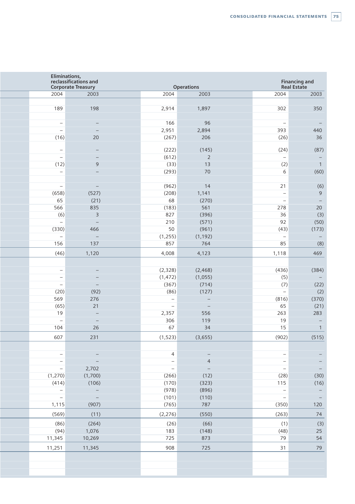| Eliminations,            | reclassifications and<br><b>Corporate Treasury</b> |                          | <b>Operations</b> |                          | <b>Financing and</b><br><b>Real Estate</b> |
|--------------------------|----------------------------------------------------|--------------------------|-------------------|--------------------------|--------------------------------------------|
| 2004                     | 2003                                               | 2004                     | 2003              | 2004                     | 2003                                       |
|                          |                                                    |                          |                   |                          |                                            |
| 189                      | 198                                                | 2,914                    | 1,897             | 302                      | 350                                        |
|                          |                                                    |                          |                   |                          |                                            |
| $\overline{\phantom{m}}$ |                                                    | 166                      | 96                | $\frac{1}{2}$            |                                            |
| $\overline{\phantom{m}}$ |                                                    | 2,951                    | 2,894             | 393                      | 440                                        |
| (16)                     | 20                                                 | (267)                    | 206               | (26)                     | 36                                         |
|                          |                                                    |                          |                   |                          |                                            |
| $\overline{a}$           |                                                    | (222)                    | (145)             | (24)                     | (87)                                       |
| $\overline{\phantom{0}}$ |                                                    | (612)                    | $\overline{2}$    | $\equiv$                 |                                            |
| (12)                     | 9                                                  | (33)                     | 13                | (2)                      | $\mathbf{1}$                               |
| $\qquad \qquad -$        |                                                    | (293)                    | 70                | 6                        | (60)                                       |
|                          |                                                    |                          |                   |                          |                                            |
| $\overline{\phantom{a}}$ |                                                    | (962)                    | 14                | 21                       | (6)                                        |
| (658)                    | (527)                                              | (208)                    | 1,141             | ÷                        | 9                                          |
| 65                       | (21)                                               | 68                       | (270)             | $\qquad \qquad -$        | $\overline{\phantom{0}}$                   |
| 566                      | 835                                                | (183)                    | 561               | 278                      | 20                                         |
| (6)                      | $\overline{3}$                                     | 827                      | (396)             | 36                       | (3)                                        |
| $\overline{a}$           | L.                                                 | 210                      | (571)             | 92                       | (50)                                       |
| (330)                    | 466                                                | 50                       | (961)             | (43)                     | (173)                                      |
| $\overline{\phantom{a}}$ | $\overline{a}$                                     | (1, 255)                 | (1, 192)          | $\overline{\phantom{0}}$ |                                            |
| 156                      | 137                                                | 857                      | 764               | 85                       | (8)                                        |
| (46)                     | 1,120                                              | 4,008                    | 4,123             | 1,118                    | 469                                        |
|                          |                                                    |                          |                   |                          |                                            |
| $\qquad \qquad -$        |                                                    | (2,328)                  | (2, 468)          | (436)                    | (384)                                      |
| $\equiv$                 |                                                    | (1, 472)                 | (1,055)           | (5)                      |                                            |
| $\overline{\phantom{m}}$ |                                                    | (367)                    | (714)             | (7)                      | (22)                                       |
| (20)                     | (92)                                               | (86)                     | (127)             | $\overline{\phantom{0}}$ | (2)                                        |
| 569                      | 276                                                | $\overline{a}$           |                   | (816)                    | (370)                                      |
| (65)                     | 21                                                 | $\overline{a}$           |                   | 65                       | (21)                                       |
| 19                       |                                                    | 2,357                    | 556               | 263                      | 283                                        |
| $\overline{a}$           | L.                                                 | 306                      | 119               | 19                       |                                            |
| 104                      | 26                                                 | 67                       | 34                | 15                       | $\mathbf{1}$                               |
| 607                      | 231                                                | (1, 523)                 | (3,655)           | (902)                    | (515)                                      |
|                          |                                                    |                          |                   |                          |                                            |
|                          |                                                    |                          |                   |                          |                                            |
| $\overline{\phantom{m}}$ |                                                    | $\overline{4}$           |                   | $\equiv$                 |                                            |
| $\overline{\phantom{0}}$ |                                                    | $\overline{\phantom{0}}$ | $\overline{4}$    | ÷                        |                                            |
| $\overline{a}$           | 2,702                                              | $\overline{a}$           |                   | $\overline{a}$           |                                            |
| (1, 270)                 | (1,700)                                            | (266)                    | (12)              | (28)                     | (30)                                       |
| (414)                    | (106)                                              | (170)                    | (323)             | 115                      | (16)                                       |
|                          |                                                    | (978)                    | (896)             | ÷                        |                                            |
| $\overline{\phantom{a}}$ |                                                    | (101)                    | (110)             | $\overline{a}$           |                                            |
| 1,115                    | (907)                                              | (765)                    | 787               | (350)                    | 120                                        |
| (569)                    | (11)                                               | (2, 276)                 | (550)             | (263)                    | 74                                         |
| (86)                     | (264)                                              | (26)                     | (66)              | (1)                      | (3)                                        |
| (94)                     | 1,076                                              | 183                      | (148)             | (48)                     | 25                                         |
| 11,345                   | 10,269                                             | 725                      | 873               | 79                       | 54                                         |
| 11,251                   | 11,345                                             | 908                      | 725               | 31                       | 79                                         |
|                          |                                                    |                          |                   |                          |                                            |
|                          |                                                    |                          |                   |                          |                                            |
|                          |                                                    |                          |                   |                          |                                            |
|                          |                                                    |                          |                   |                          |                                            |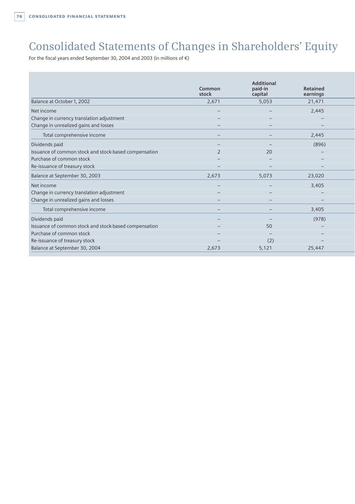## Consolidated Statements of Changes in Shareholders' Equity

For the fiscal years ended September 30, 2004 and 2003 (in millions of €)

|                                                       | Common<br>stock | <b>Additional</b><br>paid-in<br>capital | <b>Retained</b><br>earnings |  |
|-------------------------------------------------------|-----------------|-----------------------------------------|-----------------------------|--|
| Balance at October 1, 2002                            | 2,671           | 5,053                                   | 21,471                      |  |
| Net income                                            |                 |                                         | 2.445                       |  |
| Change in currency translation adjustment             |                 |                                         |                             |  |
| Change in unrealized gains and losses                 |                 |                                         |                             |  |
| Total comprehensive income                            |                 |                                         | 2.445                       |  |
| Dividends paid                                        |                 |                                         | (896)                       |  |
| Issuance of common stock and stock-based compensation | $\overline{2}$  | 20                                      |                             |  |
| Purchase of common stock                              |                 |                                         |                             |  |
| Re-issuance of treasury stock                         |                 |                                         |                             |  |
| Balance at September 30, 2003                         | 2.673           | 5,073                                   | 23,020                      |  |
| Net income                                            |                 |                                         | 3,405                       |  |
| Change in currency translation adjustment             |                 |                                         |                             |  |
| Change in unrealized gains and losses                 |                 |                                         |                             |  |
| Total comprehensive income                            |                 |                                         | 3,405                       |  |
| Dividends paid                                        |                 |                                         | (978)                       |  |
| Issuance of common stock and stock-based compensation |                 | 50                                      |                             |  |
| Purchase of common stock                              |                 |                                         |                             |  |
| Re-issuance of treasury stock                         |                 | (2)                                     |                             |  |
| Balance at September 30, 2004                         | 2,673           | 5,121                                   | 25,447                      |  |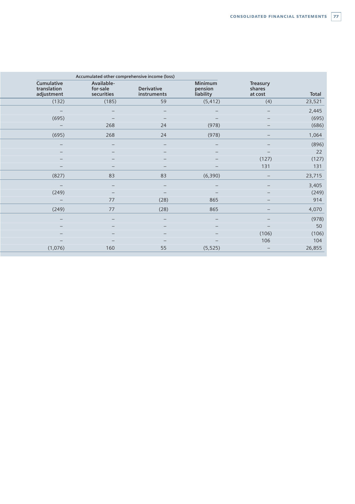|                                         | Accumulated other comprehensive income (loss) |                                  |                                 |                               |              |
|-----------------------------------------|-----------------------------------------------|----------------------------------|---------------------------------|-------------------------------|--------------|
| Cumulative<br>translation<br>adjustment | Available-<br>for-sale<br>securities          | <b>Derivative</b><br>instruments | Minimum<br>pension<br>liability | Treasury<br>shares<br>at cost | <b>Total</b> |
| (132)                                   | (185)                                         | 59                               | (5, 412)                        | (4)                           | 23,521       |
|                                         |                                               |                                  |                                 |                               | 2,445        |
| (695)                                   |                                               |                                  |                                 |                               | (695)        |
|                                         | 268                                           | 24                               | (978)                           |                               | (686)        |
| (695)                                   | 268                                           | 24                               | (978)                           |                               | 1,064        |
|                                         |                                               |                                  |                                 |                               | (896)        |
|                                         |                                               |                                  |                                 |                               | 22           |
|                                         |                                               |                                  |                                 | (127)                         | (127)        |
|                                         |                                               |                                  |                                 | 131                           | 131          |
| (827)                                   | 83                                            | 83                               | (6,390)                         |                               | 23,715       |
|                                         |                                               |                                  |                                 |                               | 3,405        |
| (249)                                   |                                               |                                  |                                 |                               | (249)        |
|                                         | 77                                            | (28)                             | 865                             |                               | 914          |
| (249)                                   | 77                                            | (28)                             | 865                             |                               | 4,070        |
|                                         |                                               |                                  |                                 |                               | (978)        |
|                                         |                                               |                                  |                                 |                               | 50           |
|                                         |                                               |                                  |                                 | (106)                         | (106)        |
|                                         |                                               |                                  |                                 | 106                           | 104          |
| (1,076)                                 | 160                                           | 55                               | (5, 525)                        |                               | 26,855       |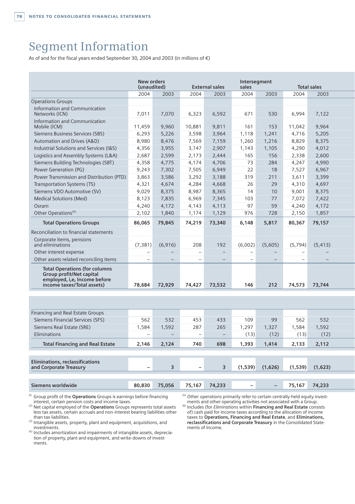### Segment Information

As of and for the fiscal years ended September 30, 2004 and 2003 (in millions of €)

|                                                                                                                                | <b>New orders</b><br>(unaudited) |         |          | <b>External sales</b>    | Intersegment<br>sales |                   |                          | <b>Total sales</b> |
|--------------------------------------------------------------------------------------------------------------------------------|----------------------------------|---------|----------|--------------------------|-----------------------|-------------------|--------------------------|--------------------|
|                                                                                                                                | 2004                             | 2003    | 2004     | 2003                     | 2004                  | 2003              | 2004                     | 2003               |
| <b>Operations Groups</b>                                                                                                       |                                  |         |          |                          |                       |                   |                          |                    |
| Information and Communication<br>Networks (ICN)                                                                                | 7.011                            | 7.070   | 6.323    | 6,592                    | 671                   | 530               | 6.994                    | 7.122              |
| Information and Communication<br>Mobile (ICM)                                                                                  | 11,459                           | 9,960   | 10,881   | 9,811                    | 161                   | 153               | 11,042                   | 9,964              |
| Siemens Business Services (SBS)                                                                                                | 6,293                            | 5,226   | 3,598    | 3.964                    | 1,118                 | 1,241             | 4.716                    | 5,205              |
| Automation and Drives (A&D)                                                                                                    | 8,980                            | 8,476   | 7,569    | 7,159                    | 1,260                 | 1,216             | 8,829                    | 8,375              |
| Industrial Solutions and Services (I&S)                                                                                        | 4,356                            | 3,955   | 3,147    | 2,907                    | 1,143                 | 1,105             | 4,290                    | 4,012              |
| Logistics and Assembly Systems (L&A)                                                                                           | 2,687                            | 2,599   | 2,173    | 2,444                    | 165                   | 156               | 2,338                    | 2,600              |
| Siemens Building Technologies (SBT)                                                                                            | 4,358                            | 4,775   | 4,174    | 4,706                    | 73                    | 284               | 4,247                    | 4,990              |
| Power Generation (PG)                                                                                                          | 9.243                            | 7,302   | 7.505    | 6,949                    | 22                    | 18                | 7.527                    | 6,967              |
| Power Transmission and Distribution (PTD)                                                                                      | 3,863                            | 3,586   | 3,292    | 3,188                    | 319                   | 211               | 3,611                    | 3,399              |
| Transportation Systems (TS)                                                                                                    | 4,321                            | 4,674   | 4,284    | 4,668                    | 26                    | 29                | 4,310                    | 4,697              |
| Siemens VDO Automotive (SV)                                                                                                    | 9,029                            | 8,375   | 8,987    | 8,365                    | 14                    | 10                | 9,001                    | 8,375              |
| <b>Medical Solutions (Med)</b>                                                                                                 | 8,123                            | 7,835   | 6,969    | 7,345                    | 103                   | 77                | 7,072                    | 7,422              |
| Osram                                                                                                                          | 4,240                            | 4,172   | 4,143    | 4,113                    | 97                    | 59                | 4,240                    | 4,172              |
| Other Operations <sup>(5)</sup>                                                                                                | 2,102                            | 1,840   | 1,174    | 1,129                    | 976                   | 728               | 2,150                    | 1,857              |
| <b>Total Operations Groups</b>                                                                                                 | 86,065                           | 79,845  | 74,219   | 73,340                   | 6,148                 | 5,817             | 80,367                   | 79,157             |
| Reconciliation to financial statements                                                                                         |                                  |         |          |                          |                       |                   |                          |                    |
| Corporate items, pensions<br>and eliminations                                                                                  | (7, 381)                         | (6,916) | 208      | 192                      | (6.002)               | (5,605)           | (5, 794)                 | (5, 413)           |
| Other interest expense                                                                                                         | $\equiv$                         | -       | $\sim$   | -                        | $\equiv$              | $\qquad \qquad -$ | $\overline{\phantom{0}}$ |                    |
| Other assets related reconciling items                                                                                         | L.                               |         | ÷        |                          |                       |                   |                          |                    |
| <b>Total Operations (for columns</b><br>Group profit/Net capital<br>employed, i,e, Income before<br>income taxes/Total assets) | 78,684                           | 72,929  | 74,427   | 73,532                   | 146                   | 212               | 74,573                   | 73,744             |
|                                                                                                                                |                                  |         |          |                          |                       |                   |                          |                    |
|                                                                                                                                |                                  |         |          |                          |                       |                   |                          |                    |
| Financing and Real Estate Groups                                                                                               |                                  |         |          |                          |                       |                   |                          |                    |
| Siemens Financial Services (SFS)                                                                                               | 562                              | 532     | 453      | 433                      | 109                   | 99                | 562                      | 532                |
| Siemens Real Estate (SRE)                                                                                                      | 1,584                            | 1,592   | 287      | 265                      | 1,297                 | 1.327             | 1,584                    | 1.592              |
| Eliminations                                                                                                                   | L.                               | $=$     | $\equiv$ | $\overline{\phantom{0}}$ | (13)                  | (12)              | (13)                     | (12)               |
| <b>Total Financing and Real Estate</b>                                                                                         | 2.146                            | 2.124   | 740      | 698                      | 1,393                 | 1.414             | 2.133                    | 2,112              |
|                                                                                                                                |                                  |         |          |                          |                       |                   |                          |                    |
| <b>Eliminations, reclassifications</b><br>and Corporate Treasury                                                               |                                  | 3       |          | 3                        | (1,539)               | (1,626)           | (1,539)                  | (1,623)            |
|                                                                                                                                |                                  |         |          |                          |                       |                   |                          |                    |
| Siemens worldwide                                                                                                              | 80,830                           | 75,056  | 75.167   | 74,233                   | $\overline{a}$        |                   | 75.167                   | 74,233             |

(1) Group profit of the **Operations** Groups is earnings before financing interest, certain pension costs and income taxes.

(2) Net capital employed of the **Operations** Groups represents total assets less tax assets, certain accruals and non-interest bearing liabilities other than tax liabilities.

(3) Intangible assets, property, plant and equipment, acquisitions, and investments.

(4) Includes amortization and impairments of intangible assets, depreciation of property, plant and equipment, and write-downs of investments.

(5) *Other operations* primarily refer to certain centrally-held equity investments and other operating activities not associated with a Group.

(6) Includes (for *Eliminations* within **Financing and Real Estate** consists of) cash paid for income taxes according to the allocation of income taxes to **Operations, Financing and Real Estate**, and **Eliminations, reclassifications and Corporate Treasury** in the Consolidated Statements of Income.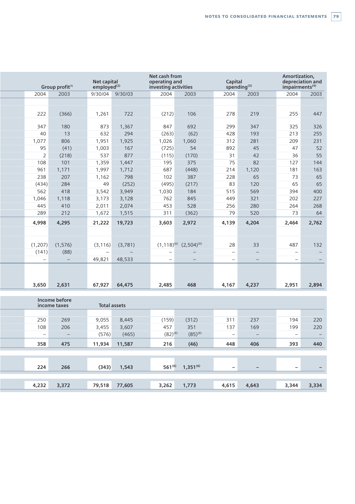|                | Group profit <sup>(1)</sup> | <b>Net capital</b><br>employed <sup>(2)</sup> |         | Net cash from<br>operating and<br>investing activities |                 | <b>Capital</b>    | $spending^{(3)}$ | Amortization.<br>depreciation and<br>impairments <sup>(4)</sup> |       |
|----------------|-----------------------------|-----------------------------------------------|---------|--------------------------------------------------------|-----------------|-------------------|------------------|-----------------------------------------------------------------|-------|
| 2004           | 2003                        | 9/30/04                                       | 9/30/03 | 2004                                                   | 2003            | 2004              | 2003             | 2004                                                            | 2003  |
|                |                             |                                               |         |                                                        |                 |                   |                  |                                                                 |       |
| 222            | (366)                       | 1,261                                         | 722     | (212)                                                  | 106             | 278               | 219              | 255                                                             | 447   |
| 347            | 180                         | 873                                           | 1,367   | 847                                                    | 692             | 299               | 347              | 325                                                             | 326   |
| 40             | 13                          | 632                                           | 294     | (263)                                                  | (62)            | 428               | 193              | 213                                                             | 255   |
| 1,077          | 806                         | 1,951                                         | 1,925   | 1,026                                                  | 1,060           | 312               | 281              | 209                                                             | 231   |
| 95             | (41)                        | 1,003                                         | 167     | (725)                                                  | 54              | 892               | 45               | 47                                                              | 52    |
| $\overline{2}$ | (218)                       | 537                                           | 877     | (115)                                                  | (170)           | 31                | 42               | 36                                                              | 55    |
| 108            | 101                         | 1,359                                         | 1.447   | 195                                                    | 375             | 75                | 82               | 127                                                             | 144   |
| 961            | 1,171                       | 1,997                                         | 1,712   | 687                                                    | (448)           | 214               | 1,120            | 181                                                             | 163   |
| 238            | 207                         | 1,162                                         | 798     | 102                                                    | 387             | 228               | 65               | 73                                                              | 65    |
| (434)          | 284                         | 49                                            | (252)   | (495)                                                  | (217)           | 83                | 120              | 65                                                              | 65    |
| 562            | 418                         | 3.542                                         | 3.949   | 1,030                                                  | 184             | 515               | 569              | 394                                                             | 400   |
| 1,046          | 1,118                       | 3,173                                         | 3,128   | 762                                                    | 845             | 449               | 321              | 202                                                             | 227   |
| 445            | 410                         | 2,011                                         | 2,074   | 453                                                    | 528             | 256               | 280              | 264                                                             | 268   |
| 289            | 212                         | 1,672                                         | 1,515   | 311                                                    | (362)           | 79                | 520              | 73                                                              | 64    |
| 4,998          | 4,295                       | 21,222                                        | 19,723  | 3,603                                                  | 2,972           | 4,139             | 4,204            | 2,464                                                           | 2,762 |
|                |                             |                                               |         |                                                        |                 |                   |                  |                                                                 |       |
| (1, 207)       | (1, 576)                    | (3, 116)                                      | (3,781) | $(1, 118)^{(6)}$                                       | $(2,504)^{(6)}$ | 28                | 33               | 487                                                             | 132   |
| (141)          | (88)                        | $\overline{\phantom{m}}$                      |         | $\overline{\phantom{0}}$                               |                 | $\qquad \qquad -$ |                  | $\qquad \qquad -$                                               |       |
|                |                             | 49.821                                        | 48,533  | $\equiv$                                               |                 | $\qquad \qquad -$ |                  | $\qquad \qquad -$                                               |       |
|                |                             |                                               |         |                                                        |                 |                   |                  |                                                                 |       |
| 3,650          | 2,631                       | 67,927                                        | 64,475  | 2,485                                                  | 468             | 4,167             | 4,237            | 2,951                                                           | 2,894 |
|                |                             |                                               |         |                                                        |                 |                   |                  |                                                                 |       |

|          | Income before<br>income taxes | <b>Total assets</b> |        |              |               |                          |                          |                          |                          |
|----------|-------------------------------|---------------------|--------|--------------|---------------|--------------------------|--------------------------|--------------------------|--------------------------|
|          |                               |                     |        |              |               |                          |                          |                          |                          |
| 250      | 269                           | 9,055               | 8,445  | (159)        | (312)         | 311                      | 237                      | 194                      | 220                      |
| 108      | 206                           | 3,455               | 3,607  | 457          | 351           | 137                      | 169                      | 199                      | 220                      |
| $\equiv$ | $\qquad \qquad -$             | (576)               | (465)  | $(82)^{(6)}$ | $(85)^{(6)}$  | $\qquad \qquad =$        | $\qquad \qquad -$        | $\equiv$                 | $\qquad \qquad -$        |
| 358      | 475                           | 11,934              | 11,587 | 216          | (46)          | 448                      | 406                      | 393                      | 440                      |
|          |                               |                     |        |              |               |                          |                          |                          |                          |
| 224      | 266                           | (343)               | 1,543  | $561^{(6)}$  | $1,351^{(6)}$ | $\overline{\phantom{m}}$ | $\overline{\phantom{m}}$ | $\overline{\phantom{m}}$ | $\overline{\phantom{0}}$ |
|          |                               |                     |        |              |               |                          |                          |                          |                          |
| 4,232    | 3,372                         | 79,518              | 77,605 | 3,262        | 1,773         | 4,615                    | 4,643                    | 3,344                    | 3,334                    |

Ξ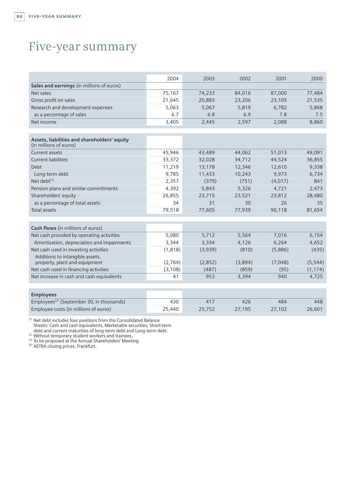### Five-year summary

|                                                                        | 2004     | 2003    | 2002    | 2001    | 2000     |
|------------------------------------------------------------------------|----------|---------|---------|---------|----------|
| Sales and earnings (in millions of euros)                              |          |         |         |         |          |
| Net sales                                                              | 75,167   | 74,233  | 84,016  | 87,000  | 77,484   |
| Gross profit on sales                                                  | 21,645   | 20,883  | 23,206  | 23,105  | 21,535   |
| Research and development expenses                                      | 5,063    | 5,067   | 5,819   | 6,782   | 5,848    |
| as a percentage of sales                                               | 6.7      | 6.8     | 6.9     | 7.8     | 7.5      |
| Net income                                                             | 3,405    | 2,445   | 2,597   | 2,088   | 8,860    |
|                                                                        |          |         |         |         |          |
| Assets, liabilities and shareholders' equity<br>(in millions of euros) |          |         |         |         |          |
| Current assets                                                         | 45,946   | 43,489  | 44,062  | 51,013  | 49,091   |
| <b>Current liabilities</b>                                             | 33,372   | 32,028  | 34,712  | 44,524  | 36,855   |
| Debt                                                                   | 11,219   | 13,178  | 12,346  | 12,610  | 9,338    |
| Long-term debt                                                         | 9,785    | 11,433  | 10.243  | 9.973   | 6.734    |
| Net debt $(1)$                                                         | 2,357    | (379)   | (751)   | (4,017) | 841      |
| Pension plans and similar commitments                                  | 4,392    | 5,843   | 5,326   | 4,721   | 2,473    |
| Shareholders' equity                                                   | 26,855   | 23,715  | 23,521  | 23,812  | 28,480   |
| as a percentage of total assets                                        | 34       | 31      | 30      | 26      | 35       |
| <b>Total assets</b>                                                    | 79,518   | 77,605  | 77,939  | 90,118  | 81,654   |
|                                                                        |          |         |         |         |          |
| Cash flows (in millions of euros)                                      |          |         |         |         |          |
| Net cash provided by operating activities                              | 5,080    | 5,712   | 5,564   | 7,016   | 6,154    |
| Amortization, depreciation and impairments                             | 3,344    | 3,334   | 4.126   | 6,264   | 4,652    |
| Net cash used in investing activities                                  | (1,818)  | (3,939) | (810)   | (5,886) | (435)    |
| Additions to intangible assets,<br>property, plant and equipment       | (2,764)  | (2.852) | (3.894) | (7.048) | (5, 544) |
| Net cash used in financing activities                                  | (3, 108) | (487)   | (859)   | (95)    | (1, 174) |
| Net increase in cash and cash equivalents                              | 41       | 953     | 3,394   | 940     | 4,725    |
|                                                                        |          |         |         |         |          |
| <b>Employees</b>                                                       |          |         |         |         |          |
| Employees <sup>(2)</sup> (September 30, in thousands)                  | 430      | 417     | 426     | 484     | 448      |
| Employee costs (in millions of euros)                                  | 25,440   | 25,752  | 27,195  | 27,102  | 26,601   |

(1) Net debt includes four positions from the Consolidated Balance Sheets: Cash and cash equivalents, Marketable securities, Short-term

debt and current maturities of long-term debt and Long-term debt.<br><sup>(2)</sup> Without temporary student workers and trainees.<br><sup>(3)</sup> To be proposed at the Annual Shareholders' Meeting.<br><sup>(4)</sup> XETRA closing prices, Frankfurt.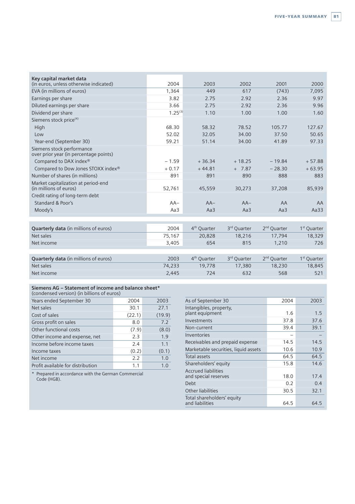| (in euros, unless otherwise indicated)<br>2004<br>2003<br>2001<br>2002<br>EVA (in millions of euros)<br>1.364<br>449<br>(743)<br>617<br>3.82<br>2.36<br>Earnings per share<br>2.75<br>2.92<br>3.66<br>2.36<br>Diluted earnings per share<br>2.75<br>2.92<br>$1.25^{(3)}$<br>Dividend per share<br>1.10<br>1.00<br>1.00<br>Siemens stock price <sup>(4)</sup><br>High<br>68.30<br>58.32<br>78.52<br>105.77<br>Low<br>52.02<br>32.05<br>34.00<br>37.50<br>59.21<br>Year-end (September 30)<br>51.14<br>34.00<br>41.89<br>Siemens stock performance<br>over prior year (in percentage points) | 2000<br>7,095<br>9.97<br>9.96<br>1.60<br>127.67<br>50.65<br>97.33<br>$+57.88$ |
|--------------------------------------------------------------------------------------------------------------------------------------------------------------------------------------------------------------------------------------------------------------------------------------------------------------------------------------------------------------------------------------------------------------------------------------------------------------------------------------------------------------------------------------------------------------------------------------------|-------------------------------------------------------------------------------|
|                                                                                                                                                                                                                                                                                                                                                                                                                                                                                                                                                                                            |                                                                               |
|                                                                                                                                                                                                                                                                                                                                                                                                                                                                                                                                                                                            |                                                                               |
|                                                                                                                                                                                                                                                                                                                                                                                                                                                                                                                                                                                            |                                                                               |
|                                                                                                                                                                                                                                                                                                                                                                                                                                                                                                                                                                                            |                                                                               |
|                                                                                                                                                                                                                                                                                                                                                                                                                                                                                                                                                                                            |                                                                               |
|                                                                                                                                                                                                                                                                                                                                                                                                                                                                                                                                                                                            |                                                                               |
|                                                                                                                                                                                                                                                                                                                                                                                                                                                                                                                                                                                            |                                                                               |
|                                                                                                                                                                                                                                                                                                                                                                                                                                                                                                                                                                                            |                                                                               |
|                                                                                                                                                                                                                                                                                                                                                                                                                                                                                                                                                                                            |                                                                               |
|                                                                                                                                                                                                                                                                                                                                                                                                                                                                                                                                                                                            |                                                                               |
| Compared to DAX index®<br>$-1.59$<br>$+36.34$<br>$+18.25$<br>$-19.84$                                                                                                                                                                                                                                                                                                                                                                                                                                                                                                                      |                                                                               |
| Compared to Dow Jones STOXX index®<br>$+44.81$<br>$-28.30$<br>$+0.17$<br>$+ 7.87$                                                                                                                                                                                                                                                                                                                                                                                                                                                                                                          | $+63.95$                                                                      |
| Number of shares (in millions)<br>891<br>891<br>890<br>888                                                                                                                                                                                                                                                                                                                                                                                                                                                                                                                                 | 883                                                                           |
| Market capitalization at period-end<br>(in millions of euros)<br>52,761<br>45,559<br>30,273<br>37,208                                                                                                                                                                                                                                                                                                                                                                                                                                                                                      | 85,939                                                                        |
| Credit rating of long-term debt                                                                                                                                                                                                                                                                                                                                                                                                                                                                                                                                                            |                                                                               |
| Standard & Poor's<br>$AA-$<br>$AA-$<br>$AA-$<br>AA                                                                                                                                                                                                                                                                                                                                                                                                                                                                                                                                         | AA                                                                            |
| Moody's<br>Aa3<br>Aa3<br>Aa3<br>Aa3                                                                                                                                                                                                                                                                                                                                                                                                                                                                                                                                                        | Aa33                                                                          |
|                                                                                                                                                                                                                                                                                                                                                                                                                                                                                                                                                                                            |                                                                               |
| 4 <sup>th</sup> Quarter<br>3 <sup>rd</sup> Ouarter<br>2 <sup>nd</sup> Ouarter<br>Quarterly data (in millions of euros)<br>2004                                                                                                                                                                                                                                                                                                                                                                                                                                                             | 1 <sup>st</sup> Quarter                                                       |
| Net sales<br>75,167<br>20,828<br>18,216<br>17.794                                                                                                                                                                                                                                                                                                                                                                                                                                                                                                                                          | 18,329                                                                        |
| Net income<br>3,405<br>654<br>815<br>1,210                                                                                                                                                                                                                                                                                                                                                                                                                                                                                                                                                 | 726                                                                           |
|                                                                                                                                                                                                                                                                                                                                                                                                                                                                                                                                                                                            |                                                                               |
| 4 <sup>th</sup> Ouarter<br>3 <sup>rd</sup> Ouarter<br>2 <sup>nd</sup> Quarter<br>Quarterly data (in millions of euros)<br>2003                                                                                                                                                                                                                                                                                                                                                                                                                                                             | 1 <sup>st</sup> Ouarter                                                       |
| Net sales<br>18,230<br>74,233<br>19,778<br>17,380                                                                                                                                                                                                                                                                                                                                                                                                                                                                                                                                          | 18,845                                                                        |
| Net income<br>2,445<br>724<br>632<br>568                                                                                                                                                                                                                                                                                                                                                                                                                                                                                                                                                   | 521                                                                           |

### **Siemens AG – Statement of income and balance sheet\*** (condensed version) (in billions of euros)

| Years ended September 30          | 2004   | 2003   |
|-----------------------------------|--------|--------|
| Net sales                         | 30.1   | 27.1   |
| Cost of sales                     | (22.1) | (19.9) |
| Gross profit on sales             | 8.0    | 7.2    |
| Other functional costs            | (7.9)  | (8.0)  |
| Other income and expense, net     | 2.3    | 1.9    |
| Income before income taxes        | 2.4    | 1.1    |
| Income taxes                      | (0.2)  | (0.1)  |
| Net income                        | 2.2    | 1.0    |
| Profit available for distribution | 1.1    | 1.0    |
|                                   |        |        |

\* Prepared in accordance with the German Commercial Code (HGB).

| As of September 30<br>2004<br>Intangibles, property,<br>plant equipment<br>1.6<br>Investments<br>37.8<br>39.4<br>39.1<br>Non-current<br>Inventories<br>Receivables and prepaid expense<br>14.5<br>Marketable securities, liquid assets<br>10.6<br><b>Total assets</b><br>64.5<br>Shareholders' equity<br>15.8<br><b>Accrued liabilities</b><br>and special reserves<br>18.0<br>Debt<br>0.2<br>Other liabilities<br>30.5<br>32.1<br>Total shareholders' equity<br>and liabilities<br>64.5 |  |      |
|------------------------------------------------------------------------------------------------------------------------------------------------------------------------------------------------------------------------------------------------------------------------------------------------------------------------------------------------------------------------------------------------------------------------------------------------------------------------------------------|--|------|
|                                                                                                                                                                                                                                                                                                                                                                                                                                                                                          |  | 2003 |
|                                                                                                                                                                                                                                                                                                                                                                                                                                                                                          |  | 1.5  |
|                                                                                                                                                                                                                                                                                                                                                                                                                                                                                          |  | 37.6 |
|                                                                                                                                                                                                                                                                                                                                                                                                                                                                                          |  |      |
|                                                                                                                                                                                                                                                                                                                                                                                                                                                                                          |  |      |
|                                                                                                                                                                                                                                                                                                                                                                                                                                                                                          |  | 14.5 |
|                                                                                                                                                                                                                                                                                                                                                                                                                                                                                          |  | 10.9 |
|                                                                                                                                                                                                                                                                                                                                                                                                                                                                                          |  | 64.5 |
|                                                                                                                                                                                                                                                                                                                                                                                                                                                                                          |  | 14.6 |
|                                                                                                                                                                                                                                                                                                                                                                                                                                                                                          |  | 17.4 |
|                                                                                                                                                                                                                                                                                                                                                                                                                                                                                          |  | 0.4  |
|                                                                                                                                                                                                                                                                                                                                                                                                                                                                                          |  |      |
|                                                                                                                                                                                                                                                                                                                                                                                                                                                                                          |  | 64.5 |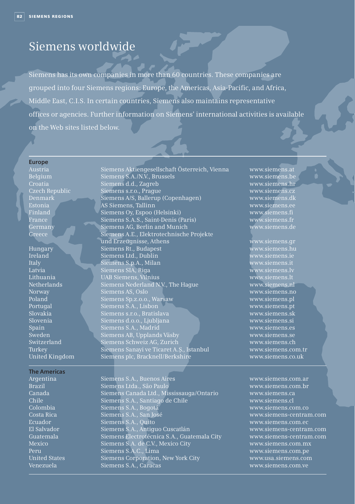### Siemens worldwide

Siemens has its own companies in more than 60 countries. These companies are grouped into four Siemens regions: Europe, the Americas, Asia-Pacific, and Africa, Middle East, C.I.S. In certain countries, Siemens also maintains representative offices or agencies. Further information on Siemens' international activities is available on the Web sites listed below.

#### **Europe**

#### **The Americas**

Austria Siemens Aktiengesellschaft Österreich, Vienna www.siemens.at Belgium Siemens S.A./N.V., Brussels www.siemens.be Croatia Siemens d.d., Zagreb www.siemens.hr Czech Republic Siemens s.r.o., Prague<br>Czech Republic Siemens A/S. Ballerup (Copenhagen) www.siemens.dk Siemens A/S, Ballerup (Copenhagen) Estonia AS Siemens, Tallinn www.siemens.ee Finland Siemens Oy, Espoo (Helsinki) www.siemens.fi France Siemens S.A.S., Saint-Denis (Paris) www.siemens.fr Germany Siemens AG, Berlin and Munich www.siemens.de Greece Siemens A.E., Elektrotechnische Projekte und Erzeugnisse, Athens www.siemens.gr Hungary Siemens Rt., Budapest Williams and Williams www.siemens.hu Ireland Siemens Ltd., Dublin www.siemens.ie Italy Siemens S.p.A., Milan www.siemens.it Latvia Siemens SIA, Riga www.siemens.lv Lithuania UAB Siemens, Vilnius www.siemens.lt Netherlands Siemens Nederland N.V., The Hague www.siemens.nl Norway Siemens AS, Oslo www.siemens.no Poland Siemens Sp.z.o.o., Warsaw www.siemens.pl Portugal Siemens S.A., Lisbon www.siemens.pt Slovakia Siemens s.r.o., Bratislava www.siemens.sk Slovenia Siemens d.o.o., Ljubljana www.siemens.si Spain Siemens S.A., Madrid www.siemens.es Sweden Siemens AB, Upplands Väsby www.siemens.se<br>Switzerland Siemens Schweiz AG, Zurich Siemens.ch www.siemens.ch Siemens AB, Sppenser<br>Siemens Schweiz AG, Zurich Turkey Siemens Sanayi ve Ticaret A.S¸., Istanbul www.siemens.com.tr United Kingdom Siemens plc, Bracknell/Berkshire

Argentina Siemens S.A., Buenos Aires www.siemens.com.ar Brazil Siemens Ltda., São Paulo www.siemens.com.br Canada Siemens Canada Ltd., Mississauga/Ontario www.siemens.ca Chile Siemens S.A., Santiago de Chile www.siemens.cl Colombia Siemens S.A., Bogotá www.siemens.com.co Costa Rica Siemens S.A., San José www.siemens-centram.com Ecuador Siemens S.A., Quito www.siemens.com.ec El Salvador Siemens S.A., Antiguo Cuscatlán www.siemens-centram.com Guatemala Siemens Electrotécnica S.A., Guatemala City www.siemens-centram.com Mexico Siemens S.A. de C.V., Mexico City www.siemens.com.mx Peru Siemens S.A.C., Lima www.siemens.com.pe United States Siemens Corporation, New York City www.usa.siemens.com Venezuela Siemens S.A., Caracas www.siemens.com.ve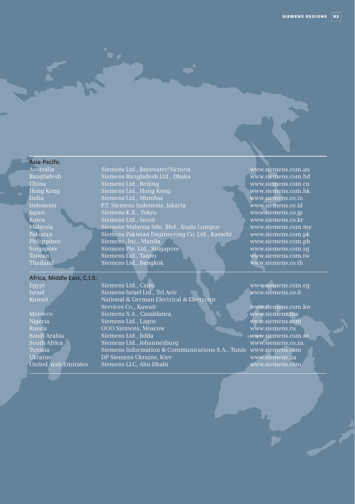#### **Asia-Pacific**

#### **Africa, Middle East, C.I.S.**

Australia Siemens Ltd., Bayswater/Victoria www.siemens.com.au Siemens Bangladesh Ltd., Dhaka China Siemens Ltd., Beijing www.siemens.com.cn<br>
Hong Kong Siemens Ltd., Hong Kong www.siemens.com.hk<br>
India Wiemens.com.hk www.siemens.co.in Hong Kong Siemens Ltd., Hong Kong www.siemens.com.hk India Siemens Ltd., Mumbai www.siemens.co.in Indonesia P.T. Siemens Indonesia, Jakarta www.siemens.co.id Japan Siemens K.K., Tokyo www.siemens.co.jp Korea Siemens Ltd., Seoul www.siemens.co.kr Malaysia Siemens Malaysia Sdn. Bhd., Kuala Lumpur www.siemens.com.my Pakistan Siemens Pakistan Engineering Co. Ltd., Karachi www.siemens.com.pk<br>Philippines Siemens, Inc., Manila www.siemens.com.ph Philippines Siemens, Inc., Manila Siemens.com.ph Singapore Siemens Pte. Ltd., Singapore www.siemens.com.sg Taiwan Siemens Ltd., Taipei www.siemens.com.tw Thailand Siemens Ltd., Bangkok www.siemens.co.th

Egypt Siemens Ltd., Cairo www.siemens.com.eg Israel Siemens Israel Ltd., Tel Aviv Kuwait **National & German Electrical & Electronic** Services Co., Kuwait Williams and Williams www.siemens.com.kw Morocco Siemens S.A., Casablanca www.siemens.ma Nigeria Siemens Ltd., Lagos www.siemens.com Russia OOO Siemens, Moscow www.siemens.ru Saudi Arabia Siemens Ltd., Jidda www.siemens.com.sa Siemens Ltd., Johannesburg www.siemens.co.za Tunisia Siemens Information & Communications S.A., Tunis www.siemens.com Ukraine DP Siemens Ukraine, Kiev www.siemens.ua Siemens LLC, Abu Dhabi www.siemens.com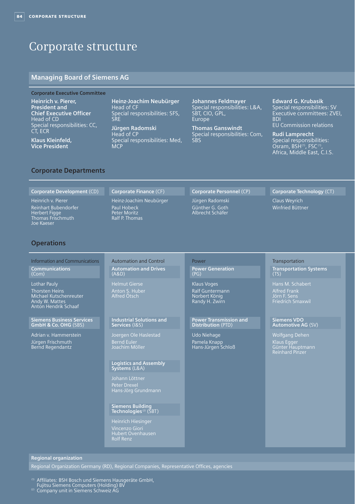### Corporate structure

#### **Managing Board of Siemens AG**

#### **Corporate Executive Committee**

**Heinrich v. Pierer, President and Chief Executive Officer** Head of CD Special responsibilities: CC, CT, ECR

**Klaus Kleinfeld, Vice President**

**Heinz-Joachim Neubürger** Head of CF Special responsibilities: SFS, SRE **Jürgen Radomski**

Head of CP Special responsibilities: Med, **MCP** 

**Johannes Feldmayer**<br>Special responsibilities: L&A,<br>SBT, CIO, GPL, Europe

**Thomas Ganswindt** Special responsibilities: Com, SBS

Jürgen Radomski Günther G. Goth Albrecht Schäfer

**Corporate Personnel** (CP)

**Edward G. Krubasik**<br>Special responsibilities: SV<br>Executive committees: ZVEI, BDI EU Commission relations

**Rudi Lamprecht** Special responsibilities:<br>Osram, BSH<sup>(1)</sup>, FSC<sup>(1)</sup>,<br>Africa, Middle East, C.I.S.

**Corporate Technology** (CT)

#### **Corporate Departments**

#### **Corporate Development** (CD)

Heinrich v. Pierer Herbert Figge Thomas Frischmuth Joe Kaeser

#### **Operations**

#### Information and Communications **Communications**

Lothar Pauly Thorsten Heins Michael Kutschenreuter Andy W. Mattes Anton Hendrik Schaaf

**Siemens Business Services GmbH & Co. OHG** (SBS)

Adrian v. Hammerstein Jürgen Frischmuth Bernd Regendantz

Automation and Control **Automation and Drives** (A&D)

Heinz-Joachim Neubürger

**Corporate Finance** (CF)

Paul Hobeck Peter Moritz Ralf P. Thomas

Helmut Gierse Anton S. Huber Alfred Ötsch

**Industrial Solutions and Services** (I&S)

Joergen Ole Haslestad Bernd Euler Joachim Möller

**Logistics and Assembly Systems** (L&A)

Peter Drexel Hans-Jörg Grundmann

**Siemens Building Technologies**(2) (SBT)

Vincenzo Giori Hubert Ovenhausen Rolf Renz

**Power Transmission and Distribution** (PTD)

Udo Niehage Pamela Knapp Hans-Jürgen Schloß

#### **Transportation Systems Transportation**

Alfred Frank Jörn F. Sens Friedrich Smaxwil

Claus Weyrich Winfried Büttner

**Siemens VDO Automotive AG** (SV)

Wolfgang Dehen Klaus Egger Günter Hauptmann Reinhard Pinzer

**Regional organization**

<sup>ന</sup> Affiliates: BSH Bosch und Siemens Hausgeräte GmbH,<br>Fujitsu Siemens Computers (Holding) BV<br><sup>മ</sup> Company unit in Siemens Schweiz AG

- 
- 

### Klaus Voges Norbert König Randy H. Zwirn **Power Generation** (PG) Power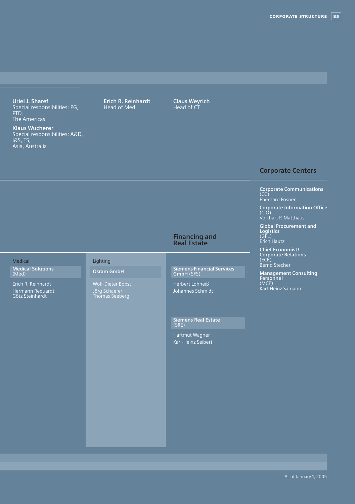**Uriel J. Sharef**<br>Special responsibilities: PG,<br>PTD,<br>The Americas

**Klaus Wucherer** Special responsibilities: A&D, I&S, TS, Asia, Australia **Erich R. Reinhardt** Head of Med

**Claus Weyrich** Head of CT

#### **Corporate Centers**

**Corporate Communications**<br>(CC)<br>Eberhard Posner

**Corporate Information Office**  (CIO) Volkhart P. Matthäus

**Global Procurement and**

**Logistics**<br>(GPL)<br>Erich Hautz

**Chief Economist/ Corporate Relations**  (ECR) Bernd Stecher

**Management Consulting<br><b>Personnel**<br>(MCP)<br>Karl-Heinz Sämann

### **Financing and Real Estate**

**Siemens Financial Services GmbH** (SFS)

Herbert Lohneiß Johannes Schmidt

**Siemens Real Estate** (SRE)

Hartmut Wagner Karl-Heinz Seibert

Erich R. Reinhardt **Medical Solutions** (Med)

Medical

Hermann Requardt Götz Steinhardt

### Lighting

Wolf-Dieter Bopst Jörg Schaefer Thomas Seeberg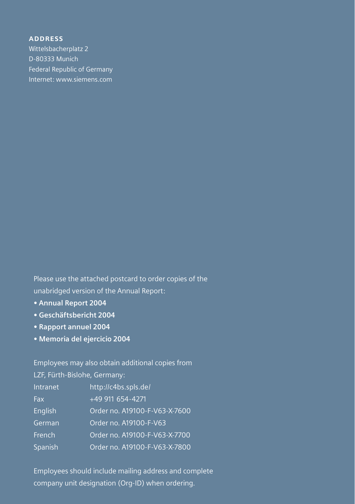**address** Wittelsbacherplatz 2 D-80333 Munich Federal Republic of Germany Internet: www.siemens.com

Please use the attached postcard to order copies of the unabridged version of the Annual Report:

- **Annual Report 2004**
- **Geschäftsbericht 2004**
- **Rapport annuel 2004**
- **Memoria del ejercicio 2004**

Employees may also obtain additional copies from

### LZF, Fürth-Bislohe, Germany:

| Intranet | http://c4bs.spls.de/          |
|----------|-------------------------------|
| Fax      | $+49911654 - 4271$            |
| English  | Order no. A19100-F-V63-X-7600 |
| German   | Order no. A19100-F-V63        |
| French   | Order no. A19100-F-V63-X-7700 |
| Spanish  | Order no. A19100-F-V63-X-7800 |

Employees should include mailing address and complete company unit designation (Org-ID) when ordering.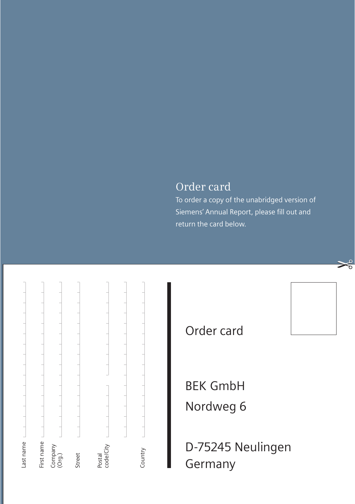### Order card

To order a copy of the unabridged version of Siemens' Annual Report, please fill out and return the card below.

| Last name           |  |  |  |  |  |  |  |  |
|---------------------|--|--|--|--|--|--|--|--|
| First name          |  |  |  |  |  |  |  |  |
| Company<br>(Org.)   |  |  |  |  |  |  |  |  |
| Street              |  |  |  |  |  |  |  |  |
| code/City<br>Postal |  |  |  |  |  |  |  |  |
|                     |  |  |  |  |  |  |  |  |
| Country             |  |  |  |  |  |  |  |  |

Order card



 $\searrow$ 

BEK GmbH Nordweg 6

D-75245 Neulingen Germany